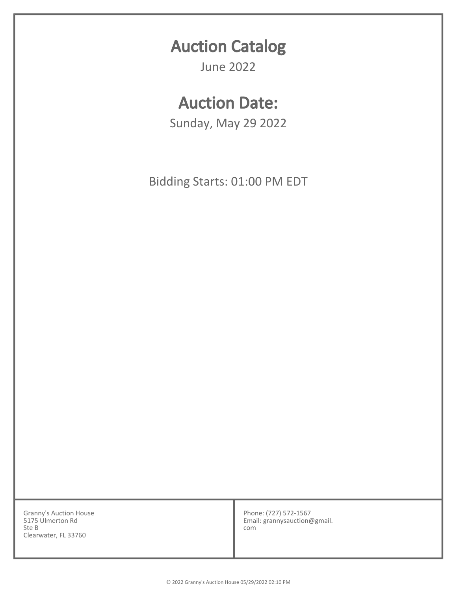## Auction Catalog

June 2022

## Auction Date:

Sunday, May 29 2022

Bidding Starts: 01:00 PM EDT

Granny's Auction House 5175 Ulmerton Rd Ste B Clearwater, FL 33760

Phone: (727) 572-1567 Email: grannysauction@gmail. com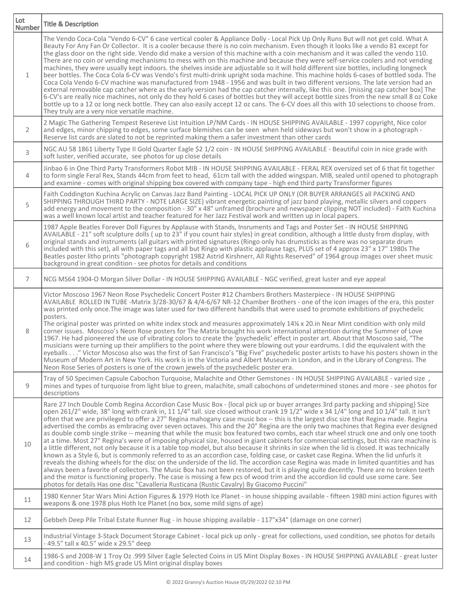| Lot<br><b>Number</b> | <b>Title &amp; Description</b>                                                                                                                                                                                                                                                                                                                                                                                                                                                                                                                                                                                                                                                                                                                                                                                                                                                                                                                                                                                                                                                                                                                                                                                                                                                                                                                                                                                                                                                                                                                                                                                                                        |
|----------------------|-------------------------------------------------------------------------------------------------------------------------------------------------------------------------------------------------------------------------------------------------------------------------------------------------------------------------------------------------------------------------------------------------------------------------------------------------------------------------------------------------------------------------------------------------------------------------------------------------------------------------------------------------------------------------------------------------------------------------------------------------------------------------------------------------------------------------------------------------------------------------------------------------------------------------------------------------------------------------------------------------------------------------------------------------------------------------------------------------------------------------------------------------------------------------------------------------------------------------------------------------------------------------------------------------------------------------------------------------------------------------------------------------------------------------------------------------------------------------------------------------------------------------------------------------------------------------------------------------------------------------------------------------------|
| $\mathbf{1}$         | The Vendo Coca-Cola "Vendo 6-CV" 6 case vertical cooler & Appliance Dolly - Local Pick Up Only Runs But will not get cold. What A<br>Beauty For Any Fan Or Collector. It is a cooler because there is no coin mechanism. Even though it looks like a vendo 81 except for<br>the glass door on the right side. Vendo did make a version of this machine with a coin mechanism and it was called the vendo 110.<br>There are no coin or vending mechanisms to mess with on this machine and because they were self-service coolers and not vending<br>machines, they were usually kept indoors. the shelves inside are adjustable so it will hold different size bottles, including longneck<br>beer bottles. The Coca Cola 6-CV was Vendo's first multi-drink upright soda machine. This machine holds 6-cases of bottled soda. The<br>Coca Cola Vendo 6-CV machine was manufactured from 1948 - 1956 and was built in two different versions. The late version had an<br>external removable cap catcher where as the early version had the cap catcher internally, like this one. [missing cap catcher box] The<br>6-CV's are really nice machines, not only do they hold 6 cases of bottles but they will accept bottle sizes from the new small 8 oz Coke<br>bottle up to a 12 oz long neck bottle. They can also easily accept 12 oz cans. The 6-CV does all this with 10 selections to choose from.<br>They truly are a very nice versatile machine.                                                                                                                                                                                              |
| $\overline{2}$       | 2 Magic The Gathering Tempest Resereve List Intuition LP/NM Cards - IN HOUSE SHIPPING AVAILABLE - 1997 copyright, Nice color<br>and edges, minor chipping to edges, some surface blemishes can be seen when held sideways but won't show in a photograph -<br>Reserve list cards are slated to not be reprinted making them a safer investment than other cards                                                                                                                                                                                                                                                                                                                                                                                                                                                                                                                                                                                                                                                                                                                                                                                                                                                                                                                                                                                                                                                                                                                                                                                                                                                                                       |
| 3                    | NGC AU 58 1861 Liberty Type II Gold Quarter Eagle \$2 1/2 coin - IN HOUSE SHIPPING AVAILABLE - Beautiful coin in nice grade with<br>soft luster, verified accurate, see photos for up close details                                                                                                                                                                                                                                                                                                                                                                                                                                                                                                                                                                                                                                                                                                                                                                                                                                                                                                                                                                                                                                                                                                                                                                                                                                                                                                                                                                                                                                                   |
| $\overline{4}$       | Jinbao 6 in One Third Party Transformers Robot MIB - IN HOUSE SHIPPING AVAILABLE - FERAL REX oversized set of 6 that fit together<br>to form single Feral Rex, Stands 44cm from feet to head, 61cm tall with the added wingspan. MIB, sealed until opened to photograph<br>and examine - comes with original shipping box covered with company tape - high end third party Transformer figures                                                                                                                                                                                                                                                                                                                                                                                                                                                                                                                                                                                                                                                                                                                                                                                                                                                                                                                                                                                                                                                                                                                                                                                                                                                        |
| 5                    | Faith Coddington Kuchina Acrylic on Canvas Jazz Band Painting - LOCAL PICK UP ONLY (OR BUYER ARRANGES all PACKING AND<br>SHIPPING THROUGH THIRD PARTY - NOTE LARGE SIZE) vibrant energetic painting of jazz band playing, metallic silvers and coppers<br>add energy and movement to the composition - 30" x 48" unframed (brochure and newspaper clipping NOT included) - Faith Kuchina<br>was a well known local artist and teacher featured for her Jazz Festival work and written up in local papers.                                                                                                                                                                                                                                                                                                                                                                                                                                                                                                                                                                                                                                                                                                                                                                                                                                                                                                                                                                                                                                                                                                                                             |
| 6                    | 1987 Apple Beatles Forever Doll Figures by Applause with Stands, Insruments and Tags and Poster Set - IN HOUSE SHIPPING<br>AVAILABLE - 21" soft sculpture dolls (up to 23" if you count hair styles) in great condition, although a little dusty from display, with<br>original stands and instruments (all guitars with printed signatures (Ringo only has drumsticks as there was no separate drum<br>included with this set), all with paper tags and all but Ringo with plastic applause tags, PLUS set of 4 approx 23" x 17" 1980s The<br>Beatles poster litho prints "photograph copyright 1982 Astrid Kirshnerr, All Rights Reserved" of 1964 group images over sheet music<br>background in great condition - see photos for details and conditions                                                                                                                                                                                                                                                                                                                                                                                                                                                                                                                                                                                                                                                                                                                                                                                                                                                                                           |
| 7                    | NCG MS64 1904-O Morgan Silver Dollar - IN HOUSE SHIPPING AVAILABLE - NGC verified, great luster and eye appeal                                                                                                                                                                                                                                                                                                                                                                                                                                                                                                                                                                                                                                                                                                                                                                                                                                                                                                                                                                                                                                                                                                                                                                                                                                                                                                                                                                                                                                                                                                                                        |
| 8                    | Victor Moscoso 1967 Neon Rose Psychedelic Concert Poster #12 Chambers Brothers Masterpiece - IN HOUSE SHIPPING<br>AVAILABLE ROLLED IN TUBE -Matrix 3/28-30/67 & 4/4-6/67 NR-12 Chamber Brothers - one of the icon images of the era, this poster<br>was printed only once. The image was later used for two different handbills that were used to promote exhibitions of psychedelic<br>posters.<br>The original poster was printed on white index stock and measures approximately 14% x 20.in Near Mint condition with only mild<br>corner issues. Moscoso's Neon Rose posters for The Matrix brought his work international attention during the Summer of Love<br>1967. He had pioneered the use of vibrating colors to create the 'psychedelic' effect in poster art. About that Moscoso said, "The<br>musicians were turning up their amplifiers to the point where they were blowing out your eardrums. I did the equivalent with the<br>eyeballs" Victor Moscoso also was the first of San Francisco's "Big Five" psychedelic poster artists to have his posters shown in the<br>Museum of Modern Art in New York. His work is in the Victoria and Albert Museum in London, and in the Library of Congress. The<br>Neon Rose Series of posters is one of the crown jewels of the psychedelic poster era.                                                                                                                                                                                                                                                                                                                                      |
| 9                    | Tray of 50 Specimen Capsule Cabochon Turquoise, Malachite and Other Gemstones - IN HOUSE SHIPPING AVAILABLE - varied size,<br>mines and types of turquoise from light blue to green, malachite, small cabochons of undetermined stones and more - see photos for<br>descriptions                                                                                                                                                                                                                                                                                                                                                                                                                                                                                                                                                                                                                                                                                                                                                                                                                                                                                                                                                                                                                                                                                                                                                                                                                                                                                                                                                                      |
| 10                   | Rare 27 Inch Double Comb Regina Accordion Case Music Box - {local pick up or buyer arranges 3rd party packing and shipping} Size<br>open 261/2" wide, 38" long with crank in, 11 1/4" tall. size closed without crank 19 1/2" wide x 34 1/4" long and 10 1/4" tall. It isn't<br>often that we are privileged to offer a 27" Regina mahogany case music box -- this is the largest disc size that Regina made. Regina<br>advertised the combs as embracing over seven octaves. This and the 20" Regina are the only two machines that Regina ever designed<br>as double comb single strike -- meaning that while the music box featured two combs, each star wheel struck one and only one tooth<br>at a time. Most 27" Regina's were of imposing physical size, housed in giant cabinets for commercial settings, but this rare machine is<br>a little different, not only because it is a table top model, but also because it shrinks in size when the lid is closed. It was technically<br>known as a Style 6, but is commonly referred to as an accordion case, folding case, or casket case Regina. When the lid unfurls it<br>reveals the dishing wheels for the disc on the underside of the lid. The accordion case Regina was made in limited quantities and has<br>always been a favorite of collectors. The Music Box has not been restored, but it is playing quite decently. There are no broken teeth<br>and the motor is functioning properly. The case is missing a few pcs of wood trim and the accordion lid could use some care. See<br>photos for details Has one disc "Cavalleria Rusticana (Rustic Cavalry) By Giacomo Puccini" |
| 11                   | 1980 Kenner Star Wars Mini Action Figures & 1979 Hoth Ice Planet - in house shipping available - fifteen 1980 mini action figures with<br>weapons & one 1978 plus Hoth Ice Planet (no box, some mild signs of age)                                                                                                                                                                                                                                                                                                                                                                                                                                                                                                                                                                                                                                                                                                                                                                                                                                                                                                                                                                                                                                                                                                                                                                                                                                                                                                                                                                                                                                    |
| 12                   | Gebbeh Deep Pile Tribal Estate Runner Rug - in house shipping available - 117"x34" (damage on one corner)                                                                                                                                                                                                                                                                                                                                                                                                                                                                                                                                                                                                                                                                                                                                                                                                                                                                                                                                                                                                                                                                                                                                                                                                                                                                                                                                                                                                                                                                                                                                             |
| 13                   | Industrial Vintage 3-Stack Document Storage Cabinet - local pick up only - great for collections, used condition, see photos for details<br>-49.5" tall x 40.5" wide x 29.5" deep                                                                                                                                                                                                                                                                                                                                                                                                                                                                                                                                                                                                                                                                                                                                                                                                                                                                                                                                                                                                                                                                                                                                                                                                                                                                                                                                                                                                                                                                     |
| 14                   | 1986-S and 2008-W 1 Troy Oz .999 Silver Eagle Selected Coins in US Mint Display Boxes - IN HOUSE SHIPPING AVAILABLE - great luster<br>and condition - high MS grade US Mint original display boxes                                                                                                                                                                                                                                                                                                                                                                                                                                                                                                                                                                                                                                                                                                                                                                                                                                                                                                                                                                                                                                                                                                                                                                                                                                                                                                                                                                                                                                                    |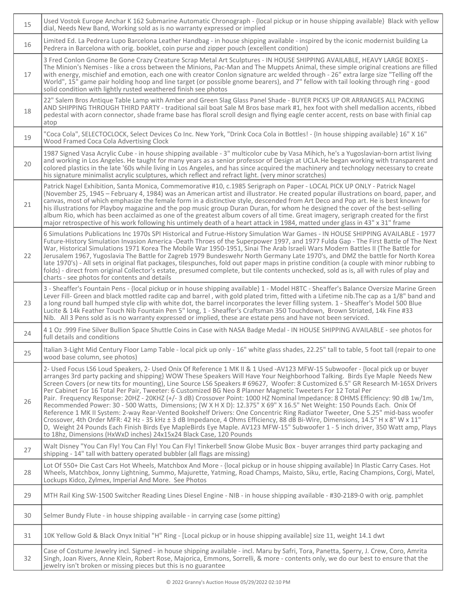| 15 | Used Vostok Europe Anchar K 162 Submarine Automatic Chronograph - {local pickup or in house shipping available} Black with yellow<br>dial, Needs New Band, Working sold as is no warranty expressed or implied                                                                                                                                                                                                                                                                                                                                                                                                                                                                                                                                                                                                                                                                                                                                                                                                                                                                                                                                                                                                                                        |
|----|-------------------------------------------------------------------------------------------------------------------------------------------------------------------------------------------------------------------------------------------------------------------------------------------------------------------------------------------------------------------------------------------------------------------------------------------------------------------------------------------------------------------------------------------------------------------------------------------------------------------------------------------------------------------------------------------------------------------------------------------------------------------------------------------------------------------------------------------------------------------------------------------------------------------------------------------------------------------------------------------------------------------------------------------------------------------------------------------------------------------------------------------------------------------------------------------------------------------------------------------------------|
| 16 | Limited Ed. La Pedrera Lupo Barcelona Leather Handbag - in house shipping available - inspired by the iconic modernist building La<br>Pedrera in Barcelona with orig. booklet, coin purse and zipper pouch (excellent condition)                                                                                                                                                                                                                                                                                                                                                                                                                                                                                                                                                                                                                                                                                                                                                                                                                                                                                                                                                                                                                      |
| 17 | 3 Fred Conlon Gnome Be Gone Crazy Creature Scrap Metal Art Sculptures - IN HOUSE SHIPPING AVAILABLE, HEAVY LARGE BOXES -<br>The Minion's Nemises - like a cross between the Minions, Pac-Man and The Muppets Animal, these simple original creations are filled<br>with energy, mischief and emotion, each one with creator Conlon signature arc welded through - 26" extra large size "Telling off the<br>World", 15" game pair holding hoop and line target (or possible gnome bearers), and 7" fellow with tail looking through ring - good<br>solid condition with lightly rusted weathered finish see photos                                                                                                                                                                                                                                                                                                                                                                                                                                                                                                                                                                                                                                     |
| 18 | 22" Salem Bros Antique Table Lamp with Amber and Green Slag Glass Panel Shade - BUYER PICKS UP OR ARRANGES ALL PACKING<br>AND SHIPPING THROUGH THIRD PARTY - traditional sail boat Sale M Bros base mark #1, hex foot with shell medallion accents, ribbed<br>pedestal with acorn connector, shade frame base has floral scroll design and flying eagle center accent, rests on base with finial cap<br>atop                                                                                                                                                                                                                                                                                                                                                                                                                                                                                                                                                                                                                                                                                                                                                                                                                                          |
| 19 | "Coca Cola", SELECTOCLOCK, Select Devices Co Inc. New York, "Drink Coca Cola in Bottles! - {In house shipping available} 16" X 16"<br>Wood Framed Coca Cola Advertising Clock                                                                                                                                                                                                                                                                                                                                                                                                                                                                                                                                                                                                                                                                                                                                                                                                                                                                                                                                                                                                                                                                         |
| 20 | 1987 Signed Vasa Acrylic Cube - in house shipping available - 3" multicolor cube by Vasa Mihich, he's a Yugoslavian-born artist living<br>and working in Los Angeles. He taught for many years as a senior professor of Design at UCLA.He began working with transparent and<br>colored plastics in the late '60s while living in Los Angeles, and has since acquired the machinery and technology necessary to create<br>his signature minimalist acrylic sculptures, which reflect and refract light. (very minor scratches)                                                                                                                                                                                                                                                                                                                                                                                                                                                                                                                                                                                                                                                                                                                        |
| 21 | Patrick Nagel Exhibition, Santa Monica, Commemorative #10, c.1985 Serigraph on Paper - LOCAL PICK UP ONLY - Patrick Nagel<br>(November 25, 1945 - February 4, 1984) was an American artist and illustrator. He created popular illustrations on board, paper, and<br>canvas, most of which emphasize the female form in a distinctive style, descended from Art Deco and Pop art. He is best known for<br>his illustrations for Playboy magazine and the pop music group Duran Duran, for whom he designed the cover of the best-selling<br>album Rio, which has been acclaimed as one of the greatest album covers of all time. Great imagery, serigraph created for the first<br>major retrospective of his work following his untimely death of a heart attack in 1984, matted under glass in 43" x 31" frame                                                                                                                                                                                                                                                                                                                                                                                                                                      |
| 22 | 6 Simulations Publications Inc 1970s SPI Historical and Futrue-History Simulation War Games - IN HOUSE SHIPPING AVAILABLE - 1977<br>Future-History Simulation Invasion America -Death Throes of the Superpower 1997, and 1977 Fulda Gap - The First Battle of The Next<br>War, Historical Simulations 1971 Korea The Mobile War 1950-1951, Sinai The Arab Israeli Wars Modern Battles II (The Battle for<br>Jerusalem 1967, Yugoslavia The Battle for Zagreb 1979 Bundeswehr North Germany Late 1970's, and DMZ the battle for North Korea<br>late 1970's) - All sets in original flat packages, tilespunches, fold out paper maps in pristine condition (a couple with minor rubbing to<br>folds) - direct from original Collector's estate, presumed complete, but tile contents unchecked, sold as is, all with rules of play and<br>charts - see photos for contents and details                                                                                                                                                                                                                                                                                                                                                                  |
| 23 | 3 - Sheaffer's Fountain Pens - {local pickup or in house shipping available} 1 - Model H8TC - Sheaffer's Balance Oversize Marine Green<br>Lever Fill- Green and black mottled radite cap and barrel, with gold plated trim, fitted with a Lifetime nib. The cap as a 1/8" band and<br>a long round ball humped style clip with white dot, the barrel incorporates the lever filling system. 1 - Sheaffer's Model 500 Blue<br>Lucite & 14k Feather Touch Nib Fountain Pen 5" long, 1 - Sheaffer's Craftsman 350 Touchdown, Brown Striated, 14k Fine #33<br>Nib. All 3 Pens sold as is no warranty expressed or implied, these are estate pens and have not been serviced.                                                                                                                                                                                                                                                                                                                                                                                                                                                                                                                                                                              |
| 24 | 4 1 Oz .999 Fine Silver Bullion Space Shuttle Coins in Case with NASA Badge Medal - IN HOUSE SHIPPING AVAILABLE - see photos for<br>full details and conditions                                                                                                                                                                                                                                                                                                                                                                                                                                                                                                                                                                                                                                                                                                                                                                                                                                                                                                                                                                                                                                                                                       |
| 25 | Italian 3-Light Mid Century Floor Lamp Table - local pick up only - 16" white glass shades, 22.25" tall to table, 5 foot tall (repair to one<br>wood base column, see photos)                                                                                                                                                                                                                                                                                                                                                                                                                                                                                                                                                                                                                                                                                                                                                                                                                                                                                                                                                                                                                                                                         |
| 26 | 2- Used Focus LS6 Loud Speakers, 2- Used Onix Of Reference 1 MK II & 1 Used -AV123 MFW-15 Subwoofer - {local pick up or buyer<br>arranges 3rd party packing and shipping} WOW These Speakers Will Have Your Neighborhood Talking. Birds Eye Maple Needs New<br>Screen Covers (or new tits for mounting), Line Source LS6 Speakers # 69627, Woofer: 8 Customized 6.5" GR Research M-165X Drivers<br>Per Cabinet For 16 Total Per Pair, Tweeter: 6 Customized BG Neo 8 Planner Magnetic Tweeters For 12 Total Per<br>Pair. Frequency Response: 20HZ - 20KHZ (+/- 3 dB) Crossover Point: 1000 HZ Nominal Impedance: 8 OHMS Efficiency: 90 dB 1w/1m,<br>Recommended Power: 30 - 500 Watts, Dimensions; (W X H X D): 12.375" X 69" X 16.5" Net Weight: 150 Pounds Each. Onix Of<br>Reference 1 MK II System: 2-way Rear-Vented Bookshelf Drivers: One Concentric Ring Radiator Tweeter, One 5.25" mid-bass woofer<br>Crossover, 4th Order MFR: 42 Hz - 35 kHz ± 3 dB Impedance, 4 Ohms Efficiency, 88 dB Bi-Wire, Dimensions, 14.5" H x 8" W x 11"<br>D, Weight 24 Pounds Each Finish Birds Eye MapleBirds Eye Maple. AV123 MFW-15" Subwoofer 1 - 5 inch driver, 350 Watt amp, Plays<br>to 18hz, Dimensions (HxWxD inches) 24x15x24 Black Case, 120 Pounds |
| 27 | Walt Disney "You Can Fly! You Can Fly! You Can Fly! Tinkerbell Snow Globe Music Box - buyer arranges third party packaging and<br>shipping - 14" tall with battery operated bubbler (all flags are missing)                                                                                                                                                                                                                                                                                                                                                                                                                                                                                                                                                                                                                                                                                                                                                                                                                                                                                                                                                                                                                                           |
| 28 | Lot Of 550+ Die Cast Cars Hot Wheels, Matchbox And More - {local pickup or in house shipping available} In Plastic Carry Cases. Hot<br>Wheels, Matchbox, Jonny Lightning, Summo, Majurette, Yatming, Road Champs, Maisto, Siku, ertle, Racing Champions, Corgi, Matel,<br>Lockups Kidco, Zylmex, Imperial And More. See Photos                                                                                                                                                                                                                                                                                                                                                                                                                                                                                                                                                                                                                                                                                                                                                                                                                                                                                                                        |
| 29 | MTH Rail King SW-1500 Switcher Reading Lines Diesel Engine - NIB - in house shipping available - #30-2189-0 with orig. pamphlet                                                                                                                                                                                                                                                                                                                                                                                                                                                                                                                                                                                                                                                                                                                                                                                                                                                                                                                                                                                                                                                                                                                       |
| 30 | Selmer Bundy Flute - in house shipping available - in carrying case (some pitting)                                                                                                                                                                                                                                                                                                                                                                                                                                                                                                                                                                                                                                                                                                                                                                                                                                                                                                                                                                                                                                                                                                                                                                    |
| 31 | 10K Yellow Gold & Black Onyx Initial "H" Ring - [Local pickup or in house shipping available] size 11, weight 14.1 dwt                                                                                                                                                                                                                                                                                                                                                                                                                                                                                                                                                                                                                                                                                                                                                                                                                                                                                                                                                                                                                                                                                                                                |
| 32 | Case of Costume Jewelry incl. Signed - in house shipping available - incl. Maru by Safri, Tora, Panetta, Sperry, J. Crew, Coro, Amrita<br>Singh, Joan Rivers, Anne Klein, Robert Rose, Majorica, Emmons, Sorrelli, & more - contents only, we do our best to ensure that the<br>jewelry isn't broken or missing pieces but this is no guarantee                                                                                                                                                                                                                                                                                                                                                                                                                                                                                                                                                                                                                                                                                                                                                                                                                                                                                                       |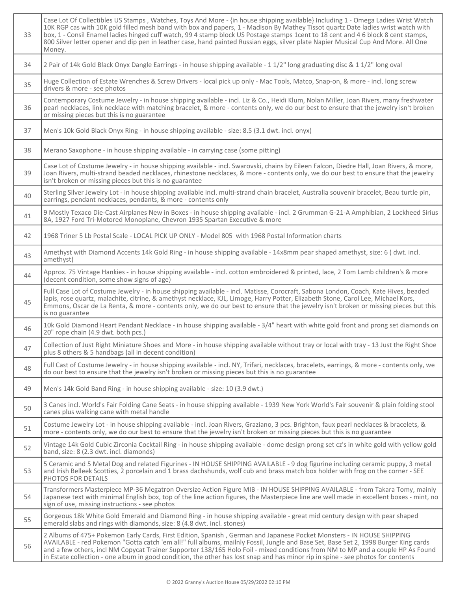| 33 | Case Lot Of Collectibles US Stamps, Watches, Toys And More - {in house shipping available} Including 1 - Omega Ladies Wrist Watch<br>10K RGP cas with 10K gold filled mesh band with box and papers, 1 - Madison By Mathey Tissot quartz Date ladies wrist watch with<br>box, 1 - Consil Enamel ladies hinged cuff watch, 99 4 stamp block US Postage stamps 1cent to 18 cent and 4 6 block 8 cent stamps,<br>800 Silver letter opener and dip pen in leather case, hand painted Russian eggs, silver plate Napier Musical Cup And More. All One<br>Money. |
|----|------------------------------------------------------------------------------------------------------------------------------------------------------------------------------------------------------------------------------------------------------------------------------------------------------------------------------------------------------------------------------------------------------------------------------------------------------------------------------------------------------------------------------------------------------------|
| 34 | 2 Pair of 14k Gold Black Onyx Dangle Earrings - in house shipping available - 1 1/2" long graduating disc & 1 1/2" long oval                                                                                                                                                                                                                                                                                                                                                                                                                               |
| 35 | Huge Collection of Estate Wrenches & Screw Drivers - local pick up only - Mac Tools, Matco, Snap-on, & more - incl. long screw<br>drivers & more - see photos                                                                                                                                                                                                                                                                                                                                                                                              |
| 36 | Contemporary Costume Jewelry - in house shipping available - incl. Liz & Co., Heidi Klum, Nolan Miller, Joan Rivers, many freshwater<br>pearl necklaces, link necklace with matching bracelet, & more - contents only, we do our best to ensure that the jewelry isn't broken<br>or missing pieces but this is no guarantee                                                                                                                                                                                                                                |
| 37 | Men's 10k Gold Black Onyx Ring - in house shipping available - size: 8.5 (3.1 dwt. incl. onyx)                                                                                                                                                                                                                                                                                                                                                                                                                                                             |
| 38 | Merano Saxophone - in house shipping available - in carrying case (some pitting)                                                                                                                                                                                                                                                                                                                                                                                                                                                                           |
| 39 | Case Lot of Costume Jewelry - in house shipping available - incl. Swarovski, chains by Eileen Falcon, Diedre Hall, Joan Rivers, & more,<br>Joan Rivers, multi-strand beaded necklaces, rhinestone necklaces, & more - contents only, we do our best to ensure that the jewelry<br>isn't broken or missing pieces but this is no guarantee                                                                                                                                                                                                                  |
| 40 | Sterling Silver Jewelry Lot - in house shipping available incl. multi-strand chain bracelet, Australia souvenir bracelet, Beau turtle pin,<br>earrings, pendant necklaces, pendants, & more - contents only                                                                                                                                                                                                                                                                                                                                                |
| 41 | 9 Mostly Texaco Die-Cast Airplanes New in Boxes - in house shipping available - incl. 2 Grumman G-21-A Amphibian, 2 Lockheed Sirius<br>8A, 1927 Ford Tri-Motored Monoplane, Chevron 1935 Spartan Executive & more                                                                                                                                                                                                                                                                                                                                          |
| 42 | 1968 Triner 5 Lb Postal Scale - LOCAL PICK UP ONLY - Model 805 with 1968 Postal Information charts                                                                                                                                                                                                                                                                                                                                                                                                                                                         |
| 43 | Amethyst with Diamond Accents 14k Gold Ring - in house shipping available - 14x8mm pear shaped amethyst, size: 6 (dwt. incl.<br>amethyst)                                                                                                                                                                                                                                                                                                                                                                                                                  |
| 44 | Approx. 75 Vintage Hankies - in house shipping available - incl. cotton embroidered & printed, lace, 2 Tom Lamb children's & more<br>(decent condition, some show signs of age)                                                                                                                                                                                                                                                                                                                                                                            |
| 45 | Full Case Lot of Costume Jewelry - in house shipping available - incl. Matisse, Corocraft, Sabona London, Coach, Kate Hives, beaded<br>lapis, rose quartz, malachite, citrine, & amethyst necklace, KJL, Limoge, Harry Potter, Elizabeth Stone, Carol Lee, Michael Kors,<br>Emmons, Oscar de La Renta, & more - contents only, we do our best to ensure that the jewelry isn't broken or missing pieces but this<br>is no guarantee                                                                                                                        |
| 46 | 10k Gold Diamond Heart Pendant Necklace - in house shipping available - 3/4" heart with white gold front and prong set diamonds on<br>20" rope chain (4.9 dwt. both pcs.)                                                                                                                                                                                                                                                                                                                                                                                  |
| 47 | Collection of Just Right Miniature Shoes and More - in house shipping available without tray or local with tray - 13 Just the Right Shoe<br>plus 8 others & 5 handbags (all in decent condition)                                                                                                                                                                                                                                                                                                                                                           |
| 48 | Full Cast of Costume Jewelry - in house shipping available - incl. NY, Trifari, necklaces, bracelets, earrings, & more - contents only, we<br>do our best to ensure that the jewelry isn't broken or missing pieces but this is no guarantee                                                                                                                                                                                                                                                                                                               |
| 49 | Men's 14k Gold Band Ring - in house shipping available - size: 10 (3.9 dwt.)                                                                                                                                                                                                                                                                                                                                                                                                                                                                               |
| 50 | 3 Canes incl. World's Fair Folding Cane Seats - in house shipping available - 1939 New York World's Fair souvenir & plain folding stool<br>canes plus walking cane with metal handle                                                                                                                                                                                                                                                                                                                                                                       |
| 51 | Costume Jewelry Lot - in house shipping available - incl. Joan Rivers, Graziano, 3 pcs. Brighton, faux pearl necklaces & bracelets, &<br>more - contents only, we do our best to ensure that the jewelry isn't broken or missing pieces but this is no guarantee                                                                                                                                                                                                                                                                                           |
| 52 | Vintage 14k Gold Cubic Zirconia Cocktail Ring - in house shipping available - dome design prong set cz's in white gold with yellow gold<br>band, size: 8 (2.3 dwt. incl. diamonds)                                                                                                                                                                                                                                                                                                                                                                         |
| 53 | 5 Ceramic and 5 Metal Dog and related Figurines - IN HOUSE SHIPPING AVAILABLE - 9 dog figurine including ceramic puppy, 3 metal<br>and Irish Belleek Scotties, 2 porcelain and 1 brass dachshunds, wolf cub and brass match box holder with frog on the corner - SEE<br>PHOTOS FOR DETAILS                                                                                                                                                                                                                                                                 |
| 54 | Transformers Masterpiece MP-36 Megatron Oversize Action Figure MIB - IN HOUSE SHIPPING AVAILABLE - from Takara Tomy, mainly<br>Japanese text with minimal English box, top of the line action figures, the Masterpiece line are well made in excellent boxes - mint, no<br>sign of use, missing instructions - see photos                                                                                                                                                                                                                                  |
| 55 | Gorgeous 18k White Gold Emerald and Diamond Ring - in house shipping available - great mid century design with pear shaped<br>emerald slabs and rings with diamonds, size: 8 (4.8 dwt. incl. stones)                                                                                                                                                                                                                                                                                                                                                       |
| 56 | 2 Albums of 475+ Pokemon Early Cards, First Edition, Spanish, German and Japanese Pocket Monsters - IN HOUSE SHIPPING<br>AVAILABLE - red Pokemon "Gotta catch 'em all!" full albums, mailnly Fossil, Jungle and Base Set, Base Set 2, 1998 Burger King cards<br>and a few others, incl NM Copycat Trainer Supporter 138/165 Holo Foil - mixed conditions from NM to MP and a couple HP As Found<br>in Estate collection - one album in good condition, the other has lost snap and has minor rip in spine - see photos for contents                        |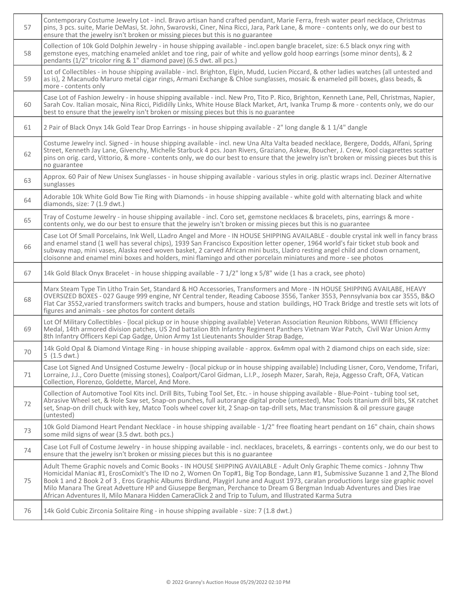| 57 | Contemporary Costume Jewelry Lot - incl. Bravo artisan hand crafted pendant, Marie Ferra, fresh water pearl necklace, Christmas<br>pins, 3 pcs. suite, Marie DeMasi, St. John, Swarovski, Ciner, Nina Ricci, Jara, Park Lane, & more - contents only, we do our best to<br>ensure that the jewelry isn't broken or missing pieces but this is no guarantee                                                                                                                                                                                                                                                                           |
|----|--------------------------------------------------------------------------------------------------------------------------------------------------------------------------------------------------------------------------------------------------------------------------------------------------------------------------------------------------------------------------------------------------------------------------------------------------------------------------------------------------------------------------------------------------------------------------------------------------------------------------------------|
| 58 | Collection of 10k Gold Dolphin Jewelry - in house shipping available - incl.open bangle bracelet, size: 6.5 black onyx ring with<br>gemstone eyes, matching enameled anklet and toe ring, pair of white and yellow gold hoop earrings (some minor dents), & 2<br>pendants (1/2" tricolor ring & 1" diamond pave) (6.5 dwt. all pcs.)                                                                                                                                                                                                                                                                                                 |
| 59 | Lot of Collectibles - in house shipping available - incl. Brighton, Elgin, Mudd, Lucien Piccard, & other ladies watches (all untested and<br>as is), 2 Macanudo Maruro metal cigar rings, Armani Exchange & Chloe sunglasses, mosaic & enameled pill boxes, glass beads, &<br>more - contents only                                                                                                                                                                                                                                                                                                                                   |
| 60 | Case Lot of Fashion Jewelry - in house shipping available - incl. New Pro, Tito P. Rico, Brighton, Kenneth Lane, Pell, Christmas, Napier,<br>Sarah Cov. Italian mosaic, Nina Ricci, Pididilly Links, White House Black Market, Art, Ivanka Trump & more - contents only, we do our<br>best to ensure that the jewelry isn't broken or missing pieces but this is no guarantee                                                                                                                                                                                                                                                        |
| 61 | 2 Pair of Black Onyx 14k Gold Tear Drop Earrings - in house shipping available - 2" long dangle & 1 1/4" dangle                                                                                                                                                                                                                                                                                                                                                                                                                                                                                                                      |
| 62 | Costume Jewelry incl. Signed - in house shipping available - incl. new Una Alta Valta beaded necklace, Bergere, Dodds, Alfani, Spring<br>Street, Kenneth Jay Lane, Givenchy, Michelle Starbuck 4 pcs. Joan Rivers, Graziano, Askew, Boucher, J. Crew, Kool ciagarettes scatter<br>pins on orig. card, Vittorio, & more - contents only, we do our best to ensure that the jewelry isn't broken or missing pieces but this is<br>no guarantee                                                                                                                                                                                         |
| 63 | Approx. 60 Pair of New Unisex Sunglasses - in house shipping available - various styles in orig. plastic wraps incl. Deziner Alternative<br>sunglasses                                                                                                                                                                                                                                                                                                                                                                                                                                                                               |
| 64 | Adorable 10k White Gold Bow Tie Ring with Diamonds - in house shipping available - white gold with alternating black and white<br>diamonds, size: 7 (1.9 dwt.)                                                                                                                                                                                                                                                                                                                                                                                                                                                                       |
| 65 | Tray of Costume Jewelry - in house shipping available - incl. Coro set, gemstone necklaces & bracelets, pins, earrings & more -<br>contents only, we do our best to ensure that the jewelry isn't broken or missing pieces but this is no guarantee                                                                                                                                                                                                                                                                                                                                                                                  |
| 66 | Case Lot Of Small Porcelains, Ink Well, LLadro Angel and More - IN HOUSE SHIPPING AVAILABLE - double crystal ink well in fancy brass<br>and enamel stand (1 well has several chips), 1939 San Francisco Exposition letter opener, 1964 world's fair ticket stub book and<br>subway map, mini vases, Alaska reed woven basket, 2 carved African mini busts, Lladro resting angel child and clown ornament,<br>cloisonne and enamel mini boxes and holders, mini flamingo and other porcelain miniatures and more - see photos                                                                                                         |
| 67 | 14k Gold Black Onyx Bracelet - in house shipping available - 7 1/2" long x 5/8" wide (1 has a crack, see photo)                                                                                                                                                                                                                                                                                                                                                                                                                                                                                                                      |
| 68 | Marx Steam Type Tin Litho Train Set, Standard & HO Accessories, Transformers and More - IN HOUSE SHIPPING AVAILABE, HEAVY<br>OVERSIZED BOXES - 027 Gauge 999 engine, NY Central tender, Reading Caboose 3556, Tanker 3553, Pennsylvania box car 3555, B&O<br>Flat Car 3552, varied transformers switch tracks and bumpers, house and station buildings, HO Track Bridge and trestle sets wit lots of<br>figures and animals - see photos for content details                                                                                                                                                                         |
| 69 | Lot Of Military Collectibles - {local pickup or in house shipping available} Veteran Association Reunion Ribbons, WWII Efficiency<br>Medal, 14th armored division patches, US 2nd battalion 8th Infantry Regiment Panthers Vietnam War Patch, Civil War Union Army<br>8th Infantry Officers Kepi Cap Gadge, Union Army 1st Lieutenants Shoulder Strap Badge,                                                                                                                                                                                                                                                                         |
| 70 | 14k Gold Opal & Diamond Vintage Ring - in house shipping available - approx. 6x4mm opal with 2 diamond chips on each side, size:<br>5(1.5 dwt.)                                                                                                                                                                                                                                                                                                                                                                                                                                                                                      |
| 71 | Case Lot Signed And Unsigned Costume Jewelry - {local pickup or in house shipping available} Including Lisner, Coro, Vendome, Trifari,<br>Lorraine, J.J., Coro Duette (missing stones), Coalport/Carol Gidman, L.I.P., Joseph Mazer, Sarah, Reja, Aggesso Craft, OFA, Vatican<br>Collection, Florenzo, Goldette, Marcel, And More.                                                                                                                                                                                                                                                                                                   |
| 72 | Collection of Automotive Tool Kits incl. Drill Bits, Tubing Tool Set, Etc. - in house shipping available - Blue-Point - tubing tool set,<br>Abrasive Wheel set, & Hole Saw set, Snap-on punches, full autorange digital probe (untested), Mac Tools titanium drill bits, SK ratchet<br>set, Snap-on drill chuck with key, Matco Tools wheel cover kit, 2 Snap-on tap-drill sets, Mac transmission & oil pressure gauge<br>(untested)                                                                                                                                                                                                 |
| 73 | 10k Gold Diamond Heart Pendant Necklace - in house shipping available - 1/2" free floating heart pendant on 16" chain, chain shows<br>some mild signs of wear (3.5 dwt. both pcs.)                                                                                                                                                                                                                                                                                                                                                                                                                                                   |
| 74 | Case Lot Full of Costume Jewelry - in house shipping available - incl. necklaces, bracelets, & earrings - contents only, we do our best to<br>ensure that the jewelry isn't broken or missing pieces but this is no guarantee                                                                                                                                                                                                                                                                                                                                                                                                        |
| 75 | Adult Theme Graphic novels and Comic Books - IN HOUSE SHIPPING AVAILABLE - Adult Only Graphic Theme comics - Johnny Thw<br>Homicidal Maniac #1, ErosComixIt's The ID no 2, Women On Top#1, Big Top Bondage, Lann #1, Submissive Suzanne 1 and 2, The Blond<br>Book 1 and 2 Book 2 of 3, Eros Graphic Albums Birdland, Playgirl June and August 1973, caralan productions large size graphic novel<br>Milo Manara The Great Advetture HP and Giuseppe Bergman, Perchance to Dream G Bergman Induab Adventures and Dies Irae<br>African Adventures II, Milo Manara Hidden CameraClick 2 and Trip to Tulum, and Illustrated Karma Sutra |
| 76 | 14k Gold Cubic Zirconia Solitaire Ring - in house shipping available - size: 7 (1.8 dwt.)                                                                                                                                                                                                                                                                                                                                                                                                                                                                                                                                            |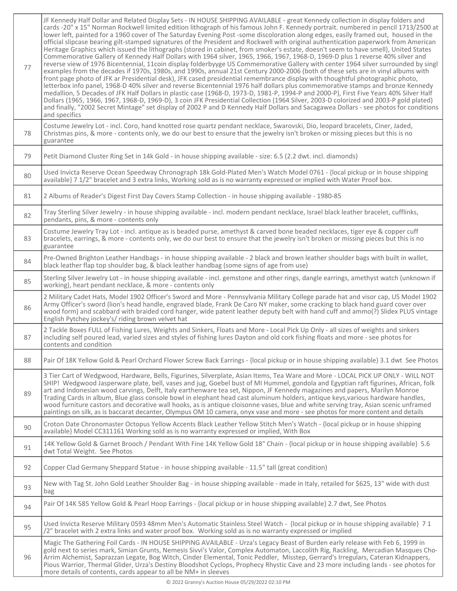| 77 | JF Kennedy Half Dollar and Related Display Sets - IN HOUSE SHIPPING AVAILABLE - great Kennedy collection in display folders and<br>cards -20" x 15" Norman Rockwell limited edition lithograph of his famous John F. Kennedy portrait. numbered in pencil 1713/2500 at<br>lower left, painted for a 1960 cover of The Saturday Evening Post -some discoloration along edges, easily framed out, housed in the<br>official slipcase bearing gilt-stamped signatures of the President and Rockwell with original authentication paperwork from American<br>Heritage Graphics which issued the lithographs (stored in cabinet, from smoker's estate, doesn't seem to have smell), United States<br>Commemorative Gallery of Kennedy Half Dollars with 1964 silver, 1965, 1966, 1967, 1968-D, 1969-D plus 1 reverse 40% silver and<br>reverse view of 1976 Bicentennial, 11coin display folderbyyge US Commemorative Gallery with center 1964 silver surrounded by singl<br>examples from the decades if 1970s, 1980s, and 1990s, annual 21st Century 2000-2006 (both of these sets are in vinyl albums with<br>front page photo of JFK ar Presidential desk), JFK cased presidential remembrance display with thoughtful photographic photo,<br>letterbox info panel, 1968-D 40% silver and reverse Bicentennial 1976 half dollars plus commemorative stamps and bronze Kennedy<br>medallion, 5 Decades of JFK Half Dollars in plastic case (1968-D, 1973-D, 1981-P, 1994-P and 2000-P), First Five Years 40% Silver Half<br>Dollars (1965, 1966, 1967, 1968-D, 1969-D), 3 coin JFK Presidential Collection (1964 Silver, 2003-D colorized and 2003-P gold plated)<br>and finally, "2002 Secret Mintage" set display of 2002 P and D Kennedy Half Dollars and Sacagawea Dollars - see photos for conditions<br>and specifics |
|----|---------------------------------------------------------------------------------------------------------------------------------------------------------------------------------------------------------------------------------------------------------------------------------------------------------------------------------------------------------------------------------------------------------------------------------------------------------------------------------------------------------------------------------------------------------------------------------------------------------------------------------------------------------------------------------------------------------------------------------------------------------------------------------------------------------------------------------------------------------------------------------------------------------------------------------------------------------------------------------------------------------------------------------------------------------------------------------------------------------------------------------------------------------------------------------------------------------------------------------------------------------------------------------------------------------------------------------------------------------------------------------------------------------------------------------------------------------------------------------------------------------------------------------------------------------------------------------------------------------------------------------------------------------------------------------------------------------------------------------------------------------------------------------------------------------------------------|
| 78 | Costume Jewelry Lot - incl. Coro, hand knotted rose quartz pendant necklace, Swarovski, Dio, leopard bracelets, Ciner, Jaded,<br>Christmas pins, & more - contents only, we do our best to ensure that the jewelry isn't broken or missing pieces but this is no<br>guarantee                                                                                                                                                                                                                                                                                                                                                                                                                                                                                                                                                                                                                                                                                                                                                                                                                                                                                                                                                                                                                                                                                                                                                                                                                                                                                                                                                                                                                                                                                                                                             |
| 79 | Petit Diamond Cluster Ring Set in 14k Gold - in house shipping available - size: 6.5 (2.2 dwt. incl. diamonds)                                                                                                                                                                                                                                                                                                                                                                                                                                                                                                                                                                                                                                                                                                                                                                                                                                                                                                                                                                                                                                                                                                                                                                                                                                                                                                                                                                                                                                                                                                                                                                                                                                                                                                            |
| 80 | Used Invicta Reserve Ocean Speedway Chronograph 18k Gold-Plated Men's Watch Model 0761 - {local pickup or in house shipping<br>available} 7 1/2" bracelet and 3 extra links, Working sold as is no warranty expressed or implied with Water Proof box.                                                                                                                                                                                                                                                                                                                                                                                                                                                                                                                                                                                                                                                                                                                                                                                                                                                                                                                                                                                                                                                                                                                                                                                                                                                                                                                                                                                                                                                                                                                                                                    |
| 81 | 2 Albums of Reader's Digest First Day Covers Stamp Collection - in house shipping available - 1980-85                                                                                                                                                                                                                                                                                                                                                                                                                                                                                                                                                                                                                                                                                                                                                                                                                                                                                                                                                                                                                                                                                                                                                                                                                                                                                                                                                                                                                                                                                                                                                                                                                                                                                                                     |
| 82 | Tray Sterling Silver Jewelry - in house shipping available - incl. modern pendant necklace, Israel black leather bracelet, cufflinks,<br>pendants, pins, & more - contents only                                                                                                                                                                                                                                                                                                                                                                                                                                                                                                                                                                                                                                                                                                                                                                                                                                                                                                                                                                                                                                                                                                                                                                                                                                                                                                                                                                                                                                                                                                                                                                                                                                           |
| 83 | Costume Jewelry Tray Lot - incl. antique as is beaded purse, amethyst & carved bone beaded necklaces, tiger eye & copper cuff<br>bracelets, earrings, & more - contents only, we do our best to ensure that the jewelry isn't broken or missing pieces but this is no<br>guarantee                                                                                                                                                                                                                                                                                                                                                                                                                                                                                                                                                                                                                                                                                                                                                                                                                                                                                                                                                                                                                                                                                                                                                                                                                                                                                                                                                                                                                                                                                                                                        |
| 84 | Pre-Owned Brighton Leather Handbags - in house shipping available - 2 black and brown leather shoulder bags with built in wallet,<br>black leather flap top shoulder bag, & black leather handbag (some signs of age from use)                                                                                                                                                                                                                                                                                                                                                                                                                                                                                                                                                                                                                                                                                                                                                                                                                                                                                                                                                                                                                                                                                                                                                                                                                                                                                                                                                                                                                                                                                                                                                                                            |
| 85 | Sterling Silver Jewelry Lot - in house shipping available - incl. gemstone and other rings, dangle earrings, amethyst watch (unknown if<br>working), heart pendant necklace, & more - contents only                                                                                                                                                                                                                                                                                                                                                                                                                                                                                                                                                                                                                                                                                                                                                                                                                                                                                                                                                                                                                                                                                                                                                                                                                                                                                                                                                                                                                                                                                                                                                                                                                       |
| 86 | 2 Military Cadet Hats, Model 1902 Officer's Sword and More - Pennsylvania Military College parade hat and visor cap, US Model 1902<br>Army Officer's sword (lion's head handle, engraved blade, Frank De Caro NY maker, some cracking to black hand guard cover over<br>wood form) and scabbard with braided cord hanger, wide patent leather deputy belt with hand cuff and ammo(?) Slidex PLUS vintage<br>English Pytchey jockey's/ riding brown velvet hat                                                                                                                                                                                                                                                                                                                                                                                                                                                                                                                                                                                                                                                                                                                                                                                                                                                                                                                                                                                                                                                                                                                                                                                                                                                                                                                                                             |
| 87 | 2 Tackle Boxes FULL of Fishing Lures, Weights and Sinkers, Floats and More - Local Pick Up Only - all sizes of weights and sinkers<br>including self poured lead, varied sizes and styles of fishing lures Dayton and old cork fishing floats and more - see photos for<br>contents and condition                                                                                                                                                                                                                                                                                                                                                                                                                                                                                                                                                                                                                                                                                                                                                                                                                                                                                                                                                                                                                                                                                                                                                                                                                                                                                                                                                                                                                                                                                                                         |
| 88 | Pair Of 18K Yellow Gold & Pearl Orchard Flower Screw Back Earrings - {local pickup or in house shipping available} 3.1 dwt See Photos                                                                                                                                                                                                                                                                                                                                                                                                                                                                                                                                                                                                                                                                                                                                                                                                                                                                                                                                                                                                                                                                                                                                                                                                                                                                                                                                                                                                                                                                                                                                                                                                                                                                                     |
| 89 | 3 Tier Cart of Wedgwood, Hardware, Bells, Figurines, Silverplate, Asian Items, Tea Ware and More - LOCAL PICK UP ONLY - WILL NOT<br>SHIP! Wedgwood Jasperware plate, bell, vases and jug, Goebel bust of MI Hummel, gondola and Egyptian raft figurines, African, folk<br>art and Indonesian wood carvings, Delft, Italy earthenware tea set, Nippon, JF Kennedy magazines and papers, Marilyn Monroe<br>Trading Cards in album, Blue glass console bowl in elephant head cast aluminum holders, antique keys, various hardware handles,<br>wood furniture castors and decorative wall hooks, as is antique cloisonne vases, blue and white serving tray, Asian scenic unframed<br>paintings on silk, as is baccarat decanter, Olympus OM 10 camera, onyx vase and more - see photos for more content and details                                                                                                                                                                                                                                                                                                                                                                                                                                                                                                                                                                                                                                                                                                                                                                                                                                                                                                                                                                                                         |
| 90 | Croton Date Chronomaster Octopus Yellow Accents Black Leather Yellow Stitch Men's Watch - {local pickup or in house shipping<br>available} Model CC311161 Working sold as is no warranty expressed or implied, With Box                                                                                                                                                                                                                                                                                                                                                                                                                                                                                                                                                                                                                                                                                                                                                                                                                                                                                                                                                                                                                                                                                                                                                                                                                                                                                                                                                                                                                                                                                                                                                                                                   |
| 91 | 14K Yellow Gold & Garnet Brooch / Pendant With Fine 14K Yellow Gold 18" Chain - {local pickup or in house shipping available} 5.6<br>dwt Total Weight. See Photos                                                                                                                                                                                                                                                                                                                                                                                                                                                                                                                                                                                                                                                                                                                                                                                                                                                                                                                                                                                                                                                                                                                                                                                                                                                                                                                                                                                                                                                                                                                                                                                                                                                         |
| 92 | Copper Clad Germany Sheppard Statue - in house shipping available - 11.5" tall (great condition)                                                                                                                                                                                                                                                                                                                                                                                                                                                                                                                                                                                                                                                                                                                                                                                                                                                                                                                                                                                                                                                                                                                                                                                                                                                                                                                                                                                                                                                                                                                                                                                                                                                                                                                          |
| 93 | New with Tag St. John Gold Leather Shoulder Bag - in house shipping available - made in Italy, retailed for \$625, 13" wide with dust<br>bag                                                                                                                                                                                                                                                                                                                                                                                                                                                                                                                                                                                                                                                                                                                                                                                                                                                                                                                                                                                                                                                                                                                                                                                                                                                                                                                                                                                                                                                                                                                                                                                                                                                                              |
| 94 | Pair Of 14K 585 Yellow Gold & Pearl Hoop Earrings - {local pickup or in house shipping available} 2.7 dwt, See Photos                                                                                                                                                                                                                                                                                                                                                                                                                                                                                                                                                                                                                                                                                                                                                                                                                                                                                                                                                                                                                                                                                                                                                                                                                                                                                                                                                                                                                                                                                                                                                                                                                                                                                                     |
| 95 | Used Invicta Reserve Military 0593 48mm Men's Automatic Stainless Steel Watch - {local pickup or in house shipping available} 7 1<br>/2" bracelet with 2 extra links and water proof box. Working sold as is no warranty expressed or implied                                                                                                                                                                                                                                                                                                                                                                                                                                                                                                                                                                                                                                                                                                                                                                                                                                                                                                                                                                                                                                                                                                                                                                                                                                                                                                                                                                                                                                                                                                                                                                             |
| 96 | Magic The Gathering Foil Cards - IN HOUSE SHIPPING AVAILABLE - Urza's Legacy Beast of Burden early release with Feb 6, 1999 in<br>gold next to series mark, Simian Grunts, Nemesis Sivvi's Valor, Complex Automaton, Laccolith Rig, Rackling, Mercadian Masques Cho-<br>Arrim Alchemist, Saprazzan Legate, Bog Witch, Cinder Elemental, Tonic Peddler, Misstep, Gerrard's Irregulars, Cateran Kidnappers,<br>Pious Warrior, Thermal Glider, Urza's Destiny Bloodshot Cyclops, Prophecy Rhystic Cave and 23 more including lands - see photos for<br>more details of contents, cards appear to all be NM+ in sleeves                                                                                                                                                                                                                                                                                                                                                                                                                                                                                                                                                                                                                                                                                                                                                                                                                                                                                                                                                                                                                                                                                                                                                                                                       |

٦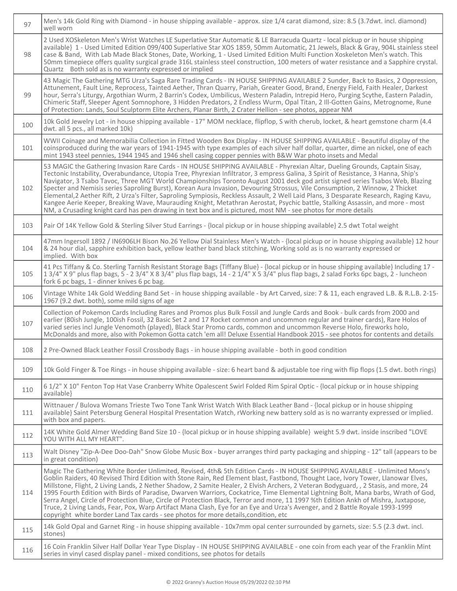| 97  | Men's 14k Gold Ring with Diamond - in house shipping available - approx. size 1/4 carat diamond, size: 8.5 (3.7dwt. incl. diamond)<br>well worn                                                                                                                                                                                                                                                                                                                                                                                                                                                                                                                                                                                                                                                                                                                                                                                 |
|-----|---------------------------------------------------------------------------------------------------------------------------------------------------------------------------------------------------------------------------------------------------------------------------------------------------------------------------------------------------------------------------------------------------------------------------------------------------------------------------------------------------------------------------------------------------------------------------------------------------------------------------------------------------------------------------------------------------------------------------------------------------------------------------------------------------------------------------------------------------------------------------------------------------------------------------------|
| 98  | 2 Used XOSkeleton Men's Wrist Watches LE Superlative Star Automatic & LE Barracuda Quartz - local pickup or in house shipping<br>available} 1 - Used Limited Edition 099/400 Superlative Star XOS 1859, 50mm Automatic, 21 Jewels, Black & Gray, 904L stainless steel<br>case & Band, With Lab Made Black Stones, Date, Working, 1 - Used Limited Edition Multi Function Xoskeleton Men's watch. This<br>50mm timepiece offers quality surgical grade 316L stainless steel construction, 100 meters of water resistance and a Sapphire crystal.<br>Quartz Both sold as is no warranty expressed or implied                                                                                                                                                                                                                                                                                                                      |
| 99  | 43 Magic The Gathering MTG Urza's Saga Rare Trading Cards - IN HOUSE SHIPPING AVAILABLE 2 Sunder, Back to Basics, 2 Oppression,<br>Attunement, Fault Line, Reprocess, Tainted Aether, Thran Quarry, Pariah, Greater Good, Brand, Energy Field, Faith Healer, Darkest<br>hour, Serra's Liturgy, Argothian Wurm, 2 Barrin's Codex, Umbilicus, Western Paladin, Intrepid Hero, Purging Scythe, Eastern Paladin,<br>Chimeric Staff, Sleeper Agent Somnophore, 3 Hidden Predators, 2 Endless Wurm, Opal Titan, 2 Ill-Gotten Gains, Metrognome, Rune<br>of Protection: Lands, Soul Sculptorm Elite Archers, Planar Birth, 2 Crater Hellion - see photos, appear NM                                                                                                                                                                                                                                                                    |
| 100 | 10k Gold Jewelry Lot - in house shipping available - 17" MOM necklace, flipflop, S with cherub, locket, & heart gemstone charm (4.4<br>dwt. all 5 pcs., all marked 10k)                                                                                                                                                                                                                                                                                                                                                                                                                                                                                                                                                                                                                                                                                                                                                         |
| 101 | WWII Coinage and Memorabilia Collection in Fitted Wooden Box Display - IN HOUSE SHIPPING AVAILABLE - Beautiful display of the<br>coinsproduced during the war years of 1941-1945 with type examples of each silver half dollar, quarter, dime an nickel, one of each<br>mint 1943 steel pennies, 1944 1945 and 1946 shell casing copper pennies with B&W War photo insets and Medal                                                                                                                                                                                                                                                                                                                                                                                                                                                                                                                                             |
| 102 | 53 MAGIC the Gathering Invasion Rare Cards - IN HOUSE SHIPPING AVAILABLE - Phyrexian Altar, Dueling Grounds, Captain Sisay,<br>Tectonic Instability, Overabundance, Utopia Tree, Phyrexian Infiltrator, 3 empress Galina, 3 Spirit of Resistance, 3 Hanna, Ship's<br>Navigator, 3 Tsabo Tavoc, Three MGT World Championships Toronto August 2001 deck god artist signed series Tsabos Web, Blazing<br>Specter and Nemisis series Saproling Burst), Korean Aura Invasion, Devouring Strossus, Vile Consumption, 2 Winnow, 2 Thicket<br>Elemental,2 Aether Rift, 2 Urza's Filter, Saproling Sympiosis, Reckless Assault, 2 Well Laid Plans, 3 Desparate Research, Raging Kavu,<br>Kangee Aerie Keeper, Breaking Wave, Maurauding Knight, Metathran Aerostat, Psychic battle, Stalking Assassin, and more - most<br>NM, a Crusading knight card has pen drawing in text box and is pictured, most NM - see photos for more details |
| 103 | Pair Of 14K Yellow Gold & Sterling Silver Stud Earrings - {local pickup or in house shipping available} 2.5 dwt Total weight                                                                                                                                                                                                                                                                                                                                                                                                                                                                                                                                                                                                                                                                                                                                                                                                    |
| 104 | 47mm Ingersoll 1892 / IN6906LH Bison No.26 Yellow Dial Stainless Men's Watch - {local pickup or in house shipping available} 12 hour<br>& 24 hour dial, sapphire exhibition back, yellow leather band black stitching, Working sold as is no warranty expressed or<br>implied. With box                                                                                                                                                                                                                                                                                                                                                                                                                                                                                                                                                                                                                                         |
| 105 | 41 Pcs Tiffany & Co. Sterling Tarnish Resistant Storage Bags {Tiffany Blue} - {local pickup or in house shipping available} Including 17 -<br>13/4" X 9" plus flap bags, 5 - 23/4" X 83/4" plus flap bags, 14 - 21/4" X 53/4" plus flap bags, 2 salad Forks 6pc bags, 2 - luncheon<br>fork 6 pc bags, 1 - dinner knives 6 pc bag.                                                                                                                                                                                                                                                                                                                                                                                                                                                                                                                                                                                               |
| 106 | Vintage White 14k Gold Wedding Band Set - in house shipping available - by Art Carved, size: 7 & 11, each engraved L.B. & R.L.B. 2-15-<br>1967 (9.2 dwt. both), some mild signs of age                                                                                                                                                                                                                                                                                                                                                                                                                                                                                                                                                                                                                                                                                                                                          |
| 107 | Collection of Pokemon Cards Including Rares and Promos plus Bulk Fossil and Jungle Cards and Book - bulk cards from 2000 and<br>earlier (80ish Jungle, 100ish Fossil, 32 Basic Set 2 and 17 Rocket common and uncommon regular and trainer cards), Rare Holos of<br>varied series incl Jungle Venomoth (played), Black Star Promo cards, common and uncommon Reverse Holo, fireworks holo,<br>McDonalds and more, also with Pokemon Gotta catch 'em all! Deluxe Essential Handbook 2015 - see photos for contents and details                                                                                                                                                                                                                                                                                                                                                                                                   |
| 108 | 2 Pre-Owned Black Leather Fossil Crossbody Bags - in house shipping available - both in good condition                                                                                                                                                                                                                                                                                                                                                                                                                                                                                                                                                                                                                                                                                                                                                                                                                          |
| 109 | 10k Gold Finger & Toe Rings - in house shipping available - size: 6 heart band & adjustable toe ring with flip flops (1.5 dwt. both rings)                                                                                                                                                                                                                                                                                                                                                                                                                                                                                                                                                                                                                                                                                                                                                                                      |
| 110 | 6 1/2" X 10" Fenton Top Hat Vase Cranberry White Opalescent Swirl Folded Rim Spiral Optic - {local pickup or in house shipping<br>available}                                                                                                                                                                                                                                                                                                                                                                                                                                                                                                                                                                                                                                                                                                                                                                                    |
| 111 | Wittnauer / Bulova Womans Trieste Two Tone Tank Wrist Watch With Black Leather Band - {local pickup or in house shipping<br>available} Saint Petersburg General Hospital Presentation Watch, rWorking new battery sold as is no warranty expressed or implied.<br>with box and papers.                                                                                                                                                                                                                                                                                                                                                                                                                                                                                                                                                                                                                                          |
| 112 | 14K White Gold Almer Wedding Band Size 10 - {local pickup or in house shipping available} weight 5.9 dwt. inside inscribed "LOVE<br>YOU WITH ALL MY HEART".                                                                                                                                                                                                                                                                                                                                                                                                                                                                                                                                                                                                                                                                                                                                                                     |
| 113 | Walt Disney "Zip-A-Dee Doo-Dah" Snow Globe Music Box - buyer arranges third party packaging and shipping - 12" tall (appears to be<br>in great condition)                                                                                                                                                                                                                                                                                                                                                                                                                                                                                                                                                                                                                                                                                                                                                                       |
| 114 | Magic The Gathering White Border Unlimited, Revised, 4th& 5th Edition Cards - IN HOUSE SHIPPING AVAILABLE - Unlimited Mons's<br>Goblin Raiders, 40 Revised Third Edition with Stone Rain, Red Element blast, Fastbond, Thought Lace, Ivory Tower, Llanowar Elves,<br>Millstone, Flight, 2 Living Lands, 2 Nether Shadow, 2 Samite Healer, 2 Elvish Archers, 2 Veteran Bodyguard, , 2 Stasis, and more, 24<br>1995 Fourth Edition with Birds of Paradise, Dwarven Warriors, Cockatrice, Time Elemental Lightning Bolt, Mana barbs, Wrath of God,<br>Serra Angel, Circle of Protection Blue, Circle of Protection Black, Terror and more, 11 1997 %th Edition Ankh of Mishra, Juxtapose,<br>Truce, 2 Living Lands, Fear, Pox, Warp Artifact Mana Clash, Eye for an Eye and Urza's Avenger, and 2 Battle Royale 1993-1999<br>copyright white border Land Tax cards - see photos for more details, condition, etc                   |
| 115 | 14k Gold Opal and Garnet Ring - in house shipping available - 10x7mm opal center surrounded by garnets, size: 5.5 (2.3 dwt. incl.<br>stones)                                                                                                                                                                                                                                                                                                                                                                                                                                                                                                                                                                                                                                                                                                                                                                                    |
| 116 | 16 Coin Franklin Silver Half Dollar Year Type Display - IN HOUSE SHIPPING AVAILABLE - one coin from each year of the Franklin Mint<br>series in vinyl cased display panel - mixed conditions, see photos for details                                                                                                                                                                                                                                                                                                                                                                                                                                                                                                                                                                                                                                                                                                            |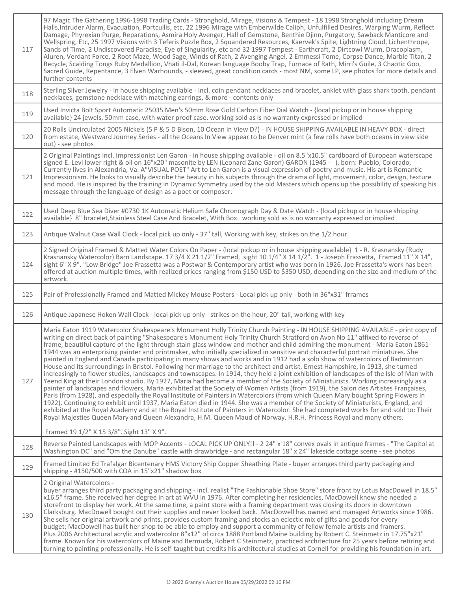| 117 | 97 Magic The Gathering 1996-1998 Trading Cards - Stronghold, Mirage, Visions & Tempest - 18 1998 Stronghold including Dream<br>Halls, Intruder Alarm, Evacuation, Portcullis, etc, 22 1996 Mirage with Emberwilde Caliph, Unfulfilled Desires, Warping Wurm, Reflect<br>Damage, Phyrexian Purge, Reparations, Asmira Holy Avenger, Hall of Gemstone, Benthie Djinn, Purgatory, Sawback Manticore and<br>Wellspring, Etc, 25 1997 Visions with 3 Teferis Puzzle Box, 2 Squandered Resources, Kaervek's Spite, Lightning Cloud, Lichenthrope,<br>Sands of Time, 2 Undiscovered Paradise, Eye of Singularity, etc and 32 1997 Tempest - Earthcraft, 2 Dirtcowl Wurm, Dracoplasm,<br>Aluren, Verdant Force, 2 Root Maze, Wood Sage, Winds of Rath, 2 Avenging Angel, 2 Emmessi Tome, Corpse Dance, Marble Titan, 2<br>Recycle, Scalding Tongs Ruby Medallion, Vhati il-Dal, Korean language Booby Trap, Furnace of Rath, Mirri's Guile, 3 Chaotic Goo,<br>Sacred Guide, Repentance, 3 Elven Warhounds, - sleeved, great condition cards - most NM, some LP, see photos for more details and<br>further contents                                                                                                                                                                                                                                                                                                                                                                                                                                                                                                                                                                                                                                                       |
|-----|-------------------------------------------------------------------------------------------------------------------------------------------------------------------------------------------------------------------------------------------------------------------------------------------------------------------------------------------------------------------------------------------------------------------------------------------------------------------------------------------------------------------------------------------------------------------------------------------------------------------------------------------------------------------------------------------------------------------------------------------------------------------------------------------------------------------------------------------------------------------------------------------------------------------------------------------------------------------------------------------------------------------------------------------------------------------------------------------------------------------------------------------------------------------------------------------------------------------------------------------------------------------------------------------------------------------------------------------------------------------------------------------------------------------------------------------------------------------------------------------------------------------------------------------------------------------------------------------------------------------------------------------------------------------------------------------------------------------------------------------------------------------|
| 118 | Sterling Silver Jewelry - in house shipping available - incl. coin pendant necklaces and bracelet, anklet with glass shark tooth, pendant<br>necklaces, gemstone necklace with matching earrings, & more - contents only                                                                                                                                                                                                                                                                                                                                                                                                                                                                                                                                                                                                                                                                                                                                                                                                                                                                                                                                                                                                                                                                                                                                                                                                                                                                                                                                                                                                                                                                                                                                          |
| 119 | Used Invicta Bolt Sport Automatic 25035 Men's 50mm Rose Gold Carbon Fiber Dial Watch - {local pickup or in house shipping<br>available} 24 jewels, 50mm case, with water proof case. working sold as is no warranty expressed or implied                                                                                                                                                                                                                                                                                                                                                                                                                                                                                                                                                                                                                                                                                                                                                                                                                                                                                                                                                                                                                                                                                                                                                                                                                                                                                                                                                                                                                                                                                                                          |
| 120 | 20 Rolls Uncirculated 2005 Nickels (5 P & 5 D Bison, 10 Ocean in View D?) - IN HOUSE SHIPPING AVAILABLE IN HEAVY BOX - direct<br>from estate, Westward Journey Series - all the Oceans In View appear to be Denver mint (a few rolls have both oceans in view side<br>out) - see photos                                                                                                                                                                                                                                                                                                                                                                                                                                                                                                                                                                                                                                                                                                                                                                                                                                                                                                                                                                                                                                                                                                                                                                                                                                                                                                                                                                                                                                                                           |
| 121 | 2 Original Paintings incl. Impressionist Len Garon - in house shipping available - oil on 8.5"x10.5" cardboard of European waterscape<br>signed E. Levi lower right & oil on 16"x20" masonite by LEN (Leonard Zane Garon) GARON (1945 - ), born: Pueblo, Colorado,<br>Currently lives in Alexandria, Va. A"VISUAL POET" Art to Len Garon is a visual expression of poetry and music. His art is Romantic<br>Impressionism. He looks to visually describe the beauty in his subjects through the drama of light, movement, color, design, texture<br>and mood. He is inspired by the training in Dynamic Symmetry used by the old Masters which opens up the possibility of speaking his<br>message through the language of design as a poet or composer.                                                                                                                                                                                                                                                                                                                                                                                                                                                                                                                                                                                                                                                                                                                                                                                                                                                                                                                                                                                                          |
| 122 | Used Deep Blue Sea Diver #0730 1K Automatic Helium Safe Chronograph Day & Date Watch - {local pickup or in house shipping<br>available} 8" bracelet, Stainless Steel Case And Bracelet, With Box. working sold as is no warranty expressed or implied                                                                                                                                                                                                                                                                                                                                                                                                                                                                                                                                                                                                                                                                                                                                                                                                                                                                                                                                                                                                                                                                                                                                                                                                                                                                                                                                                                                                                                                                                                             |
| 123 | Antique Walnut Case Wall Clock - local pick up only - 37" tall, Working with key, strikes on the 1/2 hour.                                                                                                                                                                                                                                                                                                                                                                                                                                                                                                                                                                                                                                                                                                                                                                                                                                                                                                                                                                                                                                                                                                                                                                                                                                                                                                                                                                                                                                                                                                                                                                                                                                                        |
| 124 | 2 Signed Original Framed & Matted Water Colors On Paper - {local pickup or in house shipping available} 1 - R. Krasnansky (Rudy<br>Krasnansky Watercolor) Barn Landscape. 17 3/4 X 21 1/2" Framed, sight 10 1/4" X 14 1/2". 1 - Joseph Frassetta, Framed 11" X 14",<br>sight 6" X 9". "Low Bridge" Joe Frassetta was a Postwar & Contemporary artist who was born in 1926. Joe Frassetta's work has been<br>offered at auction multiple times, with realized prices ranging from \$150 USD to \$350 USD, depending on the size and medium of the<br>artwork.                                                                                                                                                                                                                                                                                                                                                                                                                                                                                                                                                                                                                                                                                                                                                                                                                                                                                                                                                                                                                                                                                                                                                                                                      |
| 125 | Pair of Professionally Framed and Matted Mickey Mouse Posters - Local pick up only - both in 36"x31" frrames                                                                                                                                                                                                                                                                                                                                                                                                                                                                                                                                                                                                                                                                                                                                                                                                                                                                                                                                                                                                                                                                                                                                                                                                                                                                                                                                                                                                                                                                                                                                                                                                                                                      |
| 126 | Antique Japanese Hoken Wall Clock - local pick up only - strikes on the hour, 20" tall, working with key                                                                                                                                                                                                                                                                                                                                                                                                                                                                                                                                                                                                                                                                                                                                                                                                                                                                                                                                                                                                                                                                                                                                                                                                                                                                                                                                                                                                                                                                                                                                                                                                                                                          |
| 127 | Maria Eaton 1919 Watercolor Shakespeare's Monument Holly Trinity Church Painting - IN HOUSE SHIPPING AVAILABLE - print copy of<br>writing on direct back of painting "Shakespeare's Monument Holy Trinity Church Stratford on Avon No 11" affixed to reverse of<br>frame, beautiful capture of the light through stain glass window and mother and child admiring the monument - Maria Eaton 1861-<br>1944 was an enterprising painter and printmaker, who initially specialized in sensitive and characterful portrait miniatures. She<br>painted in England and Canada participating in many shows and works and in 1912 had a solo show of watercolors of Badminton<br>House and its surroundings in Bristol. Following her marriage to the architect and artist, Ernest Hampshire, in 1913, she turned<br>increasingly to flower studies, landscapes and townscapes. In 1914, they held a joint exhibition of landscapes of the Isle of Man with<br>Yeend King at their London studio. By 1927, Maria had become a member of the Society of Miniaturists. Working increasingly as a<br>painter of landscapes and flowers, Maria exhibited at the Society of Women Artists (from 1919), the Salon des Artistes Françaises,<br>Paris (from 1928), and especially the Royal Institute of Painters in Watercolors (from which Queen Mary bought Spring Flowers in<br>1922). Continuing to exhibit until 1937, Maria Eaton died in 1944. She was a member of the Society of Miniaturists, England, and<br>exhibited at the Royal Academy and at the Royal Institute of Painters in Watercolor. She had completed works for and sold to: Their<br>Royal Majesties Queen Mary and Queen Alexandra, H.M. Queen Maud of Norway, H.R.H. Princess Royal and many others. |
|     | Framed 19 1/2" X 15 3/8". Sight 13" X 9".                                                                                                                                                                                                                                                                                                                                                                                                                                                                                                                                                                                                                                                                                                                                                                                                                                                                                                                                                                                                                                                                                                                                                                                                                                                                                                                                                                                                                                                                                                                                                                                                                                                                                                                         |
| 128 | Reverse Painted Landscapes with MOP Accents - LOCAL PICK UP ONLY!! - 2 24" x 18" convex ovals in antique frames - "The Capitol at<br>Washington DC" and "Om the Danube" castle with drawbridge - and rectangular 18" x 24" lakeside cottage scene - see photos                                                                                                                                                                                                                                                                                                                                                                                                                                                                                                                                                                                                                                                                                                                                                                                                                                                                                                                                                                                                                                                                                                                                                                                                                                                                                                                                                                                                                                                                                                    |
| 129 | Framed Limited Ed Trafalgar Bicentenary HMS Victory Ship Copper Sheathing Plate - buyer arranges third party packaging and<br>shipping - #150/500 with COA in 15"x21" shadow box                                                                                                                                                                                                                                                                                                                                                                                                                                                                                                                                                                                                                                                                                                                                                                                                                                                                                                                                                                                                                                                                                                                                                                                                                                                                                                                                                                                                                                                                                                                                                                                  |
| 130 | 2 Original Watercolors -<br>buyer arranges third party packaging and shipping - incl. realist "The Fashionable Shoe Store" store front by Lotus MacDowell in 18.5"<br>x16.5" frame. She received her degree in art at WVU in 1976. After completing her residencies, MacDowell knew she needed a<br>storefront to display her work. At the same time, a paint store with a framing department was closing its doors in downtown<br>Clarksburg. MacDowell bought out their supplies and never looked back. MacDowell has owned and managed Artworks since 1986.<br>She sells her original artwork and prints, provides custom framing and stocks an eclectic mix of gifts and goods for every<br>budget; MacDowell has built her shop to be able to employ and support a community of fellow female artists and framers.<br>Plus 2006 Architectural acrylic and watercolor 8"x12" of circa 1888 Portland Maine building by Robert C. Steinmetz in 17.75"x21"<br>frame. Known for his watercolors of Maine and Bermuda, Robert C Steinmetz, practiced architecture for 25 years before retiring and<br>turning to painting professionally. He is self-taught but credits his architectural studies at Cornell for providing his foundation in art.                                                                                                                                                                                                                                                                                                                                                                                                                                                                                                                  |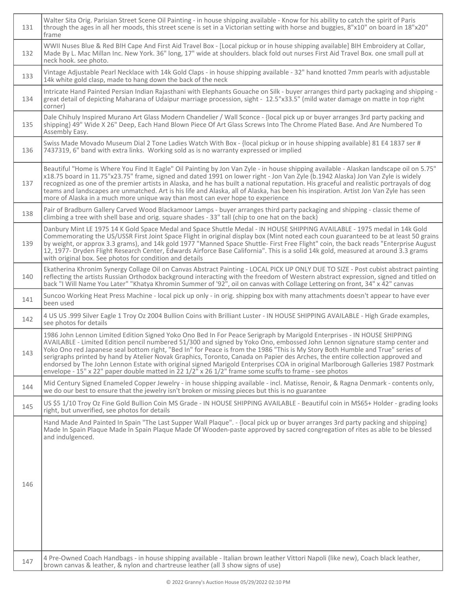| 131 | Walter Sita Orig. Parisian Street Scene Oil Painting - in house shipping available - Know for his ability to catch the spirit of Paris<br>through the ages in all her moods, this street scene is set in a Victorian setting with horse and buggies, 8"x10" on board in 18"x20"<br>frame                                                                                                                                                                                                                                                                                                                                                                                                                                                                               |
|-----|------------------------------------------------------------------------------------------------------------------------------------------------------------------------------------------------------------------------------------------------------------------------------------------------------------------------------------------------------------------------------------------------------------------------------------------------------------------------------------------------------------------------------------------------------------------------------------------------------------------------------------------------------------------------------------------------------------------------------------------------------------------------|
| 132 | WWII Nuses Blue & Red BIH Cape And First Aid Travel Box - [Local pickup or in house shipping available] BIH Embroidery at Collar,<br>Made By L. Mac Millan Inc. New York. 36" long, 17" wide at shoulders. black fold out nurses First Aid Travel Box. one small pull at<br>neck hook. see photo.                                                                                                                                                                                                                                                                                                                                                                                                                                                                      |
| 133 | Vintage Adjustable Pearl Necklace with 14k Gold Claps - in house shipping available - 32" hand knotted 7mm pearls with adjustable<br>14k white gold clasp, made to hang down the back of the neck                                                                                                                                                                                                                                                                                                                                                                                                                                                                                                                                                                      |
| 134 | Intricate Hand Painted Persian Indian Rajasthani with Elephants Gouache on Silk - buyer arranges third party packaging and shipping -<br>great detail of depicting Maharana of Udaipur marriage procession, sight - 12.5"x33.5" (mild water damage on matte in top right<br>corner)                                                                                                                                                                                                                                                                                                                                                                                                                                                                                    |
| 135 | Dale Chihuly Inspired Murano Art Glass Modern Chandelier / Wall Sconce - {local pick up or buyer arranges 3rd party packing and<br>shipping} 49" Wide X 26" Deep, Each Hand Blown Piece Of Art Glass Screws Into The Chrome Plated Base. And Are Numbered To<br>Assembly Easy.                                                                                                                                                                                                                                                                                                                                                                                                                                                                                         |
| 136 | Swiss Made Movado Museum Dial 2 Tone Ladies Watch With Box - {local pickup or in house shipping available} 81 E4 1837 ser #<br>7437319, 6" band with extra links. Working sold as is no warranty expressed or implied                                                                                                                                                                                                                                                                                                                                                                                                                                                                                                                                                  |
| 137 | Beautiful "Home is Where You Find It Eagle" Oil Painting by Jon Van Zyle - in house shipping available - Alaskan landscape oil on 5.75"<br>x18.75 board in 11.75"x23.75" frame, signed and dated 1991 on lower right - Jon Van Zyle (b.1942 Alaska) Jon Van Zyle is widely<br>recognized as one of the premier artists in Alaska, and he has built a national reputation. His graceful and realistic portrayals of dog<br>teams and landscapes are unmatched. Art is his life and Alaska, all of Alaska, has been his inspiration. Artist Jon Van Zyle has seen<br>more of Alaska in a much more unique way than most can ever hope to experience                                                                                                                      |
| 138 | Pair of Bradburn Gallery Carved Wood Blackamoor Lamps - buyer arranges third party packaging and shipping - classic theme of<br>climbing a tree with shell base and orig. square shades - 33" tall (chip to one hat on the back)                                                                                                                                                                                                                                                                                                                                                                                                                                                                                                                                       |
| 139 | Danbury Mint LE 1975 14 K Gold Space Medal and Space Shuttle Medal - IN HOUSE SHIPPING AVAILABLE - 1975 medal in 14k Gold<br>Commemorating the US/USSR First Joint Space Flight in original display box (Mint noted each coun guaranteed to be at least 50 grains<br>by weight, or approx 3.3 grams), and 14k gold 1977 "Manned Space Shuttle- First Free Flight" coin, the back reads "Enterprise August<br>12, 1977- Dryden Flight Research Center, Edwards Airforce Base California". This is a solid 14k gold, measured at around 3.3 grams<br>with original box. See photos for condition and details                                                                                                                                                             |
| 140 | Ekatherina Khronim Synergy Collage Oil on Canvas Abstract Painting - LOCAL PICK UP ONLY DUE TO SIZE - Post cubist abstract painting<br>reflecting the artists Russian Orthodox background interacting with the freedom of Western abstract expression, signed and titled on<br>back "I Will Name You Later" "Khatya Khromin Summer of '92", oil on canvas with Collage Lettering on front, 34" x 42" canvas                                                                                                                                                                                                                                                                                                                                                            |
| 141 | Suncoo Working Heat Press Machine - local pick up only - in orig. shipping box with many attachments doesn't appear to have ever<br>been used                                                                                                                                                                                                                                                                                                                                                                                                                                                                                                                                                                                                                          |
| 142 | 4 US US .999 Silver Eagle 1 Troy Oz 2004 Bullion Coins with Brilliant Luster - IN HOUSE SHIPPING AVAILABLE - High Grade examples,<br>see photos for details                                                                                                                                                                                                                                                                                                                                                                                                                                                                                                                                                                                                            |
| 143 | 1986 John Lennon Limited Edition Signed Yoko Ono Bed In For Peace Serigraph by Marigold Enterprises - IN HOUSE SHIPPING<br>AVAILABLE - Limited Edition pencil numbered 51/300 and signed by Yoko Ono, embossed John Lennon signature stamp center and<br>Yoko Ono red Japanese seal bottom right, "Bed In" for Peace is from the 1986 "This is My Story Both Humble and True" series of<br>serigraphs printed by hand by Atelier Novak Graphics, Toronto, Canada on Papier des Arches, the entire collection approved and<br>endorsed by The John Lennon Estate with original signed Marigold Enterprises COA in original Marlborough Galleries 1987 Postmark<br>envelope - 15" x 22" paper double matted in 22 1/2" x 26 1/2" frame some scuffs to frame - see photos |
| 144 | Mid Century Signed Enameled Copper Jewelry - in house shipping available - incl. Matisse, Renoir, & Ragna Denmark - contents only,<br>we do our best to ensure that the jewelry isn't broken or missing pieces but this is no guarantee                                                                                                                                                                                                                                                                                                                                                                                                                                                                                                                                |
| 145 | US \$5 1/10 Troy Oz Fine Gold Bullion Coin MS Grade - IN HOUSE SHIPPING AVAILABLE - Beautiful coin in MS65+ Holder - grading looks<br>right, but unverified, see photos for details                                                                                                                                                                                                                                                                                                                                                                                                                                                                                                                                                                                    |
|     | Hand Made And Painted In Spain "The Last Supper Wall Plaque". - {local pick up or buyer arranges 3rd party packing and shipping}<br>Made In Spain Plaque Made In Spain Plaque Made Of Wooden-paste approved by sacred congregation of rites as able to be blessed<br>and indulgenced.                                                                                                                                                                                                                                                                                                                                                                                                                                                                                  |
| 146 |                                                                                                                                                                                                                                                                                                                                                                                                                                                                                                                                                                                                                                                                                                                                                                        |
| 147 | 4 Pre-Owned Coach Handbags - in house shipping available - Italian brown leather Vittori Napoli (like new), Coach black leather,<br>brown canvas & leather, & nylon and chartreuse leather (all 3 show signs of use)                                                                                                                                                                                                                                                                                                                                                                                                                                                                                                                                                   |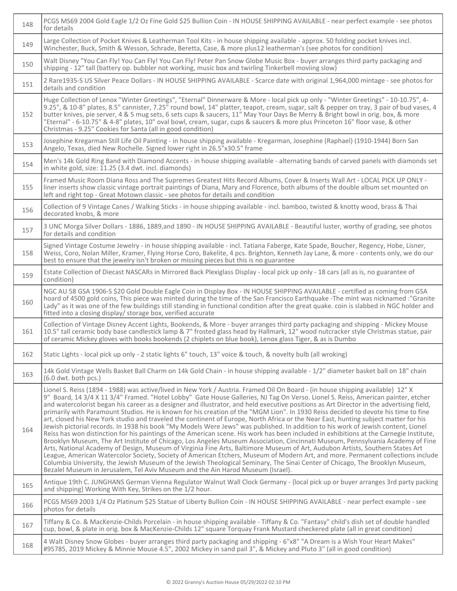| 148 | PCGS MS69 2004 Gold Eagle 1/2 Oz Fine Gold \$25 Bullion Coin - IN HOUSE SHIPPING AVAILABLE - near perfect example - see photos<br>for details                                                                                                                                                                                                                                                                                                                                                                                                                                                                                                                                                                                                                                                                                                                                                                                                                                                                                                                                                                                                                                                                                                                                                                                                                                                                                                                                                                                                                                                          |
|-----|--------------------------------------------------------------------------------------------------------------------------------------------------------------------------------------------------------------------------------------------------------------------------------------------------------------------------------------------------------------------------------------------------------------------------------------------------------------------------------------------------------------------------------------------------------------------------------------------------------------------------------------------------------------------------------------------------------------------------------------------------------------------------------------------------------------------------------------------------------------------------------------------------------------------------------------------------------------------------------------------------------------------------------------------------------------------------------------------------------------------------------------------------------------------------------------------------------------------------------------------------------------------------------------------------------------------------------------------------------------------------------------------------------------------------------------------------------------------------------------------------------------------------------------------------------------------------------------------------------|
| 149 | Large Collection of Pocket Knives & Leatherman Tool Kits - in house shipping available - approx. 50 folding pocket knives incl.<br>Winchester, Buck, Smith & Wesson, Schrade, Beretta, Case, & more plus12 leatherman's (see photos for condition)                                                                                                                                                                                                                                                                                                                                                                                                                                                                                                                                                                                                                                                                                                                                                                                                                                                                                                                                                                                                                                                                                                                                                                                                                                                                                                                                                     |
| 150 | Walt Disney "You Can Fly! You Can Fly! You Can Fly! Peter Pan Snow Globe Music Box - buyer arranges third party packaging and<br>shipping - 12" tall (battery op. bubbler not working, music box and twirling Tinkerbell moviing slow)                                                                                                                                                                                                                                                                                                                                                                                                                                                                                                                                                                                                                                                                                                                                                                                                                                                                                                                                                                                                                                                                                                                                                                                                                                                                                                                                                                 |
| 151 | 2 Rare1935-S US Silver Peace Dollars - IN HOUSE SHIPPING AVAILABLE - Scarce date with original 1,964,000 mintage - see photos for<br>details and condition                                                                                                                                                                                                                                                                                                                                                                                                                                                                                                                                                                                                                                                                                                                                                                                                                                                                                                                                                                                                                                                                                                                                                                                                                                                                                                                                                                                                                                             |
| 152 | Huge Collection of Lenox "Winter Greetings", "Eternal" Dinnerware & More - local pick up only - "Winter Greetings" - 10-10.75", 4-<br>9.25", & 10-8" plates, 8.5" cannister, 7.25" round bowl, 14" platter, teapot, cream, sugar, salt & pepper on tray, 3 pair of bud vases, 4<br>butter knives, pie server, 4 & 5 mug sets, 6 sets cups & saucers, 11" May Your Days Be Merry & Bright bowl in orig. box, & more<br>"Eternal" - 6-10.75" & 4-8" plates, 10" oval bowl, cream, sugar, cups & saucers & more plus Princeton 16" floor vase, & other<br>Christmas - 9.25" Cookies for Santa (all in good condition)                                                                                                                                                                                                                                                                                                                                                                                                                                                                                                                                                                                                                                                                                                                                                                                                                                                                                                                                                                                     |
| 153 | Josephine Kregarman Still Life Oil Painting - in house shipping available - Kregarman, Josephine (Raphael) (1910-1944) Born San<br>Angelo, Texas, died New Rochelle. Signed lower right in 26.5"x30.5" frame                                                                                                                                                                                                                                                                                                                                                                                                                                                                                                                                                                                                                                                                                                                                                                                                                                                                                                                                                                                                                                                                                                                                                                                                                                                                                                                                                                                           |
| 154 | Men's 14k Gold Ring Band with Diamond Accents - in house shipping available - alternating bands of carved panels with diamonds set<br>in white gold, size: 11.25 (3.4 dwt. incl. diamonds)                                                                                                                                                                                                                                                                                                                                                                                                                                                                                                                                                                                                                                                                                                                                                                                                                                                                                                                                                                                                                                                                                                                                                                                                                                                                                                                                                                                                             |
| 155 | Framed Music Room Diana Ross and The Supremes Greatest Hits Record Albums, Cover & Inserts Wall Art - LOCAL PICK UP ONLY -<br>liner inserts show classic vintage portrait paintings of Diana, Mary and Florence, both albums of the double album set mounted on<br>left and right top - Great Motown classic - see photos for details and condition                                                                                                                                                                                                                                                                                                                                                                                                                                                                                                                                                                                                                                                                                                                                                                                                                                                                                                                                                                                                                                                                                                                                                                                                                                                    |
| 156 | Collection of 9 Vintage Canes / Walking Sticks - in house shipping available - incl. bamboo, twisted & knotty wood, brass & Thai<br>decorated knobs, & more                                                                                                                                                                                                                                                                                                                                                                                                                                                                                                                                                                                                                                                                                                                                                                                                                                                                                                                                                                                                                                                                                                                                                                                                                                                                                                                                                                                                                                            |
| 157 | 3 UNC Morga Silver Dollars - 1886, 1889, and 1890 - IN HOUSE SHIPPING AVAILABLE - Beautiful luster, worthy of grading, see photos<br>for details and condition                                                                                                                                                                                                                                                                                                                                                                                                                                                                                                                                                                                                                                                                                                                                                                                                                                                                                                                                                                                                                                                                                                                                                                                                                                                                                                                                                                                                                                         |
| 158 | Signed Vintage Costume Jewelry - in house shipping available - incl. Tatiana Faberge, Kate Spade, Boucher, Regency, Hobe, Lisner,<br>Weiss, Coro, Nolan Miller, Kramer, Flying Horse Coro, Bakelite, 4 pcs. Brighton, Kenneth Jay Lane, & more - contents only, we do our<br>best to ensure that the jewelry isn't broken or missing pieces but this is no guarantee                                                                                                                                                                                                                                                                                                                                                                                                                                                                                                                                                                                                                                                                                                                                                                                                                                                                                                                                                                                                                                                                                                                                                                                                                                   |
| 159 | Estate Collection of Diecast NASCARs in Mirrored Back Plexiglass Display - local pick up only - 18 cars (all as is, no guarantee of<br>condition)                                                                                                                                                                                                                                                                                                                                                                                                                                                                                                                                                                                                                                                                                                                                                                                                                                                                                                                                                                                                                                                                                                                                                                                                                                                                                                                                                                                                                                                      |
| 160 | NGC AU 58 GSA 1906-S \$20 Gold Double Eagle Coin in Display Box - IN HOUSE SHIPPING AVAILABLE - certified as coming from GSA<br>hoard of 4500 gold coins, This piece was minted during the time of the San Francisco Earthquake -The mint was nicknamed :"Granite<br>Lady" as it was one of the few buildings still standing in functional condition after the great quake. coin is slabbed in NGC holder and<br>fitted into a closing display/ storage box, verified accurate                                                                                                                                                                                                                                                                                                                                                                                                                                                                                                                                                                                                                                                                                                                                                                                                                                                                                                                                                                                                                                                                                                                         |
| 161 | Collection of Vintage Disney Accent Lights, Bookends, & More - buyer arranges third party packaging and shipping - Mickey Mouse<br>10.5" tall ceramic body base candlestick lamp & 7" frosted glass head by Hallmark, 12" wood nutcracker style Christmas statue, pair<br>of ceramic Mickey gloves with books bookends (2 chiplets on blue book), Lenox glass Tiger, & as is Dumbo                                                                                                                                                                                                                                                                                                                                                                                                                                                                                                                                                                                                                                                                                                                                                                                                                                                                                                                                                                                                                                                                                                                                                                                                                     |
| 162 | Static Lights - local pick up only - 2 static lights 6" touch, 13" voice & touch, & novelty bulb (all wroking)                                                                                                                                                                                                                                                                                                                                                                                                                                                                                                                                                                                                                                                                                                                                                                                                                                                                                                                                                                                                                                                                                                                                                                                                                                                                                                                                                                                                                                                                                         |
| 163 | 14k Gold Vintage Wells Basket Ball Charm on 14k Gold Chain - in house shipping available - 1/2" diameter basket ball on 18" chain<br>$(6.0$ dwt. both pcs.)                                                                                                                                                                                                                                                                                                                                                                                                                                                                                                                                                                                                                                                                                                                                                                                                                                                                                                                                                                                                                                                                                                                                                                                                                                                                                                                                                                                                                                            |
| 164 | Lionel S. Reiss (1894 - 1988) was active/lived in New York / Austria. Framed Oil On Board - (in house shipping available} 12" X<br>9" Board, 14 3/4 X 11 3/4" Framed. "Hotel Lobby" Gate House Galleries, NJ Tag On Verso. Lionel S. Reiss, American painter, etcher<br>and watercolorist began his career as a designer and illustrator, and held executive positions as Art Director in the advertising field,<br>primarily with Paramount Studios. He is known for his creation of the "MGM Lion". In 1930 Reiss decided to devote his time to fine<br>art, closed his New York studio and traveled the continent of Europe, North Africa or the Near East, hunting subject matter for his<br>Jewish pictorial records. In 1938 his book "My Models Were Jews" was published. In addition to his work of Jewish content, Lionel<br>Reiss has won distinction for his paintings of the American scene. His work has been included in exhibitions at the Carnegie Institute,<br>Brooklyn Museum, The Art Institute of Chicago, Los Angeles Museum Association, Cincinnati Museum, Pennsylvania Academy of Fine<br>Arts, National Academy of Design, Museum of Virginia Fine Arts, Baltimore Museum of Art, Audubon Artists, Southern States Art<br>League, American Watercolor Society, Society of American Etchers, Museum of Modern Art, and more. Permanent collections include<br>Columbia University, the Jewish Museum of the Jewish Theological Seminary, The Sinai Center of Chicago, The Brooklyn Museum,<br>Bezalel Museum in Jerusalem, Tel Aviv Museum and the Ain Harod Museum (Israel). |
| 165 | Antique 19th C. JUNGHANS German Vienna Regulator Walnut Wall Clock Germany - {local pick up or buyer arranges 3rd party packing<br>and shipping} Working With Key, Strikes on the 1/2 hour.                                                                                                                                                                                                                                                                                                                                                                                                                                                                                                                                                                                                                                                                                                                                                                                                                                                                                                                                                                                                                                                                                                                                                                                                                                                                                                                                                                                                            |
| 166 | PCGS MS69 2003 1/4 Oz Platinum \$25 Statue of Liberty Bullion Coin - IN HOUSE SHIPPING AVAILABLE - near perfect example - see<br>photos for details                                                                                                                                                                                                                                                                                                                                                                                                                                                                                                                                                                                                                                                                                                                                                                                                                                                                                                                                                                                                                                                                                                                                                                                                                                                                                                                                                                                                                                                    |
| 167 | Tiffany & Co. & MacKenzie-Childs Porcelain - in house shipping available - Tiffany & Co. "Fantasy" child's dish set of double handled<br>cup, bowl, & plate in orig. box & MacKenzie-Childs 12" square Torquay Frank Mustard checkered plate (all in great condition)                                                                                                                                                                                                                                                                                                                                                                                                                                                                                                                                                                                                                                                                                                                                                                                                                                                                                                                                                                                                                                                                                                                                                                                                                                                                                                                                  |
| 168 | 4 Walt Disney Snow Globes - buyer arranges third party packaging and shipping - 6"x8" "A Dream is a Wish Your Heart Makes"<br>#95785, 2019 Mickey & Minnie Mouse 4.5", 2002 Mickey in sand pail 3", & Mickey and Pluto 3" (all in good condition)                                                                                                                                                                                                                                                                                                                                                                                                                                                                                                                                                                                                                                                                                                                                                                                                                                                                                                                                                                                                                                                                                                                                                                                                                                                                                                                                                      |

Ť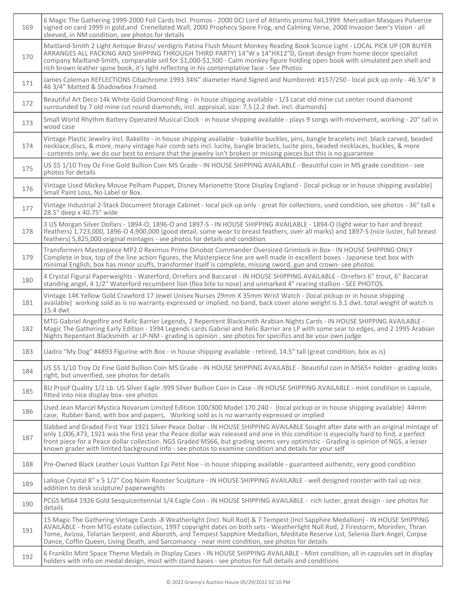| 169 | 6 Magic The Gathering 1999-2000 Foil Cards Incl. Promos - 2000 DCI Lord of Atlantis promo foil, 1999 Mercadian Masques Pulverize<br>signed on card 1999 in gold, and Crenellated Wall, 2000 Prophecy Spore Frog, and Calming Verse, 2000 Invasion Seer's Vision - all<br>sleeved, in NM condition, see photos for details                                                                                                                                                                                                   |
|-----|-----------------------------------------------------------------------------------------------------------------------------------------------------------------------------------------------------------------------------------------------------------------------------------------------------------------------------------------------------------------------------------------------------------------------------------------------------------------------------------------------------------------------------|
| 170 | Maitland-Smith 2 Light Antique Brass/verdigris Patina Flush Mount Monkey Reading Book Sconce Light - LOCAL PICK UP (OR BUYER<br>ARRANGES ALL PACKING AND SHIPPING THROUGH THIRD PARTY) 14"W x 14"HX12"D, Great design from home decor specialist<br>company Mailtand-Smith, comparable sell for \$1,000-\$1,500 - Calm monkey figure holding open book with simulated pen shell and<br>rich brown leather spine book, it's light reflecting in his contemplative face - See Photos                                          |
| 171 | James Coleman REFLECTIONS Cibachrome 1993 34%" diameter Hand Signed and Numbered: #157/250 - local pick up only - 46 3/4" X<br>46 3/4" Matted & Shadowbox Framed.                                                                                                                                                                                                                                                                                                                                                           |
| 172 | Beautiful Art Deco 14k White Gold Diamond Ring - in house shipping available - 1/3 carat old mine cut center round diamond<br>surrounded by 7 old mine cut round diamonds, incl. appraisal, size: 7.5 (2.2 dwt. incl. diamonds)                                                                                                                                                                                                                                                                                             |
| 173 | Small World Rhythm Battery Operated Musical Clock - in house shipping available - plays 9 songs with movement, working - 20" tall in<br>wood case                                                                                                                                                                                                                                                                                                                                                                           |
| 174 | Vintage Plastic Jewelry incl. Bakelite - in house shipping available - bakelite buckles, pins, bangle bracelets incl. black carved, beaded<br>necklace, discs, & more, many vintage hair comb sets incl. lucite, bangle braclets, lucite pins, beaded necklaces, buckles, & more<br>- contents only, we do our best to ensure that the jewelry isn't broken or missing pieces but this is no guarantee                                                                                                                      |
| 175 | US \$5 1/10 Troy Oz Fine Gold Bullion Coin MS Grade - IN HOUSE SHIPPING AVAILABLE - Beautiful coin in MS grade condition - see<br>photos for details                                                                                                                                                                                                                                                                                                                                                                        |
| 176 | Vintage Used Mickey Mouse Pelham Puppet, Disney Marionette Store Display England - {local pickup or in house shipping available}<br>Small Paint Loss, No Label or Box.                                                                                                                                                                                                                                                                                                                                                      |
| 177 | Vintage Industrial 2-Stack Document Storage Cabinet - local pick up only - great for collections, used condition, see photos - 36" tall x<br>28.5" deep x 40.75" wide                                                                                                                                                                                                                                                                                                                                                       |
| 178 | 3 US Morgan Silver Dollars - 1894-O, 1896-O and 1897-S - IN HOUSE SHIPPING AVAILABLE - 1894-O (light wear to hair and breast<br>Ifeathers) 1,723,000, 1896-O 4,900,000 (good detail, some wear to breast feathers, over all marks) and 1897-S (nice luster, full breast<br>feathers) 5,825,000 original mintages - see photos for details and condition                                                                                                                                                                     |
| 179 | Transformers Masterpiece MP2.0 Reximus Prime Dinobot Commander Oversized Grimlock in Box - IN HOUSE SHIPPING ONLY<br>Complete in box, top of the line action figures, the Masterpiece line are well made in excellent boxes - Japanese text box with<br>minimal English, box has minor scuffs, transformer itself is complete, missing sword, gun and crown- see photos                                                                                                                                                     |
| 180 | 4 Crystal Figural Paperweights - Waterford, Orrefors and Baccarat - IN HOUSE SHIPPING AVAILABLE - Orrefors 6" trout, 6" Baccarat<br>standing angel, 4 1/2" Waterford recumbent lion (flea bite to nose) and unmarked 4" rearing stallion - SEE PHOTOS                                                                                                                                                                                                                                                                       |
| 181 | Vintage 14K Yellow Gold Crawford 17 Jewel Unisex Nurses 29mm X 35mm Wrist Watch - {local pickup or in house shipping<br>available} working sold as is no warranty expressed or implied, no band, back cover alone weight is 3.1 dwt. total weight of watch is<br>15.4 dwt                                                                                                                                                                                                                                                   |
| 182 | MTG Gabriel Angelfire and Relic Barrier Legends, 2 Repentent Blacksmith Arabian Nights Cards - IN HOUSE SHIPPING AVAILABLE -<br>Magic The Gathering Early Edition - 1994 Legends cards Gabriel and Relic Barrier are LP with some sear to edges, and 2 1995 Arabian<br>Nights Repentant Blacksmith ar LP-NM - grading is opinion, see photos for specifics and be your own judge                                                                                                                                            |
| 183 | Lladro "My Dog" #4893 Figurine with Box - in house shipping available - retired, 14.5" tall (great condition, box as is)                                                                                                                                                                                                                                                                                                                                                                                                    |
| 184 | US \$5 1/10 Troy Oz Fine Gold Bullion Coin MS Grade - IN HOUSE SHIPPING AVAILABLE - Beautiful coin in MS65+ holder - grading looks<br>right, but unverified, see photos for details                                                                                                                                                                                                                                                                                                                                         |
| 185 | BU Proof Quality 1/2 Lb. US Silver Eagle .999 Silver Bullion Coin in Case - IN HOUSE SHIPPING AVAILABLE - mint condition in capsule,<br>fitted into nice display box- see photos                                                                                                                                                                                                                                                                                                                                            |
| 186 | Used Jean Marcel Mystica Novarum Limited Edition 100/300 Model 170.240 - {local pickup or in house shipping available} 44mm<br>case, Rubber Band, with box and papers, Working sold as is no warranty expressed or implied                                                                                                                                                                                                                                                                                                  |
| 187 | Slabbed and Graded First Year 1921 Silver Peace Dollar - IN HOUSE SHIPPING AVAILABLE Sought after date with an original mintage of<br>only 1,006,473, 1921 was the first year the Peace dollar was released and one in this condition is especially hard to find, a perfect<br>front piece for a Peace dollar collection. NGS Graded MS66, but grading seems very optimistic - Grading is opinion of NGS, a lesser<br>known grader with limited background info - see photos to examine condition and details for your self |
| 188 | Pre-Owned Black Leather Louis Vuitton Epi Petit Noe - in house shipping available - guaranteed authenitc, very good condition                                                                                                                                                                                                                                                                                                                                                                                               |
| 189 | Lalique Crystal 8" x 5 1/2" Coq Naim Rooster Sculpture - IN HOUSE SHIPPING AVAILABLE - well designed rooster with tail up nice<br>addition to desk sculpture/ paperweights                                                                                                                                                                                                                                                                                                                                                  |
| 190 | PCGS MS64 1926 Gold Sesquicentennial 1/4 Eagle Coin - IN HOUSE SHIPPING AVAILABLE - rich luster, great design - see photos for<br>details                                                                                                                                                                                                                                                                                                                                                                                   |
| 191 | 15 Magic The Gathering Vintage Cards -8 Weatherlight (Incl. Null Rod) & 7 Tempest (Incl Sapphire Medallion) - IN HOUSE SHIPPING<br>AVAILABLE - from MTG estate collection, 1997 copyright dates on both sets - Weatherlight Null Rod, 2 Firestorm, Morinfen, Thran<br>Tome, Avizoa, Tolarian Serpent, and Aboroth, and Tempest Sapphire Medallion, Meditate Reserve List, Selenia Dark Angel, Corpse<br>Dance, Coffin Queen, Living Death, and Sarcomancy - near mint condition, see photos for details                     |
| 192 | 6 Franklin Mint Space Theme Medals in Display Cases - IN HOUSE SHIPPING AVAILABLE - Mint condition, all in capsules set in display<br>holders with info on medal design, most with stand bases - see photos for full details and conditions                                                                                                                                                                                                                                                                                 |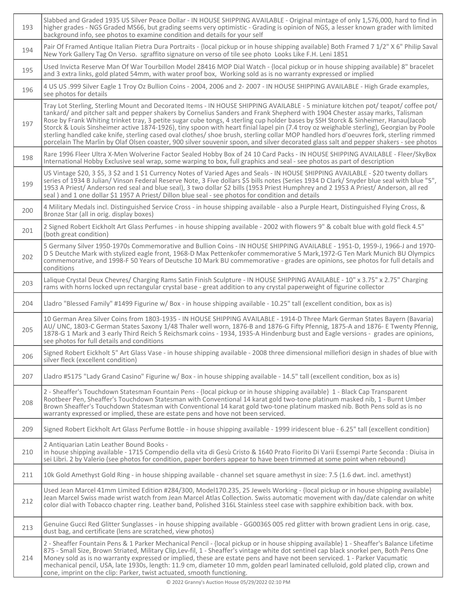| 193 | Slabbed and Graded 1935 US Silver Peace Dollar - IN HOUSE SHIPPING AVAILABLE - Original mintage of only 1,576,000, hard to find in<br>higher grades - NGS Graded MS66, but grading seems very optimistic - Grading is opinion of NGS, a lesser known grader with limited<br>background info, see photos to examine condition and details for your self                                                                                                                                                                                                                                                                                                                                                                                                                                                                                 |
|-----|----------------------------------------------------------------------------------------------------------------------------------------------------------------------------------------------------------------------------------------------------------------------------------------------------------------------------------------------------------------------------------------------------------------------------------------------------------------------------------------------------------------------------------------------------------------------------------------------------------------------------------------------------------------------------------------------------------------------------------------------------------------------------------------------------------------------------------------|
| 194 | Pair Of Framed Antique Italian Pietra Dura Portraits - {local pickup or in house shipping available} Both Framed 7 1/2" X 6" Philip Saval<br>New York Gallery Tag On Verso. sgraffito signature on verso of tile see photo Looks Like F.H. Leni 1851                                                                                                                                                                                                                                                                                                                                                                                                                                                                                                                                                                                   |
| 195 | Used Invicta Reserve Man Of War Tourbillon Model 28416 MOP Dial Watch - {local pickup or in house shipping available} 8" bracelet<br>and 3 extra links, gold plated 54mm, with water proof box, Working sold as is no warranty expressed or implied                                                                                                                                                                                                                                                                                                                                                                                                                                                                                                                                                                                    |
| 196 | 4 US US .999 Silver Eagle 1 Troy Oz Bullion Coins - 2004, 2006 and 2-2007 - IN HOUSE SHIPPING AVAILABLE - High Grade examples,<br>see photos for details                                                                                                                                                                                                                                                                                                                                                                                                                                                                                                                                                                                                                                                                               |
| 197 | Tray Lot Sterling, Sterling Mount and Decorated Items - IN HOUSE SHIPPING AVAILABLE - 5 miniature kitchen pot/ teapot/ coffee pot/<br>tankard/ and pitcher salt and pepper shakers by Cornelius Sanders and Frank Shepherd with 1904 Chester assay marks, Talisman<br>Rose by Frank Whiting trinket tray, 3 petite sugar cube tongs, 4 sterling cup holder bases by SSH Storck & Sinheimer, Hanau(Jacob<br>Storck & Louis Sinsheimer active 1874-1926), tiny spoon with heart finial lapel pin (7.4 troy oz weighable sterling), Georgian by Poole<br>sterling handled cake knife, sterling cased oval clothes/ shoe brush, sterling collar MOP handled hors d'oeuvres fork, sterling rimmed<br>porcelain The Marlin by Olaf Olsen coaster, 900 silver souvenir spoon, and silver decorated glass salt and pepper shakers - see photos |
| 198 | Rare 1996 Fleer Ultra X-Men Wolverine Factor Sealed Hobby Box of 24 10 Card Packs - IN HOUSE SHIPPING AVAILABLE - Fleer/SkyBox<br>International Hobby Exclusive seal wrap, some warping to box, full graphics and seal - see photos as part of description                                                                                                                                                                                                                                                                                                                                                                                                                                                                                                                                                                             |
| 199 | US Vintage \$20, 3 \$5, 3 \$2 and 1 \$1 Currency Notes of Varied Ages and Seals - IN HOUSE SHIPPING AVAILABLE - \$20 twenty dollars<br>series of 1934 B Julian/ Vinson Federal Reserve Note, 3 Five dollars \$5 bills notes (Series 1934 D Clark/ Snyder blue seal with blue "5",<br>1953 A Priest/ Anderson red seal and blue seal), 3 two dollar \$2 bills (1953 Priest Humphrey and 2 1953 A Priest/ Anderson, all red<br>seal) and 1 one dollar \$1 1957 A Priest/ Dillon blue seal - see photos for condition and details                                                                                                                                                                                                                                                                                                         |
| 200 | 4 Military Medals incl. Distinguished Service Cross - in house shipping available - also a Purple Heart, Distinguished Flying Cross, &<br>Bronze Star (all in orig. display boxes)                                                                                                                                                                                                                                                                                                                                                                                                                                                                                                                                                                                                                                                     |
| 201 | 2 Signed Robert Eickholt Art Glass Perfumes - in house shipping available - 2002 with flowers 9" & cobalt blue with gold fleck 4.5"<br>(both great condition)                                                                                                                                                                                                                                                                                                                                                                                                                                                                                                                                                                                                                                                                          |
| 202 | 5 Germany Silver 1950-1970s Commemorative and Bullion Coins - IN HOUSE SHIPPING AVAILABLE - 1951-D, 1959-J, 1966-J and 1970-<br>D 5 Deutche Mark with stylized eagle front, 1968-D Max Pettenkofer commemorative 5 Mark, 1972-G Ten Mark Munich BU Olympics<br>commemorative, and 1998-F 50 Years of Deutsche 10 Mark BU commemorative - grades are opinions, see photos for full details and<br>conditions                                                                                                                                                                                                                                                                                                                                                                                                                            |
| 203 | Lalique Crystal Deux Chevres/ Charging Rams Satin Finish Sculpture - IN HOUSE SHIPPING AVAILABLE - 10" x 3.75" x 2.75" Charging<br>rams with horns locked upn rectangular crystal base - great addition to any crystal paperweight of figurine collector                                                                                                                                                                                                                                                                                                                                                                                                                                                                                                                                                                               |
| 204 | Lladro "Blessed Family" #1499 Figurine w/ Box - in house shipping available - 10.25" tall (excellent condition, box as is)                                                                                                                                                                                                                                                                                                                                                                                                                                                                                                                                                                                                                                                                                                             |
| 205 | 10 German Area Silver Coins from 1803-1935 - IN HOUSE SHIPPING AVAILABLE - 1914-D Three Mark German States Bayern (Bavaria)<br>AU/ UNC, 1803-C German States Saxony 1/48 Thaler well worn, 1876-B and 1876-G Fifty Pfennig, 1875-A and 1876- E Twenty Pfennig,<br>1878-G 1 Mark and 3 early Third Reich 5 Reichsmark coins - 1934, 1935-A Hindenburg bust and Eagle versions - grades are opinions,<br>see photos for full details and conditions                                                                                                                                                                                                                                                                                                                                                                                      |
| 206 | Signed Robert Eickholt 5" Art Glass Vase - in house shipping available - 2008 three dimensional millefiori design in shades of blue with<br>silver fleck (excellent condition)                                                                                                                                                                                                                                                                                                                                                                                                                                                                                                                                                                                                                                                         |
| 207 | Lladro #5175 "Lady Grand Casino" Figurine w/ Box - in house shipping available - 14.5" tall (excellent condition, box as is)                                                                                                                                                                                                                                                                                                                                                                                                                                                                                                                                                                                                                                                                                                           |
| 208 | 2 - Sheaffer's Touchdown Statesman Fountain Pens - {local pickup or in house shipping available} 1 - Black Cap Transparent<br>Rootbeer Pen, Sheaffer's Touchdown Statesman with Conventional 14 karat gold two-tone platinum masked nib, 1 - Burnt Umber<br>Brown Sheaffer's Touchdown Statesman with Conventional 14 karat gold two-tone platinum masked nib. Both Pens sold as is no<br>warranty expressed or implied, these are estate pens and hove not been serviced.                                                                                                                                                                                                                                                                                                                                                             |
| 209 | Signed Robert Eickholt Art Glass Perfume Bottle - in house shipping available - 1999 iridescent blue - 6.25" tall (excellent condition)                                                                                                                                                                                                                                                                                                                                                                                                                                                                                                                                                                                                                                                                                                |
| 210 | 2 Antiquarian Latin Leather Bound Books -<br>in house shipping available - 1715 Compendio della vita di Gesù Cristo & 1640 Prato Fiorito Di Varii Essempi Parte Seconda : Diuisa in<br>sei Libri. 2 by Valerio (see photos for condition, paper borders appear to have been trimmed at some point when rebound)                                                                                                                                                                                                                                                                                                                                                                                                                                                                                                                        |
| 211 | 10k Gold Amethyst Gold Ring - in house shipping available - channel set square amethyst in size: 7.5 (1.6 dwt. incl. amethyst)                                                                                                                                                                                                                                                                                                                                                                                                                                                                                                                                                                                                                                                                                                         |
| 212 | Used Jean Marcel 41mm Limited Edition #284/300, Model170.235, 25 Jewels Working - {local pickup or in house shipping available}<br>Jean Marcel Swiss made wrist watch from Jean Marcel Atlas Collection. Swiss automatic movement with day/date calendar on white<br>color dial with Tobacco chapter ring. Leather band, Polished 316L Stainless steel case with sapphire exhibition back. with box.                                                                                                                                                                                                                                                                                                                                                                                                                                   |
| 213 | Genuine Gucci Red Glitter Sunglasses - in house shipping available - GG0036S 005 red glitter with brown gradient Lens in orig. case,<br>dust bag, and certificate (lens are scratched, view photos)                                                                                                                                                                                                                                                                                                                                                                                                                                                                                                                                                                                                                                    |
| 214 | 2 - Sheaffer Fountain Pens & 1 Parker Mechanical Pencil - {local pickup or in house shipping available} 1 - Sheaffer's Balance Lifetime<br>875 - Small Size, Brown Striated, Military Clip, Lev-fil, 1 - Sheaffer's vintage white dot sentinel cap black snorkel pen, Both Pens One<br>Money sold as is no warranty expressed or implied, these are estate pens and have not been serviced. 1 - Parker Vacumatic<br>mechanical pencil, USA, late 1930s, length: 11.9 cm, diameter 10 mm, golden pearl laminated celluloid, gold plated clip, crown and<br>cone, imprint on the clip: Parker, twist actuated, smooth functioning.                                                                                                                                                                                                       |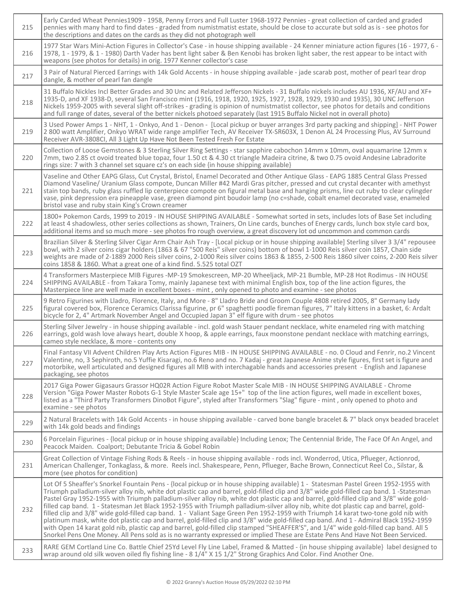| 215 | Early Carded Wheat Pennies1909 - 1958, Penny Errors and Full Luster 1968-1972 Pennies - great collection of carded and graded<br>pennies with many hard to find dates - graded from numistmatist estate, should be close to accurate but sold as is - see photos for<br>the descriptions and dates on the cards as they did not photograph well                                                                                                                                                                                                                                                                                                                                                                                                                                                                                                                                                                                                                                                                                                                                                                         |
|-----|-------------------------------------------------------------------------------------------------------------------------------------------------------------------------------------------------------------------------------------------------------------------------------------------------------------------------------------------------------------------------------------------------------------------------------------------------------------------------------------------------------------------------------------------------------------------------------------------------------------------------------------------------------------------------------------------------------------------------------------------------------------------------------------------------------------------------------------------------------------------------------------------------------------------------------------------------------------------------------------------------------------------------------------------------------------------------------------------------------------------------|
| 216 | 1977 Star Wars Mini-Action Figures in Collector's Case - in house shipping available - 24 Kenner miniature action figures (16 - 1977, 6 -<br>1978, 1 - 1979, & 1 - 1980) Darth Vader has bent light saber & Ben Kenobi has broken light saber, the rest appear to be intact with<br>weapons (see photos for details) in orig. 1977 Kenner collector's case                                                                                                                                                                                                                                                                                                                                                                                                                                                                                                                                                                                                                                                                                                                                                              |
| 217 | 3 Pair of Natural Pierced Earrings with 14k Gold Accents - in house shipping available - jade scarab post, mother of pearl tear drop<br>dangle, & mother of pearl fan dangle                                                                                                                                                                                                                                                                                                                                                                                                                                                                                                                                                                                                                                                                                                                                                                                                                                                                                                                                            |
| 218 | 31 Buffalo Nickles Incl Better Grades and 30 Unc and Related Jefferson Nickels - 31 Buffalo nickels includes AU 1936, XF/AU and XF+<br>1935-D, and XF 1938-D, several San Francisco mint (1916, 1918, 1920, 1925, 1927, 1928, 1929, 1930 and 1935), 30 UNC Jefferson<br>Nickels 1959-2005 with several slight off-strikes - grading is opinion of numistmatist collector, see photos for details and conditions<br>and full range of dates, several of the better nickels photoed separately (last 1915 Buffalo Nickel not in overall photo)                                                                                                                                                                                                                                                                                                                                                                                                                                                                                                                                                                            |
| 219 | 3 Used Power Amps 1 - NHT, 1 - Onkyo, And 1 - Denon - [Local pickup or buyer arranges 3rd party packing and shipping] - NHT Power<br>2 800 watt Amplifier, Onkyo WRAT wide range amplifier Tech, AV Receiver TX-SR603X, 1 Denon AL 24 Processing Plus, AV Surround<br>Receiver AVR-3808CI, All 3 Light Up Have Not Been Tested Fresh For Estate                                                                                                                                                                                                                                                                                                                                                                                                                                                                                                                                                                                                                                                                                                                                                                         |
| 220 | Collection of Loose Gemstones & 3 Sterling Silver Ring Settings - star sapphire cabochon 14mm x 10mm, oval aquamarine 12mm x<br>7mm, two 2.85 ct ovoid treated blue topaz, four 1.50 ct & 4.30 ct triangle Madeira citrine, & two 0.75 ovoid Andesine Labradorite<br>rings size: 7 with 3 channel set square cz's on each side {in house shipping available}                                                                                                                                                                                                                                                                                                                                                                                                                                                                                                                                                                                                                                                                                                                                                            |
| 221 | Vaseline and Other EAPG Glass, Cut Crystal, Bristol, Enamel Decorated and Other Antique Glass - EAPG 1885 Central Glass Pressed<br>Diamond Vaseline/ Uranium Glass compote, Duncan Miller #42 Mardi Gras pitcher, pressed and cut crystal decanter with amethyst<br>stain top bands, ruby glass ruffled lip centerpiece compote on figural metal base and hanging prisms, line cut ruby to clear cylingder<br>vase, pink depression era pineapple vase, green diamond pint boudoir lamp (no c=shade, cobalt enamel decorated vase, enameled<br>bristol vase and ruby stain King's Crown creamer                                                                                                                                                                                                                                                                                                                                                                                                                                                                                                                         |
| 222 | 1800+ Pokemon Cards, 1999 to 2019 - IN HOUSE SHIPPING AVAILABLE - Somewhat sorted in sets, includes lots of Base Set including<br>at least 4 shadowless, other series collections as shown, Trainers, On Line cards, bunches of Energy cards, lunch box style card box,<br>additional items and so much more - see photos fro rough overview, a great discovery lot od uncommon and common cards                                                                                                                                                                                                                                                                                                                                                                                                                                                                                                                                                                                                                                                                                                                        |
| 223 | Brazilian Silver & Sterling Silver Cigar Arm Chair Ash Tray - [Local pickup or in house shipping available] Sterling silver 3 3/4" repousee<br>bowl, with 2 silver coins cigar holders (1863 & 67 "500 Reis" silver coins) bottom of bowl 1-1000 Reis silver coin 1857, Chain side<br>weights are made of 2-1889 2000 Reis silver coins, 2-1000 Reis silver coins 1863 & 1855, 2-500 Reis 1860 silver coins, 2-200 Reis silver<br>coins 1858 & 1860. What a great one of a kind find. 5.525 total OZT                                                                                                                                                                                                                                                                                                                                                                                                                                                                                                                                                                                                                   |
| 224 | 4 Transformers Masterpiece MIB Figures -MP-19 Smokescreen, MP-20 Wheeljack, MP-21 Bumble, MP-28 Hot Rodimus - IN HOUSE<br>SHIPPING AVAILABLE - from Takara Tomy, mainly Japanese text with minimal English box, top of the line action figures, the<br>Masterpiece line are well made in excellent boxes - mint, only opened to photo and examine - see photos                                                                                                                                                                                                                                                                                                                                                                                                                                                                                                                                                                                                                                                                                                                                                          |
| 225 | 9 Retro Figurines with Lladro, Florence, Italy, and More - 8" Lladro Bride and Groom Couple 4808 retired 2005, 8" Germany lady<br>figural covered box, Florence Ceramics Clarissa figurine, pr 6" spaghetti poodle fireman figures, 7" Italy kittens in a basket, 6: Ardalt<br>bicycle for 2, 4" Artmark November Angel and Occupied Japan 3" elf figure with drum - see photos                                                                                                                                                                                                                                                                                                                                                                                                                                                                                                                                                                                                                                                                                                                                         |
| 226 | Sterling Silver Jewelry - in house shipping available - incl. gold wash Stauer pendant necklace, white enameled ring with matching<br>earrings, gold wash love always heart, double X hoop, & apple earrings, faux moonstone pendant necklace with matching earrings,<br>cameo style necklace, & more - contents ony                                                                                                                                                                                                                                                                                                                                                                                                                                                                                                                                                                                                                                                                                                                                                                                                    |
| 227 | Final Fantasy VII Advent Children Play Arts Action Figures MIB - IN HOUSE SHIPPING AVAILABLE - no. 0 Cloud and Fenrir, no.2 Vincent<br>Valentine, no, 3 Sephiroth, no.5 Yuffie Kisaragi, no.6 Reno and no. 7 Kadaj - great Japanese Anime style figures, first set is figure and<br>motorbike, well articulated and designed figures all MIB with interchagable hands and accessories present - English and Japanese<br>packaging, see photos                                                                                                                                                                                                                                                                                                                                                                                                                                                                                                                                                                                                                                                                           |
| 228 | 2017 Giga Power Gigasaurs Grassor HQ02R Action Figure Robot Master Scale MIB - IN HOUSE SHIPPING AVAILABLE - Chrome<br>Version "Giga Power Master Robots G-1 Style Master Scale age 15+" top of the line action figures, well made in excellent boxes,<br>listed as a "Third Party Transformers DinoBot Figure", styled after Transformers "Slag" figure - mint, only opened to photo and<br>examine - see photos                                                                                                                                                                                                                                                                                                                                                                                                                                                                                                                                                                                                                                                                                                       |
| 229 | 2 Natural Bracelets with 14k Gold Accents - in house shipping available - carved bone bangle bracelet & 7" black onyx beaded bracelet<br>with 14k gold beads and findings                                                                                                                                                                                                                                                                                                                                                                                                                                                                                                                                                                                                                                                                                                                                                                                                                                                                                                                                               |
| 230 | 6 Porcelain Figurines - {local pickup or in house shipping available} Including Lenox; The Centennial Bride, The Face Of An Angel, and<br>Peacock Maiden. Coalport; Debutante Tricia & Gobel Robin                                                                                                                                                                                                                                                                                                                                                                                                                                                                                                                                                                                                                                                                                                                                                                                                                                                                                                                      |
| 231 | Great Collection of Vintage Fishing Rods & Reels - in house shipping available - rods incl. Wonderrod, Utica, Pflueger, Actionrod,<br>American Challenger, Tonkaglass, & more. Reels incl. Shakespeare, Penn, Pflueger, Bache Brown, Connecticut Reel Co., Silstar, &<br>more (see photos for condition)                                                                                                                                                                                                                                                                                                                                                                                                                                                                                                                                                                                                                                                                                                                                                                                                                |
| 232 | Lot Of 5 Sheaffer's Snorkel Fountain Pens - {local pickup or in house shipping available} 1 - Statesman Pastel Green 1952-1955 with<br>Triumph palladium-silver alloy nib, white dot plastic cap and barrel, gold-filled clip and 3/8" wide gold-filled cap band. 1 -Statesman<br>Pastel Gray 1952-1955 with Triumph palladium-silver alloy nib, white dot plastic cap and barrel, gold-filled clip and 3/8" wide gold-<br>filled cap band. 1 - Statesman Jet Black 1952-1955 with Triumph palladium-silver alloy nib, white dot plastic cap and barrel, gold-<br>filled clip and 3/8" wide gold-filled cap band. 1 - Valiant Sage Green Pen 1952-1959 with Triumph 14 karat two-tone gold nib with<br>platinum mask, white dot plastic cap and barrel, gold-filled clip and 3/8" wide gold-filled cap band. And 1 - Admiral Black 1952-1959<br>with Open 14 karat gold nib, plastic cap and barrel, gold-filled clip stamped "SHEAFFER'S", and 1/4" wide gold-filled cap band. All 5<br>Snorkel Pens One Money. All Pens sold as is no warranty expressed or implied These are Estate Pens And Have Not Been Serviced. |
| 233 | RARE GEM Cortland Line Co. Battle Chief 25Yd Level Fly Line Label, Framed & Matted - {in house shipping available} label designed to<br>wrap around old silk woven oiled fly fishing line - 8 1/4" X 15 1/2" Strong Graphics And Color. Find Another One.                                                                                                                                                                                                                                                                                                                                                                                                                                                                                                                                                                                                                                                                                                                                                                                                                                                               |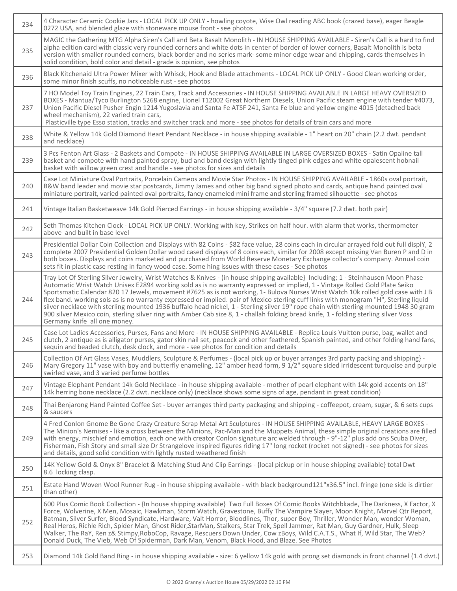| 234 | 4 Character Ceramic Cookie Jars - LOCAL PICK UP ONLY - howling coyote, Wise Owl reading ABC book (crazed base), eager Beagle<br>0272 USA, and blended glaze with stoneware mouse front - see photos                                                                                                                                                                                                                                                                                                                                                                                                                                                                                                                                                                                                                                                             |
|-----|-----------------------------------------------------------------------------------------------------------------------------------------------------------------------------------------------------------------------------------------------------------------------------------------------------------------------------------------------------------------------------------------------------------------------------------------------------------------------------------------------------------------------------------------------------------------------------------------------------------------------------------------------------------------------------------------------------------------------------------------------------------------------------------------------------------------------------------------------------------------|
| 235 | MAGIC the Gathering MTG Alpha Siren's Call and Beta Basalt Monolith - IN HOUSE SHIPPING AVAILABLE - Siren's Call is a hard to find<br>alpha edition card with classic very rounded corners and white dots in center of border of lower corners, Basalt Monolith is beta<br>version with smaller rounded corners, black border and no series mark-some minor edge wear and chipping, cards themselves in<br>solid condition, bold color and detail - grade is opinion, see photos                                                                                                                                                                                                                                                                                                                                                                                |
| 236 | Black Kitchenaid Ultra Power Mixer with Whisck, Hook and Blade attachments - LOCAL PICK UP ONLY - Good Clean working order,<br>some minor finish scuffs, no noticeable rust - see photos                                                                                                                                                                                                                                                                                                                                                                                                                                                                                                                                                                                                                                                                        |
| 237 | 7 HO Model Toy Train Engines, 22 Train Cars, Track and Accessories - IN HOUSE SHIPPING AVAILABLE IN LARGE HEAVY OVERSIZED<br>BOXES - Mantua/Tyco Burlington 5268 engine, Lionel T12002 Great Northern Diesels, Union Pacific steam engine with tender #4073,<br>Union Pacific Diesel Pusher Engin 1214 Yugoslavia and Santa Fe ATSF 241, Santa Fe blue and yellow engine 4015 (detached back<br>wheel mechanism), 22 varied train cars,<br>Plasticville type Esso station, tracks and switcher track and more - see photos for details of train cars and more                                                                                                                                                                                                                                                                                                   |
| 238 | White & Yellow 14k Gold Diamond Heart Pendant Necklace - in house shipping available - 1" heart on 20" chain (2.2 dwt. pendant<br>and necklace)                                                                                                                                                                                                                                                                                                                                                                                                                                                                                                                                                                                                                                                                                                                 |
| 239 | 3 Pcs Fenton Art Glass - 2 Baskets and Compote - IN HOUSE SHIPPING AVAILABLE IN LARGE OVERSIZED BOXES - Satin Opaline tall<br>basket and compote with hand painted spray, bud and band design with lightly tinged pink edges and white opalescent hobnail<br>basket with willow green crest and handle - see photos for sizes and details                                                                                                                                                                                                                                                                                                                                                                                                                                                                                                                       |
| 240 | Case Lot Miniature Oval Portraits, Porcelain Cameos and Movie Star Photos - IN HOUSE SHIPPING AVAILABLE - 1860s oval portrait,<br>B&W band leader and movie star postcards, Jimmy James and other big band signed photo and cards, antique hand painted oval<br>miniature portrait, varied painted oval portraits, fancy enameled mini frame and sterling framed silhouette - see photos                                                                                                                                                                                                                                                                                                                                                                                                                                                                        |
| 241 | Vintage Italian Basketweave 14k Gold Pierced Earrings - in house shipping available - 3/4" square (7.2 dwt. both pair)                                                                                                                                                                                                                                                                                                                                                                                                                                                                                                                                                                                                                                                                                                                                          |
| 242 | Seth Thomas Kitchen Clock - LOCAL PICK UP ONLY. Working with key, Strikes on half hour. with alarm that works, thermometer<br>above and built in base level                                                                                                                                                                                                                                                                                                                                                                                                                                                                                                                                                                                                                                                                                                     |
| 243 | Presidential Dollar Coin Collection and Displays with 82 Coins - \$82 face value, 28 coins each in circular arrayed fold out full displY, 2<br>complete 2007 Presidential Golden Dollar wood cased displays of 8 coins each, similar for 2008 except missing Van Buren P and D in<br>both boxes. Displays and coins marketed and purchased from World Reserve Monetary Exchange collector's company. Annual coin<br>sets fit in plastic case resting in fancy wood case. Some hing issues with these cases - See photos                                                                                                                                                                                                                                                                                                                                         |
| 244 | Tray Lot Of Sterling Silver Jewelry, Wrist Watches & Knives - (in house shipping available} Including; 1 - Steinhausen Moon Phase<br>Automatic Wrist Watch Unisex E2894 working sold as is no warranty expressed or implied, 1 - Vintage Rolled Gold Plate Seiko<br>Sportsmatic Calendar 820 17 Jewels, movement #7625 as is not working, 1- Bulova Nurses Wrist Watch 10k rolled gold case with J B<br>flex band. working sols as is no warranty expressed or implied. pair of Mexico sterling cuff links with monogram "H", Sterling liquid<br>silver necklace with sterling mounted 1936 buffalo head nickel, 1 - Sterling silver 19" rope chain with sterling mounted 1948 30 gram<br>900 silver Mexico coin, sterling silver ring with Amber Cab size 8, 1 - challah folding bread knife, 1 - folding sterling silver Voss<br>Germany knife all one money. |
| 245 | Case Lot Ladies Accessories, Purses, Fans and More - IN HOUSE SHIPPING AVAILABLE - Replica Louis Vuitton purse, bag, wallet and<br>clutch, 2 antique as is alligator purses, gator skin nail set, peacock and other feathered, Spanish painted, and other folding hand fans,<br>sequin and beaded clutch, desk clock, and more - see photos for condition and details                                                                                                                                                                                                                                                                                                                                                                                                                                                                                           |
| 246 | Collection Of Art Glass Vases, Muddlers, Sculpture & Perfumes - {local pick up or buyer arranges 3rd party packing and shipping} -<br>Mary Gregory 11" vase with boy and butterfly enameling, 12" amber head form, 9 1/2" square sided irridescent turquoise and purple<br>swirled vase, and 3 varied perfume bottles                                                                                                                                                                                                                                                                                                                                                                                                                                                                                                                                           |
| 247 | Vintage Elephant Pendant 14k Gold Necklace - in house shipping available - mother of pearl elephant with 14k gold accents on 18"<br>14k herring bone necklace (2.2 dwt. necklace only) (necklace shows some signs of age, pendant in great condition)                                                                                                                                                                                                                                                                                                                                                                                                                                                                                                                                                                                                           |
| 248 | Thai Benjarong Hand Painted Coffee Set - buyer arranges third party packaging and shipping - coffeepot, cream, sugar, & 6 sets cups<br>& saucers                                                                                                                                                                                                                                                                                                                                                                                                                                                                                                                                                                                                                                                                                                                |
| 249 | 4 Fred Conlon Gnome Be Gone Crazy Creature Scrap Metal Art Sculptures - IN HOUSE SHIPPING AVAILABLE, HEAVY LARGE BOXES -<br>The Minion's Nemises - like a cross between the Minions, Pac-Man and the Muppets Animal, these simple original creations are filled<br>with energy, mischief and emotion, each one with creator Conlon signature arc welded through - 9"-12" plus add ons Scuba Diver,<br>Fisherman, Fish Story and small size Dr Strangelove inspired figures riding 17" long rocket (rocket not signed) - see photos for sizes<br>and details, good solid condition with lightly rusted weathered finish                                                                                                                                                                                                                                          |
| 250 | 14K Yellow Gold & Onyx 8" Bracelet & Matching Stud And Clip Earrings - {local pickup or in house shipping available} total Dwt<br>8.6 locking clasp.                                                                                                                                                                                                                                                                                                                                                                                                                                                                                                                                                                                                                                                                                                            |
| 251 | Estate Hand Woven Wool Runner Rug - in house shipping available - with black background121"x36.5" incl. fringe (one side is dirtier<br>than other)                                                                                                                                                                                                                                                                                                                                                                                                                                                                                                                                                                                                                                                                                                              |
| 252 | 600 Plus Comic Book Collection - {In house shipping available} Two Full Boxes Of Comic Books Witchbkade, The Darkness, X Factor, X<br>Force, Wolverine, X Men, Mosaic, Hawkman, Storm Watch, Gravestone, Buffy The Vampire Slayer, Moon Knight, Marvel Qtr Report,<br>Batman, Silver Surfer, Blood Syndicate, Hardware, Valt Horror, Bloodlines, Thor, super Boy, Thriller, Wonder Man, wonder Woman,<br>Real Heros, Richle Rich, Spider Man, Ghost Rider, StarMan, Stalkers, Star Trek, Spell Jammer, Rat Man, Guy Gardner, Hulk, Sleep<br>Walker, The RaY, Ren z& Stimpy, RoboCop, Ravage, Rescuers Down Under, Cow zBoys, Wild C.A.T.S., What If, Wild Star, The Web?<br>Donald Duck, The Vieb, Web Of Spiderman, Dark Man, Venom, Black Hood, and Blaze. See Photos                                                                                         |
| 253 | Diamond 14k Gold Band Ring - in house shipping available - size: 6 yellow 14k gold with prong set diamonds in front channel (1.4 dwt.)                                                                                                                                                                                                                                                                                                                                                                                                                                                                                                                                                                                                                                                                                                                          |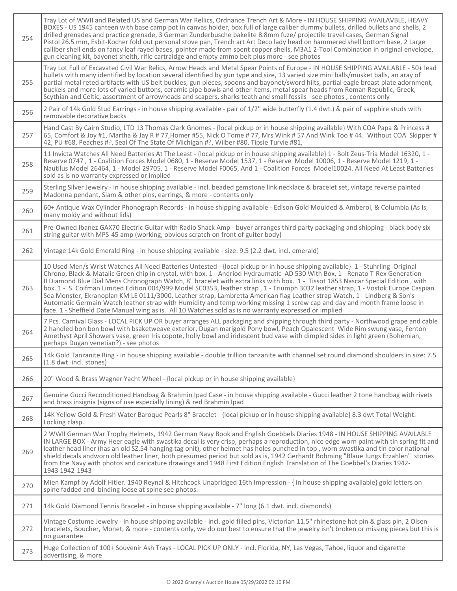| 254 | Tray Lot of WWII and Related US and German War Rellics, Ordnance Trench Art & More - IN HOUSE SHIPPING AVAILAVBLE, HEAVY<br>BOXES - US 1945 canteen with base camp pot in canvas holder, box full of large caliber dummy bullets, drilled bullets and shells, 2<br>drilled grenades and practice grenade, 3 German Zunderbusche bakelite 8.8mm fuze/ projectile travel cases, German Signal<br>Pistol 26.5 mm, Esbit-Kocher fold out personal stove pan, Trench art Art Deco lady head on hammered shell bottom base, 2 Large<br>calliber shell ends on fancy leaf rayed bases, pointer made from spent copper shells, M3A1 2-Tool Combination in original envelope,<br>gun cleaning kit, bayonet sheith, rifle cartraidge and empty ammo belt plus more - see photos                                                                                                                                         |
|-----|---------------------------------------------------------------------------------------------------------------------------------------------------------------------------------------------------------------------------------------------------------------------------------------------------------------------------------------------------------------------------------------------------------------------------------------------------------------------------------------------------------------------------------------------------------------------------------------------------------------------------------------------------------------------------------------------------------------------------------------------------------------------------------------------------------------------------------------------------------------------------------------------------------------|
| 255 | Tray Lot Full of Excavated Civil War Relics, Arrow Heads and Metal Spear Points of Europe - IN HOUSE SHIPPING AVAILABLE - 50+ lead<br>bullets with many identified by location several identified by gun type and size, 13 varied size mini balls/musket balls, an aray of<br>partial metal reted artifacts with US belt buckles, gun pieces, spoons and bayonet/sword hilts, partial eagle breast plate adornment,<br>buckels and more lots of varied buttons, ceramic pipe bowls and other items, metal spear heads from Roman Republic, Greek,<br>Scythian and Celtic, assortment of arrowheads and scapers, sharks teath and small fossils - see photos, contents only                                                                                                                                                                                                                                    |
| 256 | 2 Pair of 14k Gold Stud Earrings - in house shipping available - pair of 1/2" wide butterfly (1.4 dwt.) & pair of sapphire studs with<br>removable decorative backs                                                                                                                                                                                                                                                                                                                                                                                                                                                                                                                                                                                                                                                                                                                                           |
| 257 | Hand Cast By Cairn Studio, LTD 13 Thomas Clark Gnomes - {local pickup or in house shipping available} With COA Papa & Princess #<br>65, Comfort & Joy #1, Martha & Jay R # 77, Homer #55, Nick O Tome # 77, Mrs Wink # 57 And Wink Too # 44. Without COA Skipper #<br>42, PU #68, Peaches #?, Seal Of The State Of Michigan #?, Wilber #80, Tipsie Turvie #81,                                                                                                                                                                                                                                                                                                                                                                                                                                                                                                                                                |
| 258 | 11 Invicta Watches All Need Batteries At The Least - {local pickup or in house shipping available} 1 - Bolt Zeus-Tria Model 16320, 1 -<br>Reserve 0747, 1 - Coalition Forces Model 0680, 1 - Reserve Model 1537, 1 - Reserve Model 10006, 1 - Reserve Model 1219, 1 -<br>Nautilus Model 26464, 1 - Model 29705, 1 - Reserve Model F0065, And 1 - Coalition Forces Model10024. All Need At Least Batteries<br>sold as is no warranty expressed or implied                                                                                                                                                                                                                                                                                                                                                                                                                                                      |
| 259 | Sterling Silver Jewelry - in house shipping available - incl. beaded gemstone link necklace & bracelet set, vintage reverse painted<br>Madonna pendant, Siam & other pins, earrings, & more - contents only                                                                                                                                                                                                                                                                                                                                                                                                                                                                                                                                                                                                                                                                                                   |
| 260 | 60+ Antique Wax Cylinder Phonograph Records - in house shipping available - Edison Gold Moulded & Amberol, & Columbia (As Is,<br>many moldy and without lids)                                                                                                                                                                                                                                                                                                                                                                                                                                                                                                                                                                                                                                                                                                                                                 |
| 261 | Pre-Owned Ibanez GAX70 Electric Guitar with Radio Shack Amp - buyer arranges third party packaging and shipping - black body six<br>string guitar with MPS-45 amp (working, obvious scratch on front of guiter body)                                                                                                                                                                                                                                                                                                                                                                                                                                                                                                                                                                                                                                                                                          |
| 262 | Vintage 14k Gold Emerald Ring - in house shipping available - size: 9.5 (2.2 dwt. incl. emerald)                                                                                                                                                                                                                                                                                                                                                                                                                                                                                                                                                                                                                                                                                                                                                                                                              |
| 263 | 10 Used Men/s Wrist Watches All Need Batteries Untested - {local pickup or in house shipping available} 1 - Stuhrling Original<br>Chrono, Black & Matalic Green chip in crystal, with box, 1 - Andriod Hydraumatic AD 530 With Box, 1 - Renato T-Rex Generation<br>Il Diamond Blue Dial Mens Chronograph Watch, 8" bracelet with extra links with box. 1 - Tissot 1853 Nascar Special Edition, with<br>box. 1 - S. Coifman Limited Edition 004/999 Model SC0353, leather strap, 1 - Triumph 3032 leather strap, 1 - Vostok Europe Caspian<br>Sea Monster, Ekranoplan KM LE 0111/3000, Leather strap, Lambretta American flag Leather strap Watch, 1 - Lindberg & Son's<br>Automatic Germain Watch leather strap with Humidity and temp working missing 1 screw cap and day and month frame loose in<br>face. 1 - Sheffield Date Manual wing as is. All 10 Watches sold as is no warranty expressed or implied |
| 264 | 7 Pcs. Carnival Glass - LOCAL PICK UP OR buyer arranges ALL packaging and shipping through third party - Northwood grape and cable<br>2 handled bon bon bowl with bsaketweave exterior, Dugan marigold Pony bowl, Peach Opalescent Wide Rim swung vase, Fenton<br>Amethyst April Showers vase, green Iris copote, holly bowl and iridescent bud vase with dimpled sides in light green (Bohemian,<br>perhaps Dugan venetian?) - see photos                                                                                                                                                                                                                                                                                                                                                                                                                                                                    |
| 265 | 14k Gold Tanzanite Ring - in house shipping available - double trillion tanzanite with channel set round diamond shoulders in size: 7.5<br>(1.8 dwt. incl. stones)                                                                                                                                                                                                                                                                                                                                                                                                                                                                                                                                                                                                                                                                                                                                            |
| 266 | 20" Wood & Brass Wagner Yacht Wheel - {local pickup or in house shipping available}                                                                                                                                                                                                                                                                                                                                                                                                                                                                                                                                                                                                                                                                                                                                                                                                                           |
| 267 | Genuine Gucci Reconditioned Handbag & Brahmin Ipad Case - in house shipping available - Gucci leather 2 tone handbag with rivets<br>and brass insignia (signs of use especially lining) & red Brahmin Ipad                                                                                                                                                                                                                                                                                                                                                                                                                                                                                                                                                                                                                                                                                                    |
| 268 | 14K Yellow Gold & Fresh Water Baroque Pearls 8" Bracelet - {local pickup or in house shipping available} 8.3 dwt Total Weight.<br>Locking clasp.                                                                                                                                                                                                                                                                                                                                                                                                                                                                                                                                                                                                                                                                                                                                                              |
| 269 | 2 WWII German War Trophy Helmets, 1942 German Navy Book and English Goebbels Diaries 1948 - IN HOUSE SHIPPING AVAILABLE<br>IN LARGE BOX - Army Heer eagle with swastika decal is very crisp, perhaps a reproduction, nice edge worn paint with tin spring fit and<br>leather head liner (has an old SZ.54 hanging tag onit), other helmet has holes punched in top, worn swastika and tin color national<br>shield decals andworn old leather liner, both presumed period but sold as is, 1942 Gerhardt Bohming "Blaue Jungs Erzahlen" stories<br>from the Navy with photos and caricature drawings and 1948 First Edition English Translation of The Goebbel's Diaries 1942-<br>1943 1942-1943                                                                                                                                                                                                               |
| 270 | Mien Kampf by Adolf Hitler. 1940 Reynal & Hitchcock Unabridged 16th Impression - { in house shipping available} gold letters on<br>spine fadded and binding loose at spine see photos.                                                                                                                                                                                                                                                                                                                                                                                                                                                                                                                                                                                                                                                                                                                        |
| 271 | 14k Gold Diamond Tennis Bracelet - in house shipping available - 7" long (6.1 dwt. incl. diamonds)                                                                                                                                                                                                                                                                                                                                                                                                                                                                                                                                                                                                                                                                                                                                                                                                            |
| 272 | Vintage Costume Jewelry - in house shipping available - incl. gold filled pins, Victorian 11.5" rhinestone hat pin & glass pin, 2 Olsen<br>bracelets, Boucher, Monet, & more - contents only, we do our best to ensure that the jewelry isn't broken or missing pieces but this is<br>no guarantee                                                                                                                                                                                                                                                                                                                                                                                                                                                                                                                                                                                                            |
| 273 | Huge Collection of 100+ Souvenir Ash Trays - LOCAL PICK UP ONLY - incl. Florida, NY, Las Vegas, Tahoe, liquor and cigarette<br>advertising, & more                                                                                                                                                                                                                                                                                                                                                                                                                                                                                                                                                                                                                                                                                                                                                            |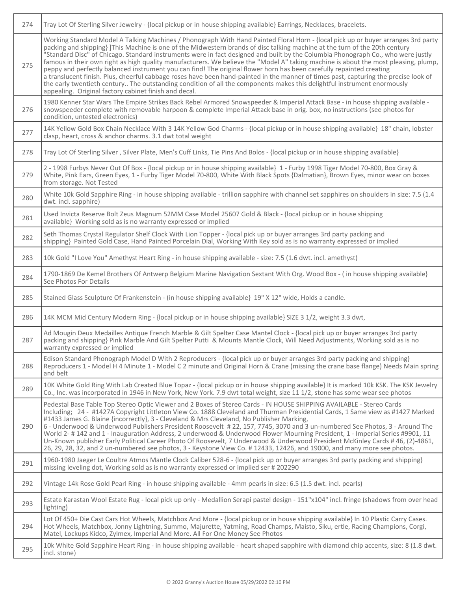| 274 | Tray Lot Of Sterling Silver Jewelry - {local pickup or in house shipping available} Earrings, Necklaces, bracelets.                                                                                                                                                                                                                                                                                                                                                                                                                                                                                                                                                                                                                                                                                                                                                                                                                                                                             |
|-----|-------------------------------------------------------------------------------------------------------------------------------------------------------------------------------------------------------------------------------------------------------------------------------------------------------------------------------------------------------------------------------------------------------------------------------------------------------------------------------------------------------------------------------------------------------------------------------------------------------------------------------------------------------------------------------------------------------------------------------------------------------------------------------------------------------------------------------------------------------------------------------------------------------------------------------------------------------------------------------------------------|
| 275 | Working Standard Model A Talking Machines / Phonograph With Hand Painted Floral Horn - {local pick up or buyer arranges 3rd party<br>packing and shipping} ]This Machine is one of the Midwestern brands of disc talking machine at the turn of the 20th century<br>"Standard Disc" of Chicago. Standard instruments were in fact designed and built by the Columbia Phonograph Co., who were justly<br>famous in their own right as high quality manufacturers. We believe the "Model A" taking machine is about the most pleasing, plump,<br>peppy and perfectly balanced instrument you can find! The original flower horn has been carefully repainted creating<br>a translucent finish. Plus, cheerful cabbage roses have been hand-painted in the manner of times past, capturing the precise look of<br>the early twentieth century The outstanding condition of all the components makes this delightful instrument enormously<br>appealing. Original factory cabinet finish and decal. |
| 276 | 1980 Kenner Star Wars The Empire Strikes Back Rebel Armored Snowspeeder & Imperial Attack Base - in house shipping available -<br>snowspeeder complete with removable harpoon & complete Imperial Attack base in orig. box, no instructions (see photos for<br>condition, untested electronics)                                                                                                                                                                                                                                                                                                                                                                                                                                                                                                                                                                                                                                                                                                 |
| 277 | 14K Yellow Gold Box Chain Necklace With 3 14K Yellow God Charms - {local pickup or in house shipping available} 18" chain, lobster<br>clasp, heart, cross & anchor charms. 3.1 dwt total weight                                                                                                                                                                                                                                                                                                                                                                                                                                                                                                                                                                                                                                                                                                                                                                                                 |
| 278 | Tray Lot Of Sterling Silver, Silver Plate, Men's Cuff Links, Tie Pins And Bolos - {local pickup or in house shipping available}                                                                                                                                                                                                                                                                                                                                                                                                                                                                                                                                                                                                                                                                                                                                                                                                                                                                 |
| 279 | 2 - 1998 Furbys Never Out Of Box - {local pickup or in house shipping available} 1 - Furby 1998 Tiger Model 70-800, Box Gray &<br>White, Pink Ears, Green Eyes, 1 - Furby Tiger Model 70-800, White With Black Spots {Dalmatian}, Brown Eyes, minor wear on boxes<br>from storage. Not Tested                                                                                                                                                                                                                                                                                                                                                                                                                                                                                                                                                                                                                                                                                                   |
| 280 | White 10k Gold Sapphire Ring - in house shipping available - trillion sapphire with channel set sapphires on shoulders in size: 7.5 (1.4<br>dwt. incl. sapphire)                                                                                                                                                                                                                                                                                                                                                                                                                                                                                                                                                                                                                                                                                                                                                                                                                                |
| 281 | Used Invicta Reserve Bolt Zeus Magnum 52MM Case Model 25607 Gold & Black - {local pickup or in house shipping<br>available} Working sold as is no warranty expressed or implied                                                                                                                                                                                                                                                                                                                                                                                                                                                                                                                                                                                                                                                                                                                                                                                                                 |
| 282 | Seth Thomas Crystal Regulator Shelf Clock With Lion Topper - {local pick up or buyer arranges 3rd party packing and<br>shipping} Painted Gold Case, Hand Painted Porcelain Dial, Working With Key sold as is no warranty expressed or implied                                                                                                                                                                                                                                                                                                                                                                                                                                                                                                                                                                                                                                                                                                                                                   |
| 283 | 10k Gold "I Love You" Amethyst Heart Ring - in house shipping available - size: 7.5 (1.6 dwt. incl. amethyst)                                                                                                                                                                                                                                                                                                                                                                                                                                                                                                                                                                                                                                                                                                                                                                                                                                                                                   |
| 284 | 1790-1869 De Kemel Brothers Of Antwerp Belgium Marine Navigation Sextant With Org. Wood Box - (in house shipping available)<br>See Photos For Details                                                                                                                                                                                                                                                                                                                                                                                                                                                                                                                                                                                                                                                                                                                                                                                                                                           |
| 285 | Stained Glass Sculpture Of Frankenstein - (in house shipping available) 19" X 12" wide, Holds a candle.                                                                                                                                                                                                                                                                                                                                                                                                                                                                                                                                                                                                                                                                                                                                                                                                                                                                                         |
| 286 | 14K MCM Mid Century Modern Ring - {local pickup or in house shipping available} SIZE 3 1/2, weight 3.3 dwt,                                                                                                                                                                                                                                                                                                                                                                                                                                                                                                                                                                                                                                                                                                                                                                                                                                                                                     |
| 287 | Ad Mougin Deux Medailles Antique French Marble & Gilt Spelter Case Mantel Clock - {local pick up or buyer arranges 3rd party<br>packing and shipping} Pink Marble And Gilt Spelter Putti & Mounts Mantle Clock, Will Need Adjustments, Working sold as is no<br>warranty expressed or implied                                                                                                                                                                                                                                                                                                                                                                                                                                                                                                                                                                                                                                                                                                   |
| 288 | Edison Standard Phonograph Model D With 2 Reproducers - {local pick up or buyer arranges 3rd party packing and shipping}<br>Reproducers 1 - Model H 4 Minute 1 - Model C 2 minute and Original Horn & Crane (missing the crane base flange) Needs Main spring<br>and belt                                                                                                                                                                                                                                                                                                                                                                                                                                                                                                                                                                                                                                                                                                                       |
| 289 | 10K White Gold Ring With Lab Created Blue Topaz - {local pickup or in house shipping available} It is marked 10k KSK. The KSK Jewelry<br>Co., Inc. was incorporated in 1946 in New York, New York. 7.9 dwt total weight, size 11 1/2, stone has some wear see photos                                                                                                                                                                                                                                                                                                                                                                                                                                                                                                                                                                                                                                                                                                                            |
| 290 | Pedestal Base Table Top Stereo Optic Viewer and 2 Boxes of Stereo Cards - IN HOUSE SHIPPING AVAILABLE - Stereo Cards<br>Including; 24 - #1427A Copyright Littleton View Co. 1888 Cleveland and Thurman Presidential Cards, 1 Same view as #1427 Marked<br>#1433 James G. Blaine {incorrectly}, 3 - Cleveland & Mrs Cleveland, No Publisher Marking,<br>6 - Underwood & Underwood Publishers President Roosevelt #22, 157, 7745, 3070 and 3 un-numbered See Photos, 3 - Around The<br>World 2- # 142 and 1 - Inauguration Address, 2 underwood & Underwood Flower Mourning President, 1 - Imperial Series #9901, 11                                                                                                                                                                                                                                                                                                                                                                              |
|     | Un-Known publisher Early Political Career Photo Of Roosevelt, 7 Underwood & Underwood President McKinley Cards # 46, (2)-4861,<br>26, 29, 28, 32, and 2 un-numbered see photos, 3 - Keystone View Co. #12433, 12426, and 19000, and many more see photos.                                                                                                                                                                                                                                                                                                                                                                                                                                                                                                                                                                                                                                                                                                                                       |
| 291 | 1960-1980 Jaeger Le Coultre Atmos Mantle Clock Caliber 528-6 - {local pick up or buyer arranges 3rd party packing and shipping}<br>missing leveling dot, Working sold as is no warranty expressed or implied ser #202290                                                                                                                                                                                                                                                                                                                                                                                                                                                                                                                                                                                                                                                                                                                                                                        |
| 292 | Vintage 14k Rose Gold Pearl Ring - in house shipping available - 4mm pearls in size: 6.5 (1.5 dwt. incl. pearls)                                                                                                                                                                                                                                                                                                                                                                                                                                                                                                                                                                                                                                                                                                                                                                                                                                                                                |
| 293 | Estate Karastan Wool Estate Rug - local pick up only - Medallion Serapi pastel design - 151"x104" incl. fringe (shadows from over head<br>lighting)                                                                                                                                                                                                                                                                                                                                                                                                                                                                                                                                                                                                                                                                                                                                                                                                                                             |
| 294 | Lot Of 450+ Die Cast Cars Hot Wheels, Matchbox And More - {local pickup or in house shipping available} In 10 Plastic Carry Cases.<br>Hot Wheels, Matchbox, Jonny Lightning, Summo, Majurette, Yatming, Road Champs, Maisto, Siku, ertle, Racing Champions, Corgi,<br>Matel, Lockups Kidco, Zylmex, Imperial And More. All For One Money See Photos                                                                                                                                                                                                                                                                                                                                                                                                                                                                                                                                                                                                                                             |

Τ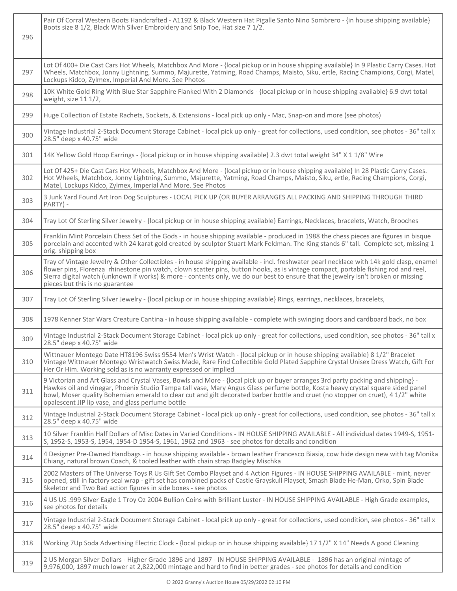| 296 | Pair Of Corral Western Boots Handcrafted - A1192 & Black Western Hat Pigalle Santo Nino Sombrero - {in house shipping available}<br>Boots size 8 1/2, Black With Silver Embroidery and Snip Toe, Hat size 7 1/2.                                                                                                                                                                                                                                             |
|-----|--------------------------------------------------------------------------------------------------------------------------------------------------------------------------------------------------------------------------------------------------------------------------------------------------------------------------------------------------------------------------------------------------------------------------------------------------------------|
| 297 | Lot Of 400+ Die Cast Cars Hot Wheels, Matchbox And More - {local pickup or in house shipping available} In 9 Plastic Carry Cases. Hot<br>Wheels, Matchbox, Jonny Lightning, Summo, Majurette, Yatming, Road Champs, Maisto, Siku, ertle, Racing Champions, Corgi, Matel,<br>Lockups Kidco, Zylmex, Imperial And More. See Photos                                                                                                                             |
| 298 | 10K White Gold Ring With Blue Star Sapphire Flanked With 2 Diamonds - {local pickup or in house shipping available} 6.9 dwt total<br>weight, size 11 1/2,                                                                                                                                                                                                                                                                                                    |
| 299 | Huge Collection of Estate Rachets, Sockets, & Extensions - local pick up only - Mac, Snap-on and more (see photos)                                                                                                                                                                                                                                                                                                                                           |
| 300 | Vintage Industrial 2-Stack Document Storage Cabinet - local pick up only - great for collections, used condition, see photos - 36" tall x<br>28.5" deep x 40.75" wide                                                                                                                                                                                                                                                                                        |
| 301 | 14K Yellow Gold Hoop Earrings - {local pickup or in house shipping available} 2.3 dwt total weight 34" X 1 1/8" Wire                                                                                                                                                                                                                                                                                                                                         |
| 302 | Lot Of 425+ Die Cast Cars Hot Wheels, Matchbox And More - {local pickup or in house shipping available} In 28 Plastic Carry Cases.<br>Hot Wheels, Matchbox, Jonny Lightning, Summo, Majurette, Yatming, Road Champs, Maisto, Siku, ertle, Racing Champions, Corgi,<br>Matel, Lockups Kidco, Zylmex, Imperial And More. See Photos                                                                                                                            |
| 303 | 3 Junk Yard Found Art Iron Dog Sculptures - LOCAL PICK UP (OR BUYER ARRANGES ALL PACKING AND SHIPPING THROUGH THIRD<br>PARTY) -                                                                                                                                                                                                                                                                                                                              |
| 304 | Tray Lot Of Sterling Silver Jewelry - {local pickup or in house shipping available} Earrings, Necklaces, bracelets, Watch, Brooches                                                                                                                                                                                                                                                                                                                          |
| 305 | Franklin Mint Porcelain Chess Set of the Gods - in house shipping available - produced in 1988 the chess pieces are figures in bisque<br>porcelain and accented with 24 karat gold created by sculptor Stuart Mark Feldman. The King stands 6" tall. Complete set, missing 1<br>orig. shipping box                                                                                                                                                           |
| 306 | Tray of Vintage Jewelry & Other Collectibles - in house shipping available - incl. freshwater pearl necklace with 14k gold clasp, enamel<br>flower pins, Florenza rhinestone pin watch, clown scatter pins, button hooks, as is vintage compact, portable fishing rod and reel,<br>Sierra digital watch (unknown if works) & more - contents only, we do our best to ensure that the jewelry isn't broken or missing<br>pieces but this is no guarantee      |
| 307 | Tray Lot Of Sterling Silver Jewelry - {local pickup or in house shipping available} Rings, earrings, necklaces, bracelets,                                                                                                                                                                                                                                                                                                                                   |
| 308 | 1978 Kenner Star Wars Creature Cantina - in house shipping available - complete with swinging doors and cardboard back, no box                                                                                                                                                                                                                                                                                                                               |
| 309 | Vintage Industrial 2-Stack Document Storage Cabinet - local pick up only - great for collections, used condition, see photos - 36" tall x<br>28.5" deep x 40.75" wide                                                                                                                                                                                                                                                                                        |
| 310 | Wittnauer Montego Date HT8196 Swiss 9554 Men's Wrist Watch - {local pickup or in house shipping available} 8 1/2" Bracelet<br>Vintage Wittnauer Montego Wristwatch Swiss Made, Rare Find Collectible Gold Plated Sapphire Crystal Unisex Dress Watch, Gift For<br>Her Or Him. Working sold as is no warranty expressed or implied                                                                                                                            |
| 311 | 9 Victorian and Art Glass and Crystal Vases, Bowls and More - {local pick up or buyer arranges 3rd party packing and shipping} -<br>Hawkes oil and vinegar, Phoenix Studio Tampa tall vase, Mary Angus Glass perfume bottle, Kosta heavy crystal square sided panel<br>bowl, Moser quality Bohemian emerald to clear cut and gilt decorated barber bottle and cruet (no stopper on cruet), 4 1/2" white<br>opalescent JIP lip vase, and glass perfume bottle |
| 312 | Vintage Industrial 2-Stack Document Storage Cabinet - local pick up only - great for collections, used condition, see photos - 36" tall x<br>28.5" deep x 40.75" wide                                                                                                                                                                                                                                                                                        |
| 313 | 10 Silver Franklin Half Dollars of Misc Dates in Varied Conditions - IN HOUSE SHIPPING AVAILABLE - All individual dates 1949-S, 1951-<br>S, 1952-S, 1953-S, 1954, 1954-D 1954-S, 1961, 1962 and 1963 - see photos for details and condition                                                                                                                                                                                                                  |
| 314 | 4 Designer Pre-Owned Handbags - in house shipping available - brown leather Francesco Biasia, cow hide design new with tag Monika<br>Chiang, natural brown Coach, & tooled leather with chain strap Badgley Mischka                                                                                                                                                                                                                                          |
| 315 | 2002 Masters of The Universe Toys R Us Gift Set Combo Playset and 4 Action Figures - IN HOUSE SHIPPING AVAILABLE - mint, never<br>opened, still in factory seal wrap - gift set has combined packs of Castle Grayskull Playset, Smash Blade He-Man, Orko, Spin Blade<br>Skeletor and Two Bad action figures in side boxes - see photos                                                                                                                       |
| 316 | 4 US US .999 Silver Eagle 1 Troy Oz 2004 Bullion Coins with Brilliant Luster - IN HOUSE SHIPPING AVAILABLE - High Grade examples,<br>see photos for details                                                                                                                                                                                                                                                                                                  |
| 317 | Vintage Industrial 2-Stack Document Storage Cabinet - local pick up only - great for collections, used condition, see photos - 36" tall x<br>28.5" deep x 40.75" wide                                                                                                                                                                                                                                                                                        |
| 318 | Working 7Up Soda Advertising Electric Clock - {local pickup or in house shipping available} 17 1/2" X 14" Needs A good Cleaning                                                                                                                                                                                                                                                                                                                              |
| 319 | 2 US Morgan Silver Dollars - Higher Grade 1896 and 1897 - IN HOUSE SHIPPING AVAILABLE - 1896 has an original mintage of<br>9,976,000, 1897 much lower at 2,822,000 mintage and hard to find in better grades - see photos for details and condition                                                                                                                                                                                                          |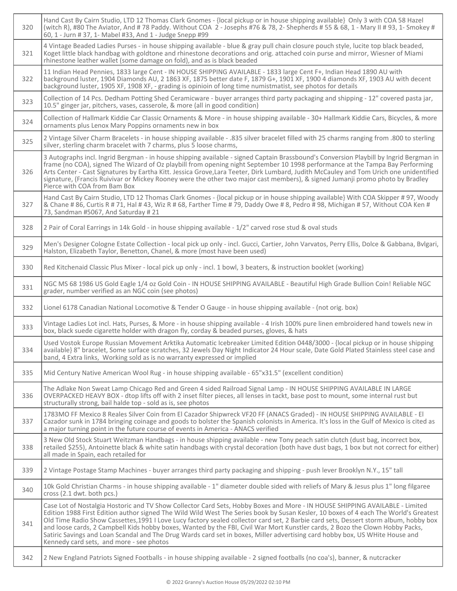| 320 | Hand Cast By Cairn Studio, LTD 12 Thomas Clark Gnomes - {local pickup or in house shipping available} Only 3 with COA 58 Hazel<br>(witch R), #80 The Aviator, And #78 Paddy. Without COA 2 - Josephs #76 & 78, 2- Shepherds #55 & 68, 1 - Mary II #93, 1- Smokey #<br>60, 1 - Jurn # 37, 1- Mabel #33, And 1 - Judge Snepp #99                                                                                                                                                                                                                                                                                                                                                                                             |
|-----|----------------------------------------------------------------------------------------------------------------------------------------------------------------------------------------------------------------------------------------------------------------------------------------------------------------------------------------------------------------------------------------------------------------------------------------------------------------------------------------------------------------------------------------------------------------------------------------------------------------------------------------------------------------------------------------------------------------------------|
| 321 | 4 Vintage Beaded Ladies Purses - in house shipping available - blue & gray pull chain closure pouch style, lucite top black beaded,<br>Koget little black handbag with goldtone and rhinestone decorations and orig. attached coin purse and mirror, Wiesner of Miami<br>rhinestone leather wallet (some damage on fold), and as is black beaded                                                                                                                                                                                                                                                                                                                                                                           |
| 322 | 11 Indian Head Pennies, 1833 large Cent - IN HOUSE SHIPPING AVAILABLE - 1833 large Cent F+, Indian Head 1890 AU with<br>background luster, 1904 Diamonds AU, 2 1863 XF, 1875 better date F, 1879 G+, 1901 XF, 1900 4 diamonds XF, 1903 AU with decent<br>background luster, 1905 XF, 1908 XF, - grading is opinioin of long time numistmatist, see photos for details                                                                                                                                                                                                                                                                                                                                                      |
| 323 | Collection of 14 Pcs. Dedham Potting Shed Ceramicware - buyer arranges third party packaging and shipping - 12" covered pasta jar,<br>10.5" ginger jar, pitchers, vases, casserole, & more (all in good condition)                                                                                                                                                                                                                                                                                                                                                                                                                                                                                                         |
| 324 | Collection of Hallmark Kiddie Car Classic Ornaments & More - in house shipping available - 30+ Hallmark Kiddie Cars, Bicycles, & more<br>ornaments plus Lenox Mary Poppins ornaments new in box                                                                                                                                                                                                                                                                                                                                                                                                                                                                                                                            |
| 325 | 2 Vintage Silver Charm Bracelets - in house shipping available - .835 silver bracelet filled with 25 charms ranging from .800 to sterling<br>silver, sterling charm bracelet with 7 charms, plus 5 loose charms,                                                                                                                                                                                                                                                                                                                                                                                                                                                                                                           |
| 326 | 3 Autographs incl. Ingrid Bergman - in house shipping available - signed Captain Brassbound's Conversion Playbill by Ingrid Bergman in<br>frame (no COA), signed The Wizard of Oz playbill from opening night September 10 1998 performance at the Tampa Bay Performing<br>Arts Center - Cast Signatures by Eartha Kitt. Jessica Grove,Lara Teeter, Dirk Lumbard, Judith McCauley and Tom Urich one unidentified<br>signature, (Francis Ruivivar or Mickey Rooney were the other two major cast members), & signed Jumanji promo photo by Bradley<br>Pierce with COA from Bam Box                                                                                                                                          |
| 327 | Hand Cast By Cairn Studio, LTD 12 Thomas Clark Gnomes - {local pickup or in house shipping available} With COA Skipper # 97, Woody<br>& Chane # 86, Curtis R # 71, Hal # 43, Wiz R # 68, Farther Time # 79, Daddy Owe # 8, Pedro # 98, Michigan # 57, Without COA Ken #<br>73, Sandman #5067, And Saturday #21                                                                                                                                                                                                                                                                                                                                                                                                             |
| 328 | 2 Pair of Coral Earrings in 14k Gold - in house shipping available - 1/2" carved rose stud & oval studs                                                                                                                                                                                                                                                                                                                                                                                                                                                                                                                                                                                                                    |
| 329 | Men's Designer Cologne Estate Collection - local pick up only - incl. Gucci, Cartier, John Varvatos, Perry Ellis, Dolce & Gabbana, Bvlgari,<br>Halston, Elizabeth Taylor, Benetton, Chanel, & more (most have been used)                                                                                                                                                                                                                                                                                                                                                                                                                                                                                                   |
| 330 | Red Kitchenaid Classic Plus Mixer - local pick up only - incl. 1 bowl, 3 beaters, & instruction booklet (working)                                                                                                                                                                                                                                                                                                                                                                                                                                                                                                                                                                                                          |
| 331 | NGC MS 68 1986 US Gold Eagle 1/4 oz Gold Coin - IN HOUSE SHIPPING AVAILABLE - Beautiful High Grade Bullion Coin! Reliable NGC<br>grader, number verified as an NGC coin (see photos)                                                                                                                                                                                                                                                                                                                                                                                                                                                                                                                                       |
| 332 | Lionel 6178 Canadian National Locomotive & Tender O Gauge - in house shipping available - (not orig. box)                                                                                                                                                                                                                                                                                                                                                                                                                                                                                                                                                                                                                  |
| 333 | Vintage Ladies Lot incl. Hats, Purses, & More - in house shipping available - 4 Irish 100% pure linen embroidered hand towels new in<br>box, black suede cigarette holder with dragon fly, corday & beaded purses, gloves, & hats                                                                                                                                                                                                                                                                                                                                                                                                                                                                                          |
| 334 | Used Vostok Europe Russian Movement Arktika Automatic Icebreaker Limited Edition 0448/3000 - {local pickup or in house shipping<br>available} 8" bracelet, Some surface scratches, 32 Jewels Day Night Indicator 24 Hour scale, Date Gold Plated Stainless steel case and<br>band, 4 Extra links, Working sold as is no warranty expressed or implied                                                                                                                                                                                                                                                                                                                                                                      |
| 335 | Mid Century Native American Wool Rug - in house shipping available - 65"x31.5" (excellent condition)                                                                                                                                                                                                                                                                                                                                                                                                                                                                                                                                                                                                                       |
| 336 | The Adlake Non Sweat Lamp Chicago Red and Green 4 sided Railroad Signal Lamp - IN HOUSE SHIPPING AVAILABLE IN LARGE<br>OVERPACKED HEAVY BOX - dtop lifts off with 2 inset filter pieces, all lenses in tackt, base post to mount, some internal rust but<br>structurally strong, bail halde top - sold as is, see photos                                                                                                                                                                                                                                                                                                                                                                                                   |
| 337 | 1783MO FF Mexico 8 Reales Silver Coin from El Cazador Shipwreck VF20 FF (ANACS Graded) - IN HOUSE SHIPPING AVAILABLE - El<br>Cazador sunk in 1784 bringing coinage and goods to bolster the Spanish colonists in America. It's loss in the Gulf of Mexico is cited as<br>a major turning point in the future course of events in America - ANACS verified                                                                                                                                                                                                                                                                                                                                                                  |
| 338 | 3 New Old Stock Stuart Weitzman Handbags - in house shipping available - new Tony peach satin clutch (dust bag, incorrect box,<br>retailed \$255), Antoinette black & white satin handbags with crystal decoration (both have dust bags, 1 box but not correct for either)<br>all made in Spain, each retailed for                                                                                                                                                                                                                                                                                                                                                                                                         |
| 339 | 2 Vintage Postage Stamp Machines - buyer arranges third party packaging and shipping - push lever Brooklyn N.Y., 15" tall                                                                                                                                                                                                                                                                                                                                                                                                                                                                                                                                                                                                  |
| 340 | 10k Gold Christian Charms - in house shipping available - 1" diameter double sided with reliefs of Mary & Jesus plus 1" long filgaree<br>cross (2.1 dwt. both pcs.)                                                                                                                                                                                                                                                                                                                                                                                                                                                                                                                                                        |
| 341 | Case Lot of Nostalgia Hostoric and TV Show Collector Card Sets, Hobby Boxes and More - IN HOUSE SHIPPING AVAILABLE - Limited<br>Edition 1988 First Edition author signed The Wild Wild West The Series book by Susan Kesler, 10 boxes of 4 each The World's Greatest<br>Old Time Radio Show Cassettes, 1991 I Love Lucy factory sealed collector card set, 2 Barbie card sets, Dessert storm album, hobby box<br>and loose cards, 2 Campbell Kids hobby boxes, Wanted by the FBI, Civil War Mort Kunstler cards, 2 Bozo the Clown Hobby Packs,<br>Satiric Savings and Loan Scandal and The Drug Wards card set in boxes, Miller advertising card hobby box, US WHite House and<br>Kennedy card sets, and more - see photos |
| 342 | 2 New England Patriots Signed Footballs - in house shipping available - 2 signed footballs (no coa's), banner, & nutcracker                                                                                                                                                                                                                                                                                                                                                                                                                                                                                                                                                                                                |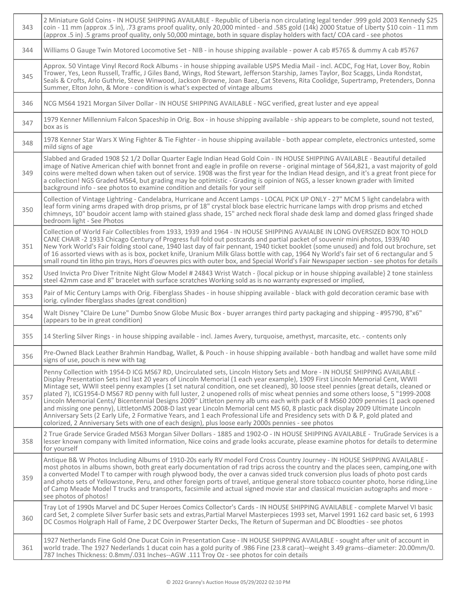| 343 | 25\$ 2003 Xennedy \$25 2 Miniature Gold Coins - IN HOUSE SHIPPING AVAILABLE - Republic of Liberia non circulating legal tender .999 gold 2003 Kennedy<br>coin - 11 mm (approx .5 in), .73 grams proof quality, only 20,000 minted - and .585 gold (14k) 2000 Statue of Liberty \$10 coin - 11 mm<br>(approx .5 in) .5 grams proof quality, only 50,000 mintage, both in square display holders with fact/COA card - see photos                                                                                                                                                                                                                                                                                                                                                                                                                                                                                                                                                                                                                         |
|-----|--------------------------------------------------------------------------------------------------------------------------------------------------------------------------------------------------------------------------------------------------------------------------------------------------------------------------------------------------------------------------------------------------------------------------------------------------------------------------------------------------------------------------------------------------------------------------------------------------------------------------------------------------------------------------------------------------------------------------------------------------------------------------------------------------------------------------------------------------------------------------------------------------------------------------------------------------------------------------------------------------------------------------------------------------------|
| 344 | Williams O Gauge Twin Motored Locomotive Set - NIB - in house shipping available - power A cab #5765 & dummy A cab #5767                                                                                                                                                                                                                                                                                                                                                                                                                                                                                                                                                                                                                                                                                                                                                                                                                                                                                                                               |
| 345 | Approx. 50 Vintage Vinyl Record Rock Albums - in house shipping available USPS Media Mail - incl. ACDC, Fog Hat, Lover Boy, Robin<br>Trower, Yes, Leon Russell, Traffic, J Giles Band, Wings, Rod Stewart, Jefferson Starship, James Taylor, Boz Scaggs, Linda Rondstat,<br>Seals & Crofts, Arlo Guthrie, Steve Winwood, Jackson Browne, Joan Baez, Cat Stevens, Rita Coolidge, Supertramp, Pretenders, Donna<br>Summer, Elton John, & More - condition is what's expected of vintage albums                                                                                                                                                                                                                                                                                                                                                                                                                                                                                                                                                           |
| 346 | NCG MS64 1921 Morgan Silver Dollar - IN HOUSE SHIPPING AVAILABLE - NGC verified, great luster and eye appeal                                                                                                                                                                                                                                                                                                                                                                                                                                                                                                                                                                                                                                                                                                                                                                                                                                                                                                                                           |
| 347 | 1979 Kenner Millennium Falcon Spaceship in Orig. Box - in house shipping available - ship appears to be complete, sound not tested,<br>box as is                                                                                                                                                                                                                                                                                                                                                                                                                                                                                                                                                                                                                                                                                                                                                                                                                                                                                                       |
| 348 | 1978 Kenner Star Wars X Wing Fighter & Tie Fighter - in house shipping available - both appear complete, electronics untested, some<br>mild signs of age                                                                                                                                                                                                                                                                                                                                                                                                                                                                                                                                                                                                                                                                                                                                                                                                                                                                                               |
| 349 | Slabbed and Graded 1908 \$2 1/2 Dollar Quarter Eagle Indian Head Gold Coin - IN HOUSE SHIPPING AVAILABLE - Beautiful detailed<br>image of Native American chief with bonnet front and eagle in profile on reverse - original mintage of 564,821, a vast majority of gold<br>coins were melted down when taken out of service. 1908 was the first year for the Indian Head design, and it's a great front piece for<br>a collection! NGS Graded MS64, but grading may be optimistic - Grading is opinion of NGS, a lesser known grader with limited<br>background info - see photos to examine condition and details for your self                                                                                                                                                                                                                                                                                                                                                                                                                      |
| 350 | Collection of Vintage Lightring - Candelabra, Hurricane and Accent Lamps - LOCAL PICK UP ONLY - 27" MCM 5 light candelabra with<br>leaf form vining arms draped with drop prisms, pr of 18" crystal block base electric hurricane lamps with drop prisms and etched<br>chimneys, 10" boudoir accent lamp with stained glass shade, 15" arched neck floral shade desk lamp and domed glass fringed shade<br>bedroom light - See Photos                                                                                                                                                                                                                                                                                                                                                                                                                                                                                                                                                                                                                  |
| 351 | Collection of World Fair Collectibles from 1933, 1939 and 1964 - IN HOUSE SHIPPING AVAIALBE IN LONG OVERSIZED BOX TO HOLD<br>CANE CHAIR -2 1933 Chicago Century of Progress full fold out postcards and partial packet of souvenir mini photos, 1939/40<br>New York World's Fair folding stool cane, 1940 last day of fair pennant, 1940 ticket booklet (some unused) and fold out brochure, set<br>of 16 assorted views with as is box, pocket knife, Uranium Milk Glass bottle with cap, 1964 Ny World's fair set of 6 rectangular and 5<br>small round tin litho pin trays, Hors d'oeuvres pics with outer box, and Special World's Fair Newspaper section - see photos for details                                                                                                                                                                                                                                                                                                                                                                 |
| 352 | Used Invicta Pro Diver Tritnite Night Glow Model # 24843 Wrist Watch - {local pickup or in house shipping available} 2 tone stainless<br>steel 42mm case and 8" bracelet with surface scratches Working sold as is no warranty expressed or implied,                                                                                                                                                                                                                                                                                                                                                                                                                                                                                                                                                                                                                                                                                                                                                                                                   |
| 353 | Pair of Mic Century Lamps with Orig. Fiberglass Shades - in house shipping available - black with gold decoration ceramic base with<br>iorig. cylinder fiberglass shades (great condition)                                                                                                                                                                                                                                                                                                                                                                                                                                                                                                                                                                                                                                                                                                                                                                                                                                                             |
| 354 | Walt Disney "Claire De Lune" Dumbo Snow Globe Music Box - buyer arranges third party packaging and shipping - #95790, 8"x6"<br>(appears to be in great condition)                                                                                                                                                                                                                                                                                                                                                                                                                                                                                                                                                                                                                                                                                                                                                                                                                                                                                      |
| 355 | 14 Sterling Silver Rings - in house shipping available - incl. James Avery, turquoise, amethyst, marcasite, etc. - contents only                                                                                                                                                                                                                                                                                                                                                                                                                                                                                                                                                                                                                                                                                                                                                                                                                                                                                                                       |
| 356 | Pre-Owned Black Leather Brahmin Handbag, Wallet, & Pouch - in house shipping available - both handbag and wallet have some mild<br>signs of use, pouch is new with tag                                                                                                                                                                                                                                                                                                                                                                                                                                                                                                                                                                                                                                                                                                                                                                                                                                                                                 |
| 357 | Penny Collection with 1954-D ICG MS67 RD, Uncirculated sets, Lincoln History Sets and More - IN HOUSE SHIPPING AVAILABLE -<br>Display Presentation Sets incl last 20 years of Lincoln Memorial (1 each year example), 1909 First Lincoln Memorial Cent, WWII<br>Mintage set, WWII steel penny examples (1 set natural condition, one set cleaned), 30 loose steel pennies (great details, cleaned or<br>plated ?), ICG1954-D MS67 RD penny with full luster, 2 unopened rolls of misc wheat pennies and some others loose, 5 "1999-2008<br>Lincoln Memorial Cents/ Bicentennial Designs 2009" Littleton penny alb ums each with pack of 8 MS60 2009 pennies (1 pack opened<br>and missing one penny), LittletonMS 2008-D last year Lincoln Memorial cent MS 60, 8 plastic pack display 2009 Ultimate Lincoln<br>Anniversary Sets (2 Early Life, 2 Formative Years, and 1 each Professional Life and Presidency sets with D & P, gold plated and<br>colorized, 2 Anniversary Sets with one of each design), plus loose early 2000s pennies - see photos |
| 358 | 2 True Grade Service Graded MS63 Morgan Silver Dollars - 1885 and 1902-O - IN HOUSE SHIPPING AVAILABLE - TruGrade Services is a<br>lesser known company with limited information, Nice coins and grade looks accurate, please examine photos for details to determine<br>for yourself                                                                                                                                                                                                                                                                                                                                                                                                                                                                                                                                                                                                                                                                                                                                                                  |
| 359 | Antique B& W Photos Including Albums of 1910-20s early RV model Ford Cross Country Journey - IN HOUSE SHIPPING AVAILABLE -<br>most photos in albums shown, both great early documentation of rad trips across the country and the places seen, camping, one with<br>a converted Model T to camper with rough plywood body, the over a canvas sided truck conversion plus loads of photo post cards<br>and photo sets of Yellowstone, Peru, and other foreign ports of travel, antique general store tobacco counter photo, horse riding, Line<br>of Camp Meade Model T trucks and transports, facsimile and actual signed movie star and classical musician autographs and more -<br>see photos of photos!                                                                                                                                                                                                                                                                                                                                             |
| 360 | Tray Lot of 1990s Marvel and DC Super Heroes Comics Collector's Cards - IN HOUSE SHIPPING AVAILABLE - complete Marvel VI basic<br>card Set, 2 complete Silver Surfer basic sets and extras, Partial Marvel Masterpieces 1993 set, Marvel 1991 162 card basic set, 6 1993<br>DC Cosmos Holgraph Hall of Fame, 2 DC Overpower Starter Decks, The Return of Superman and DC Bloodties - see photos                                                                                                                                                                                                                                                                                                                                                                                                                                                                                                                                                                                                                                                        |
| 361 | 1927 Netherlands Fine Gold One Ducat Coin in Presentation Case - IN HOUSE SHIPPING AVAILABLE - sought after unit of account in<br>world trade. The 1927 Nederlands 1 ducat coin has a gold purity of .986 Fine (23.8 carat)--weight 3.49 grams--diameter: 20.00mm/0.<br>787 Inches Thickness: 0.8mm/.031 Inches--AGW .111 Troy Oz - see photos for coin details                                                                                                                                                                                                                                                                                                                                                                                                                                                                                                                                                                                                                                                                                        |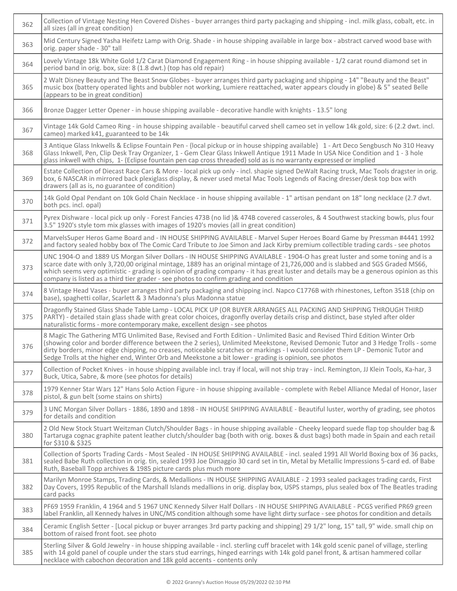| 362 | Collection of Vintage Nesting Hen Covered Dishes - buyer arranges third party packaging and shipping - incl. milk glass, cobalt, etc. in<br>all sizes (all in great condition)                                                                                                                                                                                                                                                                                                                             |
|-----|------------------------------------------------------------------------------------------------------------------------------------------------------------------------------------------------------------------------------------------------------------------------------------------------------------------------------------------------------------------------------------------------------------------------------------------------------------------------------------------------------------|
| 363 | Mid Century Signed Yasha Heifetz Lamp with Orig. Shade - in house shipping available in large box - abstract carved wood base with<br>orig. paper shade - 30" tall                                                                                                                                                                                                                                                                                                                                         |
| 364 | Lovely Vintage 18k White Gold 1/2 Carat Diamond Engagement Ring - in house shipping available - 1/2 carat round diamond set in<br>period band in orig. box, size: 8 (1.8 dwt.) (top has old repair)                                                                                                                                                                                                                                                                                                        |
| 365 | 2 Walt Disney Beauty and The Beast Snow Globes - buyer arranges third party packaging and shipping - 14" "Beauty and the Beast"<br>music box (battery operated lights and bubbler not working, Lumiere reattached, water appears cloudy in globe) & 5" seated Belle<br>(appears to be in great condition)                                                                                                                                                                                                  |
| 366 | Bronze Dagger Letter Opener - in house shipping available - decorative handle with knights - 13.5" long                                                                                                                                                                                                                                                                                                                                                                                                    |
| 367 | Vintage 14k Gold Cameo Ring - in house shipping available - beautiful carved shell cameo set in yellow 14k gold, size: 6 (2.2 dwt. incl.<br>cameo) marked k41, guaranteed to be 14k                                                                                                                                                                                                                                                                                                                        |
| 368 | 3 Antique Glass Inkwells & Eclipse Fountain Pen - {local pickup or in house shipping available} 1 - Art Deco Sengbusch No 310 Heavy<br>Glass Inkwell, Pen, Clip Desk Tray Organizer, 1 - Gem Clear Glass Inkwell Antique 1911 Made In USA Nice Condition and 1 - 3 hole<br>glass inkwell with chips, 1- (Eclipse fountain pen cap cross threaded) sold as is no warranty expressed or implied                                                                                                              |
| 369 | Estate Collection of Diecast Race Cars & More - local pick up only - incl. shapie signed DeWalt Racing truck, Mac Tools dragster in orig.<br>box, 6 NASCAR in mirrored back plexiglass display, & never used metal Mac Tools Legends of Racing dresser/desk top box with<br>drawers (all as is, no guarantee of condition)                                                                                                                                                                                 |
| 370 | 14k Gold Opal Pendant on 10k Gold Chain Necklace - in house shipping available - 1" artisan pendant on 18" long necklace (2.7 dwt.<br>both pcs. incl. opal)                                                                                                                                                                                                                                                                                                                                                |
| 371 | Pyrex Dishware - local pick up only - Forest Fancies 473B (no lid )& 474B covered casseroles, & 4 Southwest stacking bowls, plus four<br>3.5" 1920's style tom mix glasses with images of 1920's movies (all in great condition)                                                                                                                                                                                                                                                                           |
| 372 | MarvelsSuper Heros Game Board and - IN HOUSE SHIPPING AVAILABLE - Marvel Super Heroes Board Game by Pressman #4441 1992<br>and factory sealed hobby box of The Comic Card Tribute to Joe Simon and Jack Kirby premium collectible trading cards - see photos                                                                                                                                                                                                                                               |
| 373 | UNC 1904-O and 1889 US Morgan Silver Dollars - IN HOUSE SHIPPING AVAILABLE - 1904-O has great luster and some toning and is a<br>scarce date with only 3,720,00 original mintage, 1889 has an original mintage of 21,726,000 and is slabbed and SGS Graded MS66,<br>which seems very optimistic - grading is opinion of grading company - it has great luster and details may be a generous opinion as this<br>company is listed as a third tier grader - see photos to confirm grading and condition      |
| 374 | 8 Vintage Head Vases - buyer arranges third party packaging and shipping incl. Napco C1776B with rhinestones, Lefton 3518 (chip on<br>base), spaghetti collar, Scarlett & 3 Madonna's plus Madonna statue                                                                                                                                                                                                                                                                                                  |
| 375 | Dragonfly Stained Glass Shade Table Lamp - LOCAL PICK UP (OR BUYER ARRANGES ALL PACKING AND SHIPPING THROUGH THIRD<br>PARTY) - detailed stain glass shade with great color choices, dragonfly overlay details crisp and distinct, base styled after older<br>naturalistic forms - more contemporary make, excellent design - see photos                                                                                                                                                                    |
| 376 | 8 Magic The Gathering MTG Unlimited Base, Revised and Forth Edition - Unlimited Basic and Revised Third Edition Winter Orb<br>(showing color and border difference between the 2 series), Unlimited Meekstone, Revised Demonic Tutor and 3 Hedge Trolls - some<br>dirty borders, minor edge chipping, no creases, noticeable scratches or markings - I would consider them LP - Demonic Tutor and<br>Sedge Trolls at the higher end, Winter Orb and Meekstone a bit lower - grading is opinion, see photos |
| 377 | Collection of Pocket Knives - in house shipping available incl. tray if local, will not ship tray - incl. Remington, JJ Klein Tools, Ka-har, 3<br>Buck, Utica, Sabre, & more (see photos for details)                                                                                                                                                                                                                                                                                                      |
| 378 | 1979 Kenner Star Wars 12" Hans Solo Action Figure - in house shipping available - complete with Rebel Alliance Medal of Honor, laser<br>pistol, & gun belt (some stains on shirts)                                                                                                                                                                                                                                                                                                                         |
| 379 | 3 UNC Morgan Silver Dollars - 1886, 1890 and 1898 - IN HOUSE SHIPPING AVAILABLE - Beautiful luster, worthy of grading, see photos<br>for details and condition                                                                                                                                                                                                                                                                                                                                             |
| 380 | 2 Old New Stock Stuart Weitzman Clutch/Shoulder Bags - in house shipping available - Cheeky leopard suede flap top shoulder bag &<br>Tartaruga cognac graphite patent leather clutch/shoulder bag (both with orig. boxes & dust bags) both made in Spain and each retail<br>for \$310 & \$325                                                                                                                                                                                                              |
| 381 | Collection of Sports Trading Cards - Most Sealed - IN HOUSE SHIPPING AVAILABLE - incl. sealed 1991 All World Boxing box of 36 packs,<br>sealed Babe Ruth collection in orig. tin, sealed 1993 Joe Dimaggio 30 card set in tin, Metal by Metallic Impressions 5-card ed. of Babe<br>Ruth, Baseball Topp archives & 1985 picture cards plus much more                                                                                                                                                        |
| 382 | Marilyn Monroe Stamps, Trading Cards, & Medallions - IN HOUSE SHIPPING AVAILABLE - 2 1993 sealed packages trading cards, First<br>Day Covers, 1995 Republic of the Marshall Islands medallions in orig. display box, USPS stamps, plus sealed box of The Beatles trading<br>card packs                                                                                                                                                                                                                     |
| 383 | PF69 1959 Franklin, 4 1964 and 5 1967 UNC Kennedy Silver Half Dollars - IN HOUSE SHIPPING AVAILABLE - PCGS verified PR69 green<br>label Franklin, all Kennedy halves in UNC/MS condition although some have light dirty surface - see photos for condition and details                                                                                                                                                                                                                                     |
| 384 | Ceramic English Setter - [Local pickup or buyer arranges 3rd party packing and shipping] 29 1/2" long, 15" tall, 9" wide. small chip on<br>bottom of raised front foot. see photo                                                                                                                                                                                                                                                                                                                          |
| 385 | Sterling Silver & Gold Jewelry - in house shipping available - incl. sterling cuff bracelet with 14k gold scenic panel of village, sterling<br>with 14 gold panel of couple under the stars stud earrings, hinged earrings with 14k gold panel front, & artisan hammered collar<br>necklace with cabochon decoration and 18k gold accents - contents only                                                                                                                                                  |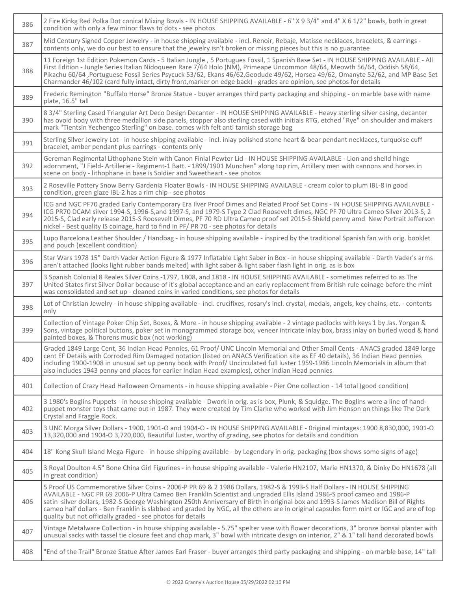| 386 | 2 Fire Kinkg Red Polka Dot conical Mixing Bowls - IN HOUSE SHIPPING AVAILABLE - 6" X 9 3/4" and 4" X 6 1/2" bowls, both in great<br>condition with only a few minor flaws to dots - see photos                                                                                                                                                                                                                                                                                                                                                                                                   |
|-----|--------------------------------------------------------------------------------------------------------------------------------------------------------------------------------------------------------------------------------------------------------------------------------------------------------------------------------------------------------------------------------------------------------------------------------------------------------------------------------------------------------------------------------------------------------------------------------------------------|
| 387 | Mid Century Signed Copper Jewelry - in house shipping available - incl. Renoir, Rebaje, Matisse necklaces, bracelets, & earrings -<br>contents only, we do our best to ensure that the jewelry isn't broken or missing pieces but this is no guarantee                                                                                                                                                                                                                                                                                                                                           |
| 388 | 11 Foreign 1st Edition Pokemon Cards - 5 Italian Jungle, 5 Portugues Fossil, 1 Spanish Base Set - IN HOUSE SHIPPING AVAILABLE - All<br>First Edition - Jungle Series Italian Nidoqueen Rare 7/64 Holo (NM), Primeape Uncommon 48/64, Meowth 56/64, Oddish 58/64,<br>Pikachu 60/64, Portuguese Fossil Series Psycuck 53/62, Ekans 46/62, Geodude 49/62, Horsea 49/62, Omanyte 52/62, and MP Base Set<br>Charmander 46/102 (card fully intact, dirty front, marker on edge back) - grades are opinion, see photos for details                                                                      |
| 389 | Frederic Remington "Buffalo Horse" Bronze Statue - buyer arranges third party packaging and shipping - on marble base with name<br>plate, 16.5" tall                                                                                                                                                                                                                                                                                                                                                                                                                                             |
| 390 | 8 3/4" Sterling Cased Triangular Art Deco Design Decanter - IN HOUSE SHIPPING AVAILABLE - Heavy sterling silver casing, decanter<br>has ovoid body with three medallion side panels, stopper also sterling cased with initials RTG, etched "Rye" on shoulder and makers<br>mark "Tientsin Yechengco Sterling" on base. comes with felt anti tarnish storage bag                                                                                                                                                                                                                                  |
| 391 | Sterling Silver Jewelry Lot - in house shipping available - incl. inlay polished stone heart & bear pendant necklaces, turquoise cuff<br>bracelet, amber pendant plus earrings - contents only                                                                                                                                                                                                                                                                                                                                                                                                   |
| 392 | Gereman Regimental Lithophane Stein with Canon Finial Pewter Lid - IN HOUSE SHIPPING AVAILABLE - Lion and sheild hinge<br>adornment, "J Field- Artillerie - Regiment-1 Batt. - 1899/1901 Munchen" along top rim, Artillery men with cannons and horses in<br>scene on body - lithophane in base is Soldier and Sweetheart - see photos                                                                                                                                                                                                                                                           |
| 393 | 2 Roseville Pottery Snow Berry Gardenia Floater Bowls - IN HOUSE SHIPPING AVAILABLE - cream color to plum IBL-8 in good<br>condition, green glaze IBL-2 has a rim chip - see photos                                                                                                                                                                                                                                                                                                                                                                                                              |
| 394 | ICG and NGC PF70 graded Early Contemporary Era Ilver Proof Dimes and Related Proof Set Coins - IN HOUSE SHIPPING AVAILAVBLE -<br>ICG PR70 DCAM silver 1994-S, 1996-S, and 1997-S, and 1979-S Type 2 Clad Roosevelt dimes, NGC PF 70 Ultra Cameo Silver 2013-S, 2<br>2015-S, Clad early release 2015-S Roosevelt Dimes, PF 70 RD Ultra Cameo proof set 2015-S Shield penny amd New Portrait Jefferson<br>nickel - Best quality IS coinage, hard to find in PF/PR 70 - see photos for details                                                                                                      |
| 395 | Lupo Barcelona Leather Shoulder / Handbag - in house shipping available - inspired by the traditional Spanish fan with orig. booklet<br>and pouch (excellent condition)                                                                                                                                                                                                                                                                                                                                                                                                                          |
| 396 | Star Wars 1978 15" Darth Vader Action Figure & 1977 Inflatable Light Saber in Box - in house shipping available - Darth Vader's arms<br>aren't attached (looks light rubber bands melted) with light saber & light saber flash light in orig. as is box                                                                                                                                                                                                                                                                                                                                          |
| 397 | 3 Spanish Colonial 8 Reales Silver Coins -1797, 1808, and 1818 - IN HOUSE SHIPPING AVAILABLE - sometimes referred to as The<br>United States first Silver Dollar because of it's global acceptance and an early replacement from British rule coinage before the mint<br>was consolidated and set up - cleaned coins in varied conditions, see photos for details                                                                                                                                                                                                                                |
| 398 | Lot of Christian Jewelry - in house shipping available - incl. crucifixes, rosary's incl. crystal, medals, angels, key chains, etc. - contents<br>only                                                                                                                                                                                                                                                                                                                                                                                                                                           |
| 399 | Collection of Vintage Poker Chip Set, Boxes, & More - in house shipping available - 2 vintage padlocks with keys 1 by Jas. Yorgan &<br>Sons, vintage political buttons, poker set in monogrammed storage box, veneer intricate inlay box, brass inlay on burled wood & hand<br>painted boxes, & Thorens music box (not working)                                                                                                                                                                                                                                                                  |
| 400 | Graded 1849 Large Cent, 36 Indian Head Pennies, 61 Proof/ UNC Lincoln Memorial and Other Small Cents - ANACS graded 1849 large<br>cent EF Details with Corroded Rim Damaged notation (listed on ANACS Verification site as EF 40 details), 36 Indian Head pennies<br>including 1900-1908 in unusual set up penny book with Proof/ Uncirculated full luster 1959-1986 Lincoln Memorials in album that<br>also includes 1943 penny and places for earlier Indian Head examples), other Indian Head pennies                                                                                         |
| 401 | Collection of Crazy Head Halloween Ornaments - in house shipping available - Pier One collection - 14 total (good condition)                                                                                                                                                                                                                                                                                                                                                                                                                                                                     |
| 402 | 3 1980's Boglins Puppets - in house shipping available - Dwork in orig. as is box, Plunk, & Squidge. The Boglins were a line of hand-<br>puppet monster toys that came out in 1987. They were created by Tim Clarke who worked with Jim Henson on things like The Dark<br>Crystal and Fraggle Rock.                                                                                                                                                                                                                                                                                              |
| 403 | 3 UNC Morga Silver Dollars - 1900, 1901-O and 1904-O - IN HOUSE SHIPPING AVAILABLE - Original mintages: 1900 8,830,000, 1901-O<br>13,320,000 and 1904-O 3,720,000, Beautiful luster, worthy of grading, see photos for details and condition                                                                                                                                                                                                                                                                                                                                                     |
| 404 | 18" Kong Skull Island Mega-Figure - in house shipping available - by Legendary in orig. packaging (box shows some signs of age)                                                                                                                                                                                                                                                                                                                                                                                                                                                                  |
| 405 | 3 Royal Doulton 4.5" Bone China Girl Figurines - in house shipping available - Valerie HN2107, Marie HN1370, & Dinky Do HN1678 (all<br>in great condition)                                                                                                                                                                                                                                                                                                                                                                                                                                       |
| 406 | 5 Proof US Commemorative Silver Coins - 2006-P PR 69 & 2 1986 Dollars, 1982-S & 1993-S Half Dollars - IN HOUSE SHIPPING<br>AVAILABLE - NGC PR 69 2006-P Ultra Cameo Ben Franklin Scientist and ungraded Ellis Island 1986-S proof cameo and 1986-P<br>satin silver dollars, 1982-S George Washington 250th Anniversary of Birth in original box and 1993-S James Madison Bill of Rights<br>cameo half dollars - Ben Franklin is slabbed and graded by NGC, all the others are in original capsules form mint or IGC and are of top<br>quality but not officially graded - see photos for details |
| 407 | Vintage Metalware Collection - in house shipping available - 5.75" spelter vase with flower decorations, 3" bronze bonsai planter with<br>unusual sacks with tassel tie closure feet and chop mark, 3" bowl with intricate design on interior, 2" & 1" tall hand decorated bowls                                                                                                                                                                                                                                                                                                                 |
| 408 | "End of the Trail" Bronze Statue After James Earl Fraser - buyer arranges third party packaging and shipping - on marble base, 14" tall                                                                                                                                                                                                                                                                                                                                                                                                                                                          |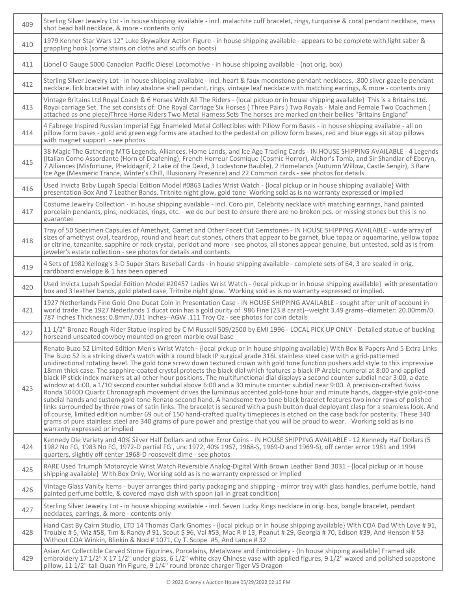| 409 | Sterling Silver Jewelry Lot - in house shipping available - incl. malachite cuff bracelet, rings, turquoise & coral pendant necklace, mess<br>shot bead ball necklace, & more - contents only                                                                                                                                                                                                                                                                                                                                                                                                                                                                                                                                                                                                                                                                                                                                                                                                                                                                                                                                                                                                                                                                                                                                                                                                                                                                                                                                                   |
|-----|-------------------------------------------------------------------------------------------------------------------------------------------------------------------------------------------------------------------------------------------------------------------------------------------------------------------------------------------------------------------------------------------------------------------------------------------------------------------------------------------------------------------------------------------------------------------------------------------------------------------------------------------------------------------------------------------------------------------------------------------------------------------------------------------------------------------------------------------------------------------------------------------------------------------------------------------------------------------------------------------------------------------------------------------------------------------------------------------------------------------------------------------------------------------------------------------------------------------------------------------------------------------------------------------------------------------------------------------------------------------------------------------------------------------------------------------------------------------------------------------------------------------------------------------------|
| 410 | 1979 Kenner Star Wars 12" Luke Skywalker Action Figure - in house shipping available - appears to be complete with light saber &<br>grappling hook (some stains on cloths and scuffs on boots)                                                                                                                                                                                                                                                                                                                                                                                                                                                                                                                                                                                                                                                                                                                                                                                                                                                                                                                                                                                                                                                                                                                                                                                                                                                                                                                                                  |
| 411 | Lionel O Gauge 5000 Canadian Pacific Diesel Locomotive - in house shipping available - (not orig. box)                                                                                                                                                                                                                                                                                                                                                                                                                                                                                                                                                                                                                                                                                                                                                                                                                                                                                                                                                                                                                                                                                                                                                                                                                                                                                                                                                                                                                                          |
| 412 | Sterling Silver Jewelry Lot - in house shipping available - incl. heart & faux moonstone pendant necklaces, .800 silver gazelle pendant<br>necklace, link bracelet with inlay abalone shell pendant, rings, vintage leaf necklace with matching earrings, & more - contents only                                                                                                                                                                                                                                                                                                                                                                                                                                                                                                                                                                                                                                                                                                                                                                                                                                                                                                                                                                                                                                                                                                                                                                                                                                                                |
| 413 | Vintage Britains Ltd Royal Coach & 6 Horses With All The Riders - {local pickup or in house shipping available} This is a Britains Ltd.<br>Royal carriage Set. The set consists of: One Royal Carriage Six Horses (Three Pairs) Two Royals - Male and Female Two Coachmen (<br>attached as one piece)Three Horse Riders Two Metal Harness Sets The horses are marked on their bellies "Britains England"                                                                                                                                                                                                                                                                                                                                                                                                                                                                                                                                                                                                                                                                                                                                                                                                                                                                                                                                                                                                                                                                                                                                        |
| 414 | 4 Fabrege Inspired Russian Imperial Egg Enameled Metal Collectibles with Pillow Form Bases - in house shipping available - all on<br>pillow form bases - gold and green egg forms are atached to the pedestal on pillow form bases, red and blue eggs sit atop pillows<br>with magnet support - see photos                                                                                                                                                                                                                                                                                                                                                                                                                                                                                                                                                                                                                                                                                                                                                                                                                                                                                                                                                                                                                                                                                                                                                                                                                                      |
| 415 | 38 Magic The Gathering MTG Legends, Alliances, Home Lands, and Ice Age Trading Cards - IN HOUSE SHIPPING AVAILABLE - 4 Legends<br>(Italian Corno Assordante (Horn of Deafening), French Horreur Cosmique (Cosmic Horror), Alchor's Tomb, and Sir Shandlar of Eberyn,<br>7 Alliances (Misfortune, Phelddagrif, 2 Lake of the Dead, 3 Lodestone Bauble), 2 Homelands (Autumn Willow, Castle Sengir), 3 Rare<br>Ice Age (Mesmeric Trance, Winter's Chill, Illusionary Presence) and 22 Common cards - see photos for details                                                                                                                                                                                                                                                                                                                                                                                                                                                                                                                                                                                                                                                                                                                                                                                                                                                                                                                                                                                                                       |
| 416 | Used Invicta Baby Lupah Special Edition Model #0863 Ladies Wrist Watch - {local pickup or in house shipping available} With<br>presentation Box And 7 Leather Bands. Tritnite night glow, gold tone Working sold as is no warranty expressed or implied                                                                                                                                                                                                                                                                                                                                                                                                                                                                                                                                                                                                                                                                                                                                                                                                                                                                                                                                                                                                                                                                                                                                                                                                                                                                                         |
| 417 | Costume Jewelry Collection - in house shipping available - incl. Coro pin, Celebrity necklace with matching earrings, hand painted<br>porcelain pendants, pins, necklaces, rings, etc. - we do our best to ensure there are no broken pcs. or missing stones but this is no<br>guarantee                                                                                                                                                                                                                                                                                                                                                                                                                                                                                                                                                                                                                                                                                                                                                                                                                                                                                                                                                                                                                                                                                                                                                                                                                                                        |
| 418 | Tray of 50 Specimen Capsules of Amethyst, Garnet and Other Facet Cut Gemstones - IN HOUSE SHIPPING AVAILABLE - wide array of<br>sizes of amethyst oval, teardrop, round and heart cut stones, others that appear to be garnet, blue topaz or aquamarine, yellow topaz<br>or citrine, tanzanite, sapphire or rock crystal, peridot and more - see photos, all stones appear genuine, but untested, sold as is from<br>jeweler's estate collection - see photos for details and contents                                                                                                                                                                                                                                                                                                                                                                                                                                                                                                                                                                                                                                                                                                                                                                                                                                                                                                                                                                                                                                                          |
| 419 | 4 Sets of 1982 Kellogg's 3-D Super Stars Baseball Cards - in house shipping available - complete sets of 64, 3 are sealed in orig.<br>cardboard envelope & 1 has been opened                                                                                                                                                                                                                                                                                                                                                                                                                                                                                                                                                                                                                                                                                                                                                                                                                                                                                                                                                                                                                                                                                                                                                                                                                                                                                                                                                                    |
| 420 | Used Invicta Lupah Special Edition Model #20457 Ladies Wrist Watch - {local pickup or in house shipping available} with presentation<br>box and 3 leather bands, gold plated case, Tritnite night glow. Working sold as is no warranty expressed or implied.                                                                                                                                                                                                                                                                                                                                                                                                                                                                                                                                                                                                                                                                                                                                                                                                                                                                                                                                                                                                                                                                                                                                                                                                                                                                                    |
| 421 | 1927 Netherlands Fine Gold One Ducat Coin in Presentation Case - IN HOUSE SHIPPING AVAILABLE - sought after unit of account in<br>world trade. The 1927 Nederlands 1 ducat coin has a gold purity of .986 Fine (23.8 carat)--weight 3.49 grams--diameter: 20.00mm/0.<br>787 Inches Thickness: 0.8mm/.031 Inches--AGW .111 Troy Oz - see photos for coin details                                                                                                                                                                                                                                                                                                                                                                                                                                                                                                                                                                                                                                                                                                                                                                                                                                                                                                                                                                                                                                                                                                                                                                                 |
| 422 | 11 1/2" Bronze Rough Rider Statue Inspired by C M Russell 509/2500 by EMI 1996 - LOCAL PICK UP ONLY - Detailed statue of bucking<br>horseand unseated cowboy mounted on green marble oval base                                                                                                                                                                                                                                                                                                                                                                                                                                                                                                                                                                                                                                                                                                                                                                                                                                                                                                                                                                                                                                                                                                                                                                                                                                                                                                                                                  |
| 423 | Renato Buzo 52 Limited Edition Men's Wrist Watch - {local pickup or in house shipping available} With Box & Papers And 5 Extra Links<br>The Buzo 52 is a striking diver's watch with a round black IP surgical grade 316L stainless steel case with a grid-patterned<br>unidirectional rotating bezel. The gold tone screw down textured crown with gold tone function pushers add style to this impressive<br>18mm thick case. The sapphire-coated crystal protects the black dial which features a black IP Arabic numeral at 8:00 and applied<br>black IP stick index markers at all other hour positions. The multifunctional dial displays a second counter subdial near 3:00, a date<br>window at 4:00, a 1/10 second counter subdial above 6:00 and a 30 minute counter subdial near 9:00. A precision-crafted Swiss<br>Ronda 5040D Quartz Chronograph movement drives the luminous accented gold-tone hour and minute hands, dagger-style gold-tone<br>subdial hands and custom gold-tone Renato second hand. A handsome two-tone black bracelet features two inner rows of polished<br>links surrounded by three rows of satin links. The bracelet is secured with a push button dual deployant clasp for a seamless look. And<br>of course, limited edition number 69 out of 150 hand-crafted quality timepieces is etched on the case back for posterity. These 340<br>grams of pure stainless steel are 340 grams of pure power and prestige that you will be proud to wear. Working sold as is no<br>warranty expressed or implied |
| 424 | Kennedy Die Variety and 40% Silver Half Dollars and other Error Coins - IN HOUSE SHIPPING AVAILABLE - 12 Kennedy Half Dollars (5<br>1982 No FG, 1983 No FG, 1972-D partial FG, unc 1972, 40% 1967, 1968-S, 1969-D and 1969-S), off center error 1981 and 1994<br>quarters, slightly off center 1968-D roosevelt dime - see photos                                                                                                                                                                                                                                                                                                                                                                                                                                                                                                                                                                                                                                                                                                                                                                                                                                                                                                                                                                                                                                                                                                                                                                                                               |
| 425 | RARE Used Triumph Motorcycle Wrist Watch Reversible Analog-Digital With Brown Leather Band 3031 - {local pickup or in house<br>shipping available} With Box Only, Working sold as is no warranty expressed or implied                                                                                                                                                                                                                                                                                                                                                                                                                                                                                                                                                                                                                                                                                                                                                                                                                                                                                                                                                                                                                                                                                                                                                                                                                                                                                                                           |
| 426 | Vintage Glass Vanity Items - buyer arranges third party packaging and shipping - mirror tray with glass handles, perfume bottle, hand<br>painted perfume bottle, & covered mayo dish with spoon (all in great condition)                                                                                                                                                                                                                                                                                                                                                                                                                                                                                                                                                                                                                                                                                                                                                                                                                                                                                                                                                                                                                                                                                                                                                                                                                                                                                                                        |
| 427 | Sterling Silver Jewelry Lot - in house shipping available - incl. Seven Lucky Rings necklace in orig. box, bangle bracelet, pendant<br>necklaces, earrings, & more - contents only                                                                                                                                                                                                                                                                                                                                                                                                                                                                                                                                                                                                                                                                                                                                                                                                                                                                                                                                                                                                                                                                                                                                                                                                                                                                                                                                                              |
| 428 | Hand Cast By Cairn Studio, LTD 14 Thomas Clark Gnomes - {local pickup or in house shipping available} With COA Dad With Love #91,<br>Trouble # 5, Wiz #58, Tim & Randy # 91, Scout \$ 96, Val #53, Mac R # 13, Peanut # 29, Georgia # 70, Edison #39, And Henson # 53<br>Without COA Winkin, Blinkin & Nod #1071, Cy T. Scope #5, And Lance #32                                                                                                                                                                                                                                                                                                                                                                                                                                                                                                                                                                                                                                                                                                                                                                                                                                                                                                                                                                                                                                                                                                                                                                                                 |
| 429 | Asian Art Collectible Carved Stone Figurines, Porcelains, Metalware and Embroidery - {In house shipping available] Framed silk<br>embroidery 17 1/2" X 17 1/2" under glass, 6 1/2" white ckay Chinese vase with applied figures, 9 1/2" waxed and polished soapstone<br>pillow, 11 1/2" tall Quan Yin Figure, 9 1/4" round bronze charger Tiger VS Dragon                                                                                                                                                                                                                                                                                                                                                                                                                                                                                                                                                                                                                                                                                                                                                                                                                                                                                                                                                                                                                                                                                                                                                                                       |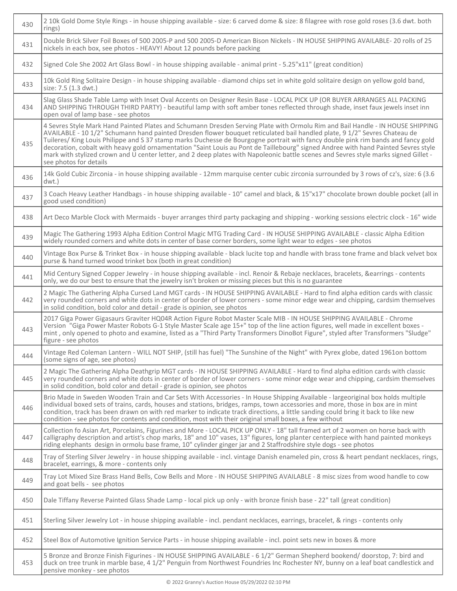| 430 | 210k Gold Dome Style Rings - in house shipping available - size: 6 carved dome & size: 8 filagree with rose gold roses (3.6 dwt. both<br>rings)                                                                                                                                                                                                                                                                                                                                                                                                                                                                                                                                                          |
|-----|----------------------------------------------------------------------------------------------------------------------------------------------------------------------------------------------------------------------------------------------------------------------------------------------------------------------------------------------------------------------------------------------------------------------------------------------------------------------------------------------------------------------------------------------------------------------------------------------------------------------------------------------------------------------------------------------------------|
| 431 | Double Brick Silver Foil Boxes of 500 2005-P and 500 2005-D American Bison Nickels - IN HOUSE SHIPPING AVAILABLE- 20 rolls of 25<br>nickels in each box, see photos - HEAVY! About 12 pounds before packing                                                                                                                                                                                                                                                                                                                                                                                                                                                                                              |
| 432 | Signed Cole She 2002 Art Glass Bowl - in house shipping available - animal print - 5.25"x11" (great condition)                                                                                                                                                                                                                                                                                                                                                                                                                                                                                                                                                                                           |
| 433 | 10k Gold Ring Solitaire Design - in house shipping available - diamond chips set in white gold solitaire design on yellow gold band,<br>size: 7.5 (1.3 dwt.)                                                                                                                                                                                                                                                                                                                                                                                                                                                                                                                                             |
| 434 | Slag Glass Shade Table Lamp with Inset Oval Accents on Designer Resin Base - LOCAL PICK UP (OR BUYER ARRANGES ALL PACKING<br>AND SHIPPING THROUGH THIRD PARTY) - beautiful lamp with soft amber tones reflected through shade, inset faux jewels inset inn<br>open oval of lamp base - see photos                                                                                                                                                                                                                                                                                                                                                                                                        |
| 435 | 4 Sevres Style Mark Hand Painted Plates and Schumann Dresden Serving Plate with Ormolu Rim and Bail Handle - IN HOUSE SHIPPING<br>AVAILABLE - 10 1/2" Schumann hand painted Dresden flower bouquet reticulated bail handled plate, 9 1/2" Sevres Chateau de<br>Tuileres/ King Louis Philippe and S 37 stamp marks Duchesse de Bourgogne portrait with fancy double pink rim bands and fancy gold<br>decoration, cobalt with heavy gold ornamentation "Saint Louis au Pont de Taillebourg" signed Andree with hand Painted Sevres style<br>mark with stylized crown and U center letter, and 2 deep plates with Napoleonic battle scenes and Sevres style marks signed Gillet -<br>see photos for details |
| 436 | 14k Gold Cubic Zirconia - in house shipping available - 12mm marquise center cubic zirconia surrounded by 3 rows of cz's, size: 6 (3.6)<br>$dwt.$ )                                                                                                                                                                                                                                                                                                                                                                                                                                                                                                                                                      |
| 437 | 3 Coach Heavy Leather Handbags - in house shipping available - 10" camel and black, & 15"x17" chocolate brown double pocket (all in<br>good used condition)                                                                                                                                                                                                                                                                                                                                                                                                                                                                                                                                              |
| 438 | Art Deco Marble Clock with Mermaids - buyer arranges third party packaging and shipping - working sessions electric clock - 16" wide                                                                                                                                                                                                                                                                                                                                                                                                                                                                                                                                                                     |
| 439 | Magic The Gathering 1993 Alpha Edition Control Magic MTG Trading Card - IN HOUSE SHIPPING AVAILABLE - classic Alpha Edition<br>widely rounded corners and white dots in center of base corner borders, some light wear to edges - see photos                                                                                                                                                                                                                                                                                                                                                                                                                                                             |
| 440 | Vintage Box Purse & Trinket Box - in house shipping available - black lucite top and handle with brass tone frame and black velvet box<br>purse & hand turned wood trinket box (both in great condition)                                                                                                                                                                                                                                                                                                                                                                                                                                                                                                 |
| 441 | Mid Century Signed Copper Jewelry - in house shipping available - incl. Renoir & Rebaje necklaces, bracelets, &earrings - contents<br>only, we do our best to ensure that the jewelry isn't broken or missing pieces but this is no guarantee                                                                                                                                                                                                                                                                                                                                                                                                                                                            |
| 442 | 2 Magic The Gathering Alpha Cursed Land MGT cards - IN HOUSE SHIPPING AVAILABLE - Hard to find alpha edition cards with classic<br>very rounded corners and white dots in center of border of lower corners - some minor edge wear and chipping, cardsim themselves<br>in solid condition, bold color and detail - grade is opinion, see photos                                                                                                                                                                                                                                                                                                                                                          |
| 443 | 2017 Giga Power Gigasaurs Graviter HQ04R Action Figure Robot Master Scale MIB - IN HOUSE SHIPPING AVAILABLE - Chrome<br>Version "Giga Power Master Robots G-1 Style Master Scale age 15+" top of the line action figures, well made in excellent boxes -<br>mint, only opened to photo and examine, listed as a "Third Party Transformers DinoBot Figure", styled after Transformers "Sludge"<br>figure - see photos                                                                                                                                                                                                                                                                                     |
| 444 | Vintage Red Coleman Lantern - WILL NOT SHIP, (still has fuel) "The Sunshine of the Night" with Pyrex globe, dated 1961on bottom<br>(some signs of age, see photos)                                                                                                                                                                                                                                                                                                                                                                                                                                                                                                                                       |
| 445 | 2 Magic The Gathering Alpha Deathgrip MGT cards - IN HOUSE SHIPPING AVAILABLE - Hard to find alpha edition cards with classic<br>very rounded corners and white dots in center of border of lower corners - some minor edge wear and chipping, cardsim themselves<br>in solid condition, bold color and detail - grade is opinion, see photos                                                                                                                                                                                                                                                                                                                                                            |
| 446 | Brio Made in Sweden Wooden Train and Car Sets With Accessories - In House Shipping Available - largeoriginal box holds multiple<br>individual boxed sets of trains, cards, houses and stations, bridges, ramps, town accessories and more, those in box are in mint<br>condition, track has been drawn on with red marker to indicate track directions, a little sanding could bring it back to like new<br>condition - see photos for contents and condition, most with their original small boxes, a few without                                                                                                                                                                                       |
| 447 | Collection fo Asian Art, Porcelains, Figurines and More - LOCAL PICK UP ONLY - 18" tall framed art of 2 women on horse back with<br>calligraphy description and artist's chop marks, 18" and 10" vases, 13" figures, long planter centerpiece with hand painted monkeys<br>riding elephants design in ormolu base frame, 10" cylinder ginger jar and 2 Staffrodshire style dogs - see photos                                                                                                                                                                                                                                                                                                             |
| 448 | Tray of Sterling Silver Jewelry - in house shipping available - incl. vintage Danish enameled pin, cross & heart pendant necklaces, rings,<br>bracelet, earrings, & more - contents only                                                                                                                                                                                                                                                                                                                                                                                                                                                                                                                 |
| 449 | Tray Lot Mixed Size Brass Hand Bells, Cow Bells and More - IN HOUSE SHIPPING AVAILABLE - 8 misc sizes from wood handle to cow<br>and goat bells - see photos                                                                                                                                                                                                                                                                                                                                                                                                                                                                                                                                             |
| 450 | Dale Tiffany Reverse Painted Glass Shade Lamp - local pick up only - with bronze finish base - 22" tall (great condition)                                                                                                                                                                                                                                                                                                                                                                                                                                                                                                                                                                                |
| 451 | Sterling Silver Jewelry Lot - in house shipping available - incl. pendant necklaces, earrings, bracelet, & rings - contents only                                                                                                                                                                                                                                                                                                                                                                                                                                                                                                                                                                         |
| 452 | Steel Box of Automotive Ignition Service Parts - in house shipping available - incl. point sets new in boxes & more                                                                                                                                                                                                                                                                                                                                                                                                                                                                                                                                                                                      |
| 453 | 5 Bronze and Bronze Finish Figurines - IN HOUSE SHIPPING AVAILABLE - 6 1/2" German Shepherd bookend/ doorstop, 7: bird and<br>duck on tree trunk in marble base, 4 1/2" Penguin from Northwest Foundries Inc Rochester NY, bunny on a leaf boat candlestick and<br>pensive monkey - see photos                                                                                                                                                                                                                                                                                                                                                                                                           |

٦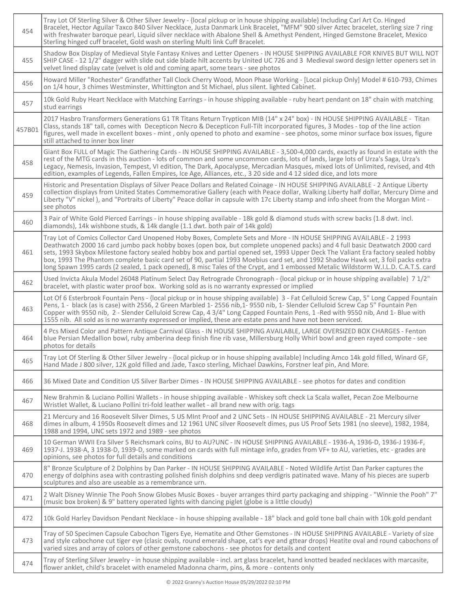| 454    | Tray Lot Of Sterling Silver & Other Silver Jewelry - {local pickup or in house shipping available} Including Carl Art Co. Hinged<br>Bracelet, Hector Aguilar Taxco 840 Silver Necklace, Justa Danmark Link Bracelet, "MFM" 900 silver Aztec bracelet, sterling size 7 ring<br>with freshwater baroque pearl, Liquid silver necklace with Abalone Shell & Amethyst Pendent, Hinged Gemstone Bracelet, Mexico<br>Sterling hinged cuff bracelet, Gold wash on sterling Multi link Cuff Bracelet.                                                                                                                                                                       |
|--------|---------------------------------------------------------------------------------------------------------------------------------------------------------------------------------------------------------------------------------------------------------------------------------------------------------------------------------------------------------------------------------------------------------------------------------------------------------------------------------------------------------------------------------------------------------------------------------------------------------------------------------------------------------------------|
| 455    | Shadow Box Display of Medieval Style Fantasy Knives and Letter Openers - IN HOUSE SHIPPING AVAILABLE FOR KNIVES BUT WILL NOT<br>SHIP CASE - 12 1/2" dagger with slide out side blade hilt accents by United UC 726 and 3 Medieval sword design letter openers set in<br>velvet lined display cate (velvet is old and coming apart, some tears - see photos                                                                                                                                                                                                                                                                                                          |
| 456    | Howard Miller "Rochester" Grandfather Tall Clock Cherry Wood, Moon Phase Working - [Local pickup Only] Model # 610-793, Chimes<br>on 1/4 hour, 3 chimes Westminster, Whittington and St Michael, plus silent. lighted Cabinet.                                                                                                                                                                                                                                                                                                                                                                                                                                      |
| 457    | 10k Gold Ruby Heart Necklace with Matching Earrings - in house shipping available - ruby heart pendant on 18" chain with matching<br>stud earrings                                                                                                                                                                                                                                                                                                                                                                                                                                                                                                                  |
| 457B01 | 2017 Hasbro Transformers Generations G1 TR Titans Return Trypticon MIB (14" x 24" box) - IN HOUSE SHIPPING AVAILABLE - Titan<br>Class, stands 18" tall, comes with Decepticon Necro & Decepticon Full-Tilt incorporated figures, 3 Modes - top of the line action<br>figures, well made in excellent boxes - mint, only opened to photo and examine - see photos, some minor surface box issues, figure<br>still attached to inner box liner                                                                                                                                                                                                                        |
| 458    | Giant Box FULL of Magic The Gathering Cards - IN HOUSE SHIPPING AVAILABLE - 3,500-4,000 cards, exactly as found in estate with the<br>rest of the MTG cards in this auction - lots of common and some uncommon cards, lots of lands, large lots of Urza's Saga, Urza's<br>Legacy, Nemesis, Invasion, Tempest, VI edition, The Dark, Apocalypse, Mercadian Masques, mixed lots of Unlimited, revised, and 4th<br>edition, examples of Legends, Fallen Empires, Ice Age, Alliances, etc., 3 20 side and 4 12 sided dice, and lots more                                                                                                                                |
| 459    | Historic and Presentation Displays of Silver Peace Dollars and Related Coinage - IN HOUSE SHIPPING AVAILABLE - 2 Antique Liberty<br>collection displays from United States Commemorative Gallery (each with Peace dollar, Walking Liberty half dollar, Mercury Dime and<br>Liberty "V" nickel), and "Portraits of Liberty" Peace dollar in capsule with 17c Liberty stamp and info sheet from the Morgan Mint -<br>see photos                                                                                                                                                                                                                                       |
| 460    | 3 Pair of White Gold Pierced Earrings - in house shipping available - 18k gold & diamond studs with screw backs (1.8 dwt. incl.<br>diamonds), 14k wishbone studs, & 14k dangle (1.1 dwt. both pair of 14k gold)                                                                                                                                                                                                                                                                                                                                                                                                                                                     |
| 461    | Tray Lot of Comics Collector Card Unopened Hoby Boxes, Complete Sets and More - IN HOUSE SHIPPING AVAILABLE - 2 1993<br>Deathwatch 2000 16 card jumbo pack hobby boxes (open box, but complete unopened packs) and 4 full basic Deatwatch 2000 card<br>sets, 1993 Skybox Milestone factory sealed hobby box and partial opened set, 1993 Upper Deck The Valiant Era factory sealed hobby<br>box, 1993 The Phantom complete basic card set of 90, partial 1993 Moebius card set, and 1992 Shadow Hawk set, 3 foil packs extra<br>long Spawn 1995 cards (2 sealed, 1 pack opened), 8 misc Tales of the Crypt, and 1 embossed Metalic Wildstorm W.I.L.D. C.A.T.S. card |
| 462    | Used Invicta Akula Model 26048 Platinum Select Day Retrograde Chronograph - {local pickup or in house shipping available} 7 1/2"<br>bracelet, with plastic water proof box. Working sold as is no warranty expressed or implied                                                                                                                                                                                                                                                                                                                                                                                                                                     |
| 463    | Lot Of 6 Esterbrook Fountain Pens - {local pickup or in house shipping available} 3 - Fat Celluloid Screw Cap, 5" Long Capped Fountain<br>Pens, 1 - black (as is case) with 2556, 2 Green Marbled 1-2556 nib, 1-9550 nib, 1- Slender Celluloid Screw Cap 5" Fountain Pen<br>Copper with 9550 nib, 2 - Slender Celluloid Screw Cap, 4 3/4" Long Capped Fountain Pens, 1 -Red with 9550 nib, And 1- Blue with<br>1555 nib. All sold as is no warranty expressed or implied, these are estate pens and have not been serviced.                                                                                                                                         |
| 464    | 4 Pcs Mixed Color and Pattern Antique Carnival Glass - IN HOUSE SHIPPING AVAILABLE, LARGE OVERSIZED BOX CHARGES - Fenton<br>blue Persian Medallion bowl, ruby amberina deep finish fine rib vase, Millersburg Holly Whirl bowl and green rayed compote - see<br>photos for details                                                                                                                                                                                                                                                                                                                                                                                  |
| 465    | Tray Lot Of Sterling & Other Silver Jewelry - {local pickup or in house shipping available} Including Amco 14k gold filled, Winard GF,<br>Hand Made J 800 silver, 12K gold filled and Jade, Taxco sterling, Michael Dawkins, Forstner leaf pin, And More.                                                                                                                                                                                                                                                                                                                                                                                                           |
| 466    | 36 Mixed Date and Condition US Silver Barber Dimes - IN HOUSE SHIPPING AVAILABLE - see photos for dates and condition                                                                                                                                                                                                                                                                                                                                                                                                                                                                                                                                               |
| 467    | New Brahmin & Luciano Pollini Wallets - in house shipping available - Whiskey soft check La Scala wallet, Pecan Zoe Melbourne<br>Wristlet Wallet, & Luciano Pollini tri-fold leather wallet - all brand new with orig. tags                                                                                                                                                                                                                                                                                                                                                                                                                                         |
| 468    | 21 Mercury and 16 Roosevelt Silver Dimes, 5 US MInt Proof and 2 UNC Sets - IN HOUSE SHIPPING AVAILABLE - 21 Mercury silver<br>dimes in album, 4 1950s Roosevelt dimes and 12 1961 UNC silver Roosevelt dimes, pus US Proof Sets 1981 (no sleeve), 1982, 1984,<br>1988 and 1994, UNC sets 1972 and 1989 - see photos                                                                                                                                                                                                                                                                                                                                                 |
| 469    | 10 German WWII Era Silver 5 Reichsmark coins, BU to AU?UNC - IN HOUSE SHIPPING AVAILABLE - 1936-A, 1936-D, 1936-J 1936-F,<br>1937-J. 1938-A, 3 1938-D, 1939-D, some marked on cards with full mintage info, grades from VF+ to AU, varieties, etc - grades are<br>opinions, see photos for full details and conditions                                                                                                                                                                                                                                                                                                                                              |
| 470    | 8" Bronze Sculpture of 2 Dolphins by Dan Parker - IN HOUSE SHIPPING AVAILABLE - Noted Wildlife Artist Dan Parker captures the<br>energy of dolphins asea with contrasting polished finish dolphins snd deep verdigris patinated wave. Many of his pieces are superb<br>sculptures and also are useable as a remembrance urn.                                                                                                                                                                                                                                                                                                                                        |
| 471    | 2 Walt Disney Winnie The Pooh Snow Globes Music Boxes - buyer arranges third party packaging and shipping - "Winnie the Pooh" 7"<br>(music box broken) & 9" battery operated lights with dancing piglet (globe is a little cloudy)                                                                                                                                                                                                                                                                                                                                                                                                                                  |
| 472    | 10k Gold Harley Davidson Pendant Necklace - in house shipping available - 18" black and gold tone ball chain with 10k gold pendant                                                                                                                                                                                                                                                                                                                                                                                                                                                                                                                                  |
| 473    | Tray of 50 Specimen Capsule Cabochon Tigers Eye, Hematite and Other Gemstones - IN HOUSE SHIPPING AVAILABLE - Variety of size<br>and style cabochone cut tiger eye (clasic ovals, round emerald shape, cat's eye and gttear drops) Heatite oval and round cabochons of<br>varied sizes and array of colors of other gemstone cabochons - see photos for details and content                                                                                                                                                                                                                                                                                         |
| 474    | Tray of Sterling Silver Jewelry - in house shipping available - incl. art glass bracelet, hand knotted beaded necklaces with marcasite,<br>flower anklet, child's bracelet with enameled Madonna charm, pins, & more - contents only                                                                                                                                                                                                                                                                                                                                                                                                                                |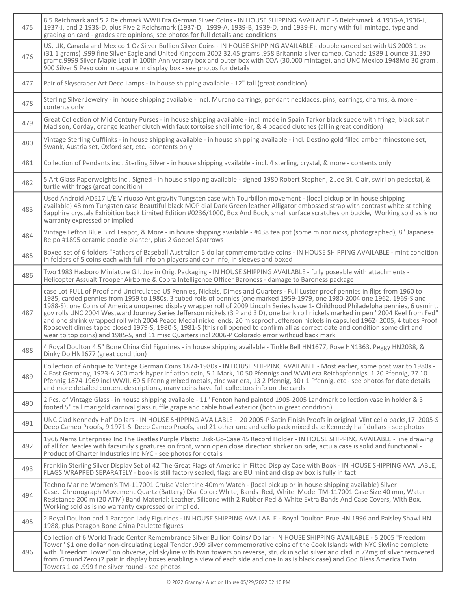| 475 | 85 Reichmark and 52 Reichmark WWII Era German Silver Coins - IN HOUSE SHIPPING AVAILABLE -5 Reichsmark 4 1936-A,1936-J,<br>1937-J, and 2 1938-D, plus Five 2 Reichsmark (1937-D, 1939-A, 1939-B, 1939-D, and 1939-F), many with full mintage, type and<br>grading on card - grades are opinions, see photos for full details and conditions                                                                                                                                                                                                                                                                                                                                                                                                                                                                                                                                                                                    |
|-----|--------------------------------------------------------------------------------------------------------------------------------------------------------------------------------------------------------------------------------------------------------------------------------------------------------------------------------------------------------------------------------------------------------------------------------------------------------------------------------------------------------------------------------------------------------------------------------------------------------------------------------------------------------------------------------------------------------------------------------------------------------------------------------------------------------------------------------------------------------------------------------------------------------------------------------|
| 476 | US, UK, Canada and Mexico 1 Oz Silver Bullion Silver Coins - IN HOUSE SHIPPING AVAILABLE - double carded set with US 2003 1 oz<br>(31.1 grams) .999 fine Silver Eagle and United Kingdom 2002 32.45 grams .958 Britannia silver cameo, Canada 1989 1 ounce 31.390<br>gramc.9999 Silver Maple Leaf in 100th Anniversary box and outer box with COA (30,000 mintage), and UNC Mexico 1948Mo 30 gram.<br>900 Silver 5 Peso coin in capsule in display box - see photos for details                                                                                                                                                                                                                                                                                                                                                                                                                                                |
| 477 | Pair of Skyscraper Art Deco Lamps - in house shipping available - 12" tall (great condition)                                                                                                                                                                                                                                                                                                                                                                                                                                                                                                                                                                                                                                                                                                                                                                                                                                   |
| 478 | Sterling Silver Jewelry - in house shipping available - incl. Murano earrings, pendant necklaces, pins, earrings, charms, & more -<br>contents only                                                                                                                                                                                                                                                                                                                                                                                                                                                                                                                                                                                                                                                                                                                                                                            |
| 479 | Great Collection of Mid Century Purses - in house shipping available - incl. made in Spain Tarkor black suede with fringe, black satin<br>Madison, Corday, orange leather clutch with faux tortoise shell interior, & 4 beaded clutches (all in great condition)                                                                                                                                                                                                                                                                                                                                                                                                                                                                                                                                                                                                                                                               |
| 480 | Vintage Sterling Cufflinks - in house shipping available - in house shipping available - incl. Destino gold filled amber rhinestone set,<br>Swank, Austria set, Oxford set, etc. - contents only                                                                                                                                                                                                                                                                                                                                                                                                                                                                                                                                                                                                                                                                                                                               |
| 481 | Collection of Pendants incl. Sterling Silver - in house shipping available - incl. 4 sterling, crystal, & more - contents only                                                                                                                                                                                                                                                                                                                                                                                                                                                                                                                                                                                                                                                                                                                                                                                                 |
| 482 | 5 Art Glass Paperweights incl. Signed - in house shipping available - signed 1980 Robert Stephen, 2 Joe St. Clair, swirl on pedestal, &<br>turtle with frogs (great condition)                                                                                                                                                                                                                                                                                                                                                                                                                                                                                                                                                                                                                                                                                                                                                 |
| 483 | Used Android AD517 L/E Virtuoso Antigravity Tungsten case with Tourbillon movement - {local pickup or in house shipping<br>available} 48 mm Tungsten case Beautiful black MOP dial Dark Green leather Alligator embossed strap with contrast white stitching<br>Sapphire crystals Exhibition back Limited Edition #0236/1000, Box And Book, small surface scratches on buckle, Working sold as is no<br>warranty expressed or implied                                                                                                                                                                                                                                                                                                                                                                                                                                                                                          |
| 484 | Vintage Lefton Blue Bird Teapot, & More - in house shipping available - #438 tea pot (some minor nicks, photographed), 8" Japanese<br>Relpo #1895 ceramic poodle planter, plus 2 Goebel Sparrows                                                                                                                                                                                                                                                                                                                                                                                                                                                                                                                                                                                                                                                                                                                               |
| 485 | Boxed set of 6 folders "Fathers of Baseball Australian 5 dollar commemorative coins - IN HOUSE SHIPPING AVAILABLE - mint condition<br>in folders of 5 coins each with full info on players and coin info, in sleeves and boxed                                                                                                                                                                                                                                                                                                                                                                                                                                                                                                                                                                                                                                                                                                 |
| 486 | Two 1983 Hasboro Miniature G.I. Joe in Orig. Packaging - IN HOUSE SHIPPING AVAILABLE - fully poseable with attachments -<br>Helicopter Assualt Trooper Airborne & Cobra Intelligence Officer Baroness - damage to Baroness package                                                                                                                                                                                                                                                                                                                                                                                                                                                                                                                                                                                                                                                                                             |
| 487 | case Lot FULL of Proof and Uncirculated US Pennies, Nickels, Dimes and Quarters - Full Luster proof pennies in flips from 1960 to<br>1985, carded pennies from 1959 to 1980s, 3 tubed rolls of pennies (one marked 1959-1979, one 1980-2004 one 1962, 1969-S and<br>1988-S), one Coins of America unopened display wrapper roll of 2009 Lincoln Series Issue 1- Childhood Philadelpha pennies, 6 usmint.<br>gov rolls UNC 2004 Westward Journey Series Jefferson nickels (3 P and 3 D), one bank roll nickels marked in pen "2004 Keel from Fed"<br>and one shrink wrapped roll with 2004 Peace Medal nickel ends, 20 miscproof Jefferson nickels in capsuled 1962-2005, 4 tubes Proof<br>Roosevelt dimes taped closed 1979-S, 1980-S, 1981-S (this roll opened to confirm all as correct date and condition some dirt and<br>wear to top coins) and 1985-S, and 11 misc Quarters incl 2006-P Colorado error withcud back mark |
| 488 | 4 Royal Doulton 4.5" Bone China Girl Figurines - in house shipping available - Tinkle Bell HN1677, Rose HN1363, Peggy HN2038, &<br>Dinky Do HN1677 (great condition)                                                                                                                                                                                                                                                                                                                                                                                                                                                                                                                                                                                                                                                                                                                                                           |
| 489 | Collection of Antique to Vintage German Coins 1874-1980s - IN HOUSE SHIPPING AVAILABLE - Most earlier, some post war to 1980s -<br>4 East Germany, 1923-A 200 mark hyper inflation coin, 5 1 Mark, 10 50 Pfennigs and WWII era Reichspfennigs. 1 20 Pfennig, 27 10<br>Pfennig 1874-1969 incl WWII, 60 5 Pfennig mixed metals, zinc war era, 13 2 Pfennig, 30+ 1 Pfennig, etc - see photos for date details<br>and more detailed content descriptions, many coins have full collectors info on the cards                                                                                                                                                                                                                                                                                                                                                                                                                        |
| 490 | 2 Pcs. of Vintage Glass - in house shipping available - 11" Fenton hand painted 1905-2005 Landmark collection vase in holder & 3<br>footed 5" tall marigold carnival glass ruffle grape and cable bowl exterior (both in great condition)                                                                                                                                                                                                                                                                                                                                                                                                                                                                                                                                                                                                                                                                                      |
| 491 | UNC Clad Kennedy Half Dollars - IN HOUSE SHIPPING AVAILABLE - 20 2005-P Satin Finish Proofs in original Mint cello packs, 17 2005-S<br>Deep Cameo Proofs, 9 1971-S Deep Cameo Proofs, and 21 other unc and cello pack mixed date Kennedy half dollars - see photos                                                                                                                                                                                                                                                                                                                                                                                                                                                                                                                                                                                                                                                             |
| 492 | 1966 Nems Enterprises Inc The Beatles Purple Plastic Disk-Go-Case 45 Record Holder - IN HOUSE SHIPPING AVAILABLE - line drawing<br>of all for Beatles with facsimily signatures on front, worn open close direction sticker on side, actula case is solid and functional -<br>Product of Charter Industries Inc NYC - see photos for details                                                                                                                                                                                                                                                                                                                                                                                                                                                                                                                                                                                   |
| 493 | Franklin Sterling Silver Display Set of 42 The Great Flags of America in Fitted Display Case with Book - IN HOUSE SHIPPING AVAILABLE,<br>FLAGS WRAPPED SEPARATELY - book is still factory sealed, flags are BU mint and display box is fully in tact                                                                                                                                                                                                                                                                                                                                                                                                                                                                                                                                                                                                                                                                           |
| 494 | Techno Marine Women's TM-117001 Cruise Valentine 40mm Watch - {local pickup or in house shipping available} Silver<br>Case, Chronograph Movement Quartz (Battery) Dial Color: White, Bands Red, White Model TM-117001 Case Size 40 mm, Water<br>Resistance 200 m (20 ATM) Band Material: Leather, Silicone with 2 Rubber Red & White Extra Bands And Case Covers, With Box.<br>Working sold as is no warranty expressed or implied.                                                                                                                                                                                                                                                                                                                                                                                                                                                                                            |
| 495 | 2 Royal Doulton and 1 Paragon Lady Figurines - IN HOUSE SHIPPING AVAILABLE - Royal Doulton Prue HN 1996 and Paisley Shawl HN<br>1988, plus Paragon Bone China Paulette figures                                                                                                                                                                                                                                                                                                                                                                                                                                                                                                                                                                                                                                                                                                                                                 |
| 496 | Collection of 6 World Trade Center Remembrance Silver Bullion Coins/ Dollar - IN HOUSE SHIPPING AVAILABLE - 5 2005 "Freedom<br>Tower" \$1 one dollar non-circulating Legal Tender .999 silver commemorative coins of the Cook Islands with NYC Skyline complete<br>with "Freedom Tower" on obverse, old skyline with twin towers on reverse, struck in solid silver and clad in 72mg of silver recovered<br>from Ground Zero (2 pair in display boxes enabling a view of each side and one in as is black case) and God Bless America Twin<br>Towers 1 oz .999 fine silver round - see photos                                                                                                                                                                                                                                                                                                                                  |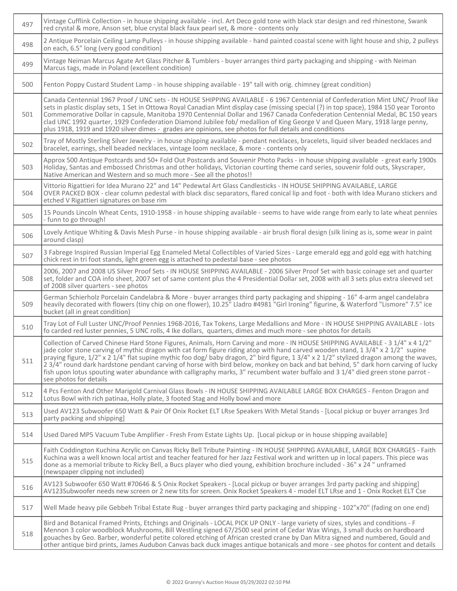| 497 | Vintage Cufflink Collection - in house shipping available - incl. Art Deco gold tone with black star design and red rhinestone, Swank<br>red crystal & more, Anson set, blue crystal black faux pearl set, & more - contents only                                                                                                                                                                                                                                                                                                                                                                                                                                                                                 |
|-----|-------------------------------------------------------------------------------------------------------------------------------------------------------------------------------------------------------------------------------------------------------------------------------------------------------------------------------------------------------------------------------------------------------------------------------------------------------------------------------------------------------------------------------------------------------------------------------------------------------------------------------------------------------------------------------------------------------------------|
| 498 | 2 Antique Porcelain Ceiling Lamp Pulleys - in house shipping available - hand painted coastal scene with light house and ship, 2 pulleys<br>on each, 6.5" long (very good condition)                                                                                                                                                                                                                                                                                                                                                                                                                                                                                                                              |
| 499 | Vintage Neiman Marcus Agate Art Glass Pitcher & Tumblers - buyer arranges third party packaging and shipping - with Neiman<br>Marcus tags, made in Poland (excellent condition)                                                                                                                                                                                                                                                                                                                                                                                                                                                                                                                                   |
| 500 | Fenton Poppy Custard Student Lamp - in house shipping available - 19" tall with orig. chimney (great condition)                                                                                                                                                                                                                                                                                                                                                                                                                                                                                                                                                                                                   |
| 501 | Canada Centennial 1967 Proof / UNC sets - IN HOUSE SHIPPING AVAILABLE - 6 1967 Centennial of Confederation Mint UNC/ Proof like<br>sets in plastic display sets, 1 Set in Ottowa Royal Canadian Mint display case (missing special (?) in top space), 1984 150 year Toronto<br>Commemorative Dollar in capsule, Manitoba 1970 Centennial Dollar and 1967 Canada Confederation Centennial Medal, BC 150 years<br>clad UNC 1992 quarter, 1929 Confederation Diamond Jubilee fob/ medallion of King George V and Queen Mary, 1918 large penny,<br>plus 1918, 1919 and 1920 silver dimes - grades are opinions, see photos for full details and conditions                                                            |
| 502 | Tray of Mostly Sterling Silver Jewelry - in house shipping available - pendant necklaces, bracelets, liquid silver beaded necklaces and<br>bracelet, earrings, shell beaded necklaces, vintage loom necklace, & more - contents only                                                                                                                                                                                                                                                                                                                                                                                                                                                                              |
| 503 | Approx 500 Antique Postcards and 50+ Fold Out Postcards and Souvenir Photo Packs - in house shipping available - great early 1900s<br>Holiday, Santas and embossed Christmas and other holidays, Victorian courting theme card series, souvenir fold outs, Skyscraper,<br>Native American and Western and so much more - See all the photos!!                                                                                                                                                                                                                                                                                                                                                                     |
| 504 | Vittorio Rigattieri for Idea Murano 22" and 14" Pedewtal Art Glass Candlesticks - IN HOUSE SHIPPING AVAILABLE, LARGE<br>OVER PACKED BOX - clear column pedestal with black disc separators, flared conical lip and foot - both with Idea Murano stickers and<br>etched V Rigattieri signatures on base rim                                                                                                                                                                                                                                                                                                                                                                                                        |
| 505 | 15 Pounds Lincoln Wheat Cents, 1910-1958 - in house shipping available - seems to have wide range from early to late wheat pennies<br>- funn to go through!                                                                                                                                                                                                                                                                                                                                                                                                                                                                                                                                                       |
| 506 | Lovely Antique Whiting & Davis Mesh Purse - in house shipping available - air brush floral design (silk lining as is, some wear in paint<br>around clasp)                                                                                                                                                                                                                                                                                                                                                                                                                                                                                                                                                         |
| 507 | 3 Fabrege Inspired Russian Imperial Egg Enameled Metal Collectibles of Varied Sizes - Large emerald egg and gold egg with hatching<br>chick rest in tri foot stands, light green egg is attached to pedestal base - see photos                                                                                                                                                                                                                                                                                                                                                                                                                                                                                    |
| 508 | 2006, 2007 and 2008 US Silver Proof Sets - IN HOUSE SHIPPING AVAILABLE - 2006 Silver Proof Set with basic coinage set and quarter<br>set, folder and COA info sheet, 2007 set of same content plus the 4 Presidential Dollar set, 2008 with all 3 sets plus extra sleeved set<br>of 2008 silver quarters - see photos                                                                                                                                                                                                                                                                                                                                                                                             |
| 509 | German Schierholz Porcelain Candelabra & More - buyer arranges third party packaging and shipping - 16" 4-arm angel candelabra<br>heavily decorated with flowers (tiny chip on one flower), 10.25" Lladro #4981 "Girl Ironing" figurine, & Waterford "Lismore" 7.5" ice<br>bucket (all in great condition)                                                                                                                                                                                                                                                                                                                                                                                                        |
| 510 | Tray Lot of Full Luster UNC/Proof Pennies 1968-2016, Tax Tokens, Large Medallions and More - IN HOUSE SHIPPING AVAILABLE - lots<br>fo carded red luster pennies, 5 UNC rolls, 4 Ike dollars, quarters, dimes and much more - see photos for details                                                                                                                                                                                                                                                                                                                                                                                                                                                               |
| 511 | Collection of Carved Chinese Hard Stone Figures, Animals, Horn Carving and more - IN HOUSE SHIPPING AVAILABLE - 3 1/4" x 4 1/2"<br>jade color stone carving of mythic dragon with cat form figure riding atop with hand carved wooden stand, 1 3/4" x 2 1/2" supine<br>praying figure, 1/2" x 2 1/4" flat supine mythic foo dog/ baby dragon, 2" bird figure, 1 3/4" x 2 1/2" stylized dragon among the waves,<br>23/4" round dark hardstone pendant carving of horse with bird below, monkey on back and bat behind, 5" dark horn carving of lucky<br>fish upon lotus spouting water abundance with calligraphy marks, 3" recumbent water buffalo and 3 1/4" died green stone parrot -<br>see photos for details |
| 512 | 4 Pcs Fenton And Other Marigold Carnival Glass Bowls - IN HOUSE SHIPPING AVAILABLE LARGE BOX CHARGES - Fenton Dragon and<br>Lotus Bowl with rich patinaa, Holly plate, 3 footed Stag and Holly bowl and more                                                                                                                                                                                                                                                                                                                                                                                                                                                                                                      |
| 513 | Used AV123 Subwoofer 650 Watt & Pair Of Onix Rocket ELT LRse Speakers With Metal Stands - [Local pickup or buyer arranges 3rd<br>party packing and shipping]                                                                                                                                                                                                                                                                                                                                                                                                                                                                                                                                                      |
| 514 | Used Dared MP5 Vacuum Tube Amplifier - Fresh From Estate Lights Up. [Local pickup or in house shipping available]                                                                                                                                                                                                                                                                                                                                                                                                                                                                                                                                                                                                 |
| 515 | Faith Coddington Kuchina Acrylic on Canvas Ricky Bell Tribute Painting - IN HOUSE SHIPPING AVAILABLE, LARGE BOX CHARGES - Faith<br>Kuchina was a well known local artist and teacher featured for her Jazz Festival work and written up in local papers. This piece was<br>done as a memorial tribute to Ricky Bell, a Bucs player who died young, exhibition brochure included - 36" x 24" unframed<br>(newspaper clipping not included)                                                                                                                                                                                                                                                                         |
| 516 | AV123 Subwoofer 650 Watt #70646 & 5 Onix Rocket Speakers - [Local pickup or buyer arranges 3rd party packing and shipping]<br>AV123Subwoofer needs new screen or 2 new tits for screen. Onix Rocket Speakers 4 - model ELT LRse and 1 - Onix Rocket ELT Cse                                                                                                                                                                                                                                                                                                                                                                                                                                                       |
| 517 | Well Made heavy pile Gebbeh Tribal Estate Rug - buyer arranges third party packaging and shipping - 102"x70" (fading on one end)                                                                                                                                                                                                                                                                                                                                                                                                                                                                                                                                                                                  |
| 518 | Bird and Botanical Framed Prints, Etchings and Originals - LOCAL PICK UP ONLY - large variety of sizes, styles and conditions - F<br>Mennon 3 color woodblock Mushrooms, Bill Westling signed 67/2500 seal print of Cedar Wax Wings, 3 small ducks on hardboard<br>gouaches by Geo. Barber, wonderful petite colored etching of African crested crane by Dan Mitra signed and numbered, Gould and<br>other antique bird prints, James Audubon Canvas back duck images antique botanicals and more - see photos for content and details                                                                                                                                                                            |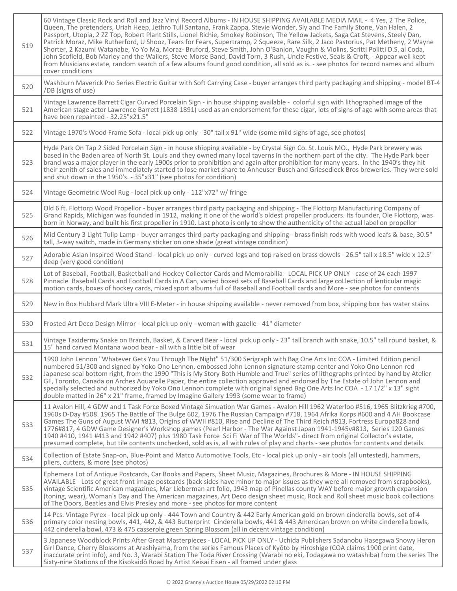| 519 | 60 Vintage Classic Rock and Roll and Jazz Vinyl Record Albums - IN HOUSE SHIPPING AVAILABLE MEDIA MAIL - 4 Yes, 2 The Police,<br>Queen, The pretenders, Uriah Heep, Jethro Tull Santana, Frank Zappa, Stevie Wonder, Sly and The Family Stone, Van Halen, 2<br>Passport, Utopia, 2 ZZ Top, Robert Plant Stills, Lionel Richie, Smokey Robinson, The Yellow Jackets, Saga Cat Stevens, Steely Dan,<br>Patrick Moraz, Mike Rutherford, U Shooz, Tears for Fears, Supertramp, 2 Squeeze, Rare Silk, 2 Jaco Pastorius, Pat Metheny, 2 Wayne<br>Shorter, 2 Kazumi Watanabe, Yo Yo Ma, Moraz- Bruford, Steve Smith, John O'Banion, Vaughn & Violins, Scritti Politti D.S. al Coda,<br>John Scofield, Bob Marley and the Wailers, Steve Morse Band, David Torn, 3 Rush, Uncle Festive, Seals & Croft, - Appear well kept<br>from Musicians estate, random search of a few albums found good condition, all sold as is. - see photos for record names and album<br>cover conditions |
|-----|-----------------------------------------------------------------------------------------------------------------------------------------------------------------------------------------------------------------------------------------------------------------------------------------------------------------------------------------------------------------------------------------------------------------------------------------------------------------------------------------------------------------------------------------------------------------------------------------------------------------------------------------------------------------------------------------------------------------------------------------------------------------------------------------------------------------------------------------------------------------------------------------------------------------------------------------------------------------------------|
| 520 | Washburn Maverick Pro Series Electric Guitar with Soft Carrying Case - buyer arranges third party packaging and shipping - model BT-4<br>/DB (signs of use)                                                                                                                                                                                                                                                                                                                                                                                                                                                                                                                                                                                                                                                                                                                                                                                                                 |
| 521 | Vintage Lawrence Barrett Cigar Curved Porcelain Sign - in house shipping available - colorful sign with lithographed image of the<br>American stage actor Lawrence Barrett (1838-1891) used as an endorsement for these cigar, lots of signs of age with some areas that<br>have been repainted - 32.25"x21.5"                                                                                                                                                                                                                                                                                                                                                                                                                                                                                                                                                                                                                                                              |
| 522 | Vintage 1970's Wood Frame Sofa - local pick up only - 30" tall x 91" wide (some mild signs of age, see photos)                                                                                                                                                                                                                                                                                                                                                                                                                                                                                                                                                                                                                                                                                                                                                                                                                                                              |
| 523 | Hyde Park On Tap 2 Sided Porcelain Sign - in house shipping available - by Crystal Sign Co. St. Louis MO., Hyde Park brewery was<br>based in the Baden area of North St. Louis and they owned many local taverns in the northern part of the city. The Hyde Park beer<br>brand was a major player in the early 1900s prior to prohibition and again after prohibition for many years. In the 1940's they hit<br>their zenith of sales and immediately started to lose market share to Anheuser-Busch and Griesedieck Bros breweries. They were sold<br>and shut down in the 1950's. - 35"x31" (see photos for condition)                                                                                                                                                                                                                                                                                                                                                    |
| 524 | Vintage Geometric Wool Rug - local pick up only - 112"x72" w/ fringe                                                                                                                                                                                                                                                                                                                                                                                                                                                                                                                                                                                                                                                                                                                                                                                                                                                                                                        |
| 525 | Old 6 ft. Flottorp Wood Propellor - buyer arranges third party packaging and shipping - The Flottorp Manufacturing Company of<br>Grand Rapids, Michigan was founded in 1912, making it one of the world's oldest propeller producers. Its founder, Ole Flottorp, was<br>born in Norway, and built his first propeller in 1910. Last photo is only to show the authenticity of the actual label on propellor                                                                                                                                                                                                                                                                                                                                                                                                                                                                                                                                                                 |
| 526 | Mid Century 3 Light Tulip Lamp - buyer arranges third party packaging and shipping - brass finish rods with wood leafs & base, 30.5"<br>tall. 3-wav switch, made in Germany sticker on one shade (great vintage condition)                                                                                                                                                                                                                                                                                                                                                                                                                                                                                                                                                                                                                                                                                                                                                  |
| 527 | Adorable Asian Inspired Wood Stand - local pick up only - curved legs and top raised on brass dowels - 26.5" tall x 18.5" wide x 12.5"<br>deep (very good condition)                                                                                                                                                                                                                                                                                                                                                                                                                                                                                                                                                                                                                                                                                                                                                                                                        |
| 528 | Lot of Baseball, Football, Basketball and Hockey Collector Cards and Memorabilia - LOCAL PICK UP ONLY - case of 24 each 1997<br>Pinnacle Baseball Cards and Football Cards in A Can, varied boxed sets of Baseball Cards and large coLlection of lenticular magic<br>motion cards, boxes of hockey cards, mixed sport albums full of Baseball and Football cards and More - see photos for contents                                                                                                                                                                                                                                                                                                                                                                                                                                                                                                                                                                         |
| 529 | New in Box Hubbard Mark Ultra VIII E-Meter - in house shipping available - never removed from box, shipping box has water stains                                                                                                                                                                                                                                                                                                                                                                                                                                                                                                                                                                                                                                                                                                                                                                                                                                            |
| 530 | Frosted Art Deco Design Mirror - local pick up only - woman with gazelle - 41" diameter                                                                                                                                                                                                                                                                                                                                                                                                                                                                                                                                                                                                                                                                                                                                                                                                                                                                                     |
| 531 | Vintage Taxidermy Snake on Branch, Basket, & Carved Bear - local pick up only - 23" tall branch with snake, 10.5" tall round basket, &<br>15" hand carved Montana wood bear - all with a little bit of wear                                                                                                                                                                                                                                                                                                                                                                                                                                                                                                                                                                                                                                                                                                                                                                 |
| 532 | 1990 John Lennon "Whatever Gets You Through The Night" 51/300 Serigraph with Bag One Arts Inc COA - Limited Edition pencil<br>numbered 51/300 and signed by Yoko Ono Lennon, embossed John Lennon signature stamp center and Yoko Ono Lennon red<br>Japanese seal bottom right, from the 1990 "This is My Story Both Humble and True" series of lithographs printed by hand by Atelier<br>GF, Toronto, Canada on Arches Aquarelle Paper, the entire collection approved and endorsed by The Estate of John Lennon and<br>specially selected and authorized by Yoko Ono Lennon complete with original signed Bag One Arts Inc COA - 17 1/2" x 13" sight<br>double matted in 26" x 21" frame, framed by Imagine Gallery 1993 (some wear to frame)                                                                                                                                                                                                                             |
| 533 | 11 Avalon Hill, 4 GDW and 1 Task Force Boxed Vintage Simuation War Games - Avalon Hill 1962 Waterloo #516, 1965 Blitzkrieg #700,<br>1960s D-Day #508. 1965 The Battle of The Bulge 602, 1976 The Russian Campaign #718, 1964 Afrika Korps #600 and 4 AH Bookcase<br>Games The Guns of August WWI #813, Origins of WWII #810, Rise and Decline of The Third Reich #813, Fortress Europa828 and<br>1776#817, 4 GDW Game Designer's Workshop games (Pearl Harbor - The War Against Japan 1941-1945v#813, Series 120 Games<br>1940 #410, 1941 #413 and 1942 #407) plus 1980 Task Force Sci Fi War of The Worlds"- direct from original Collector's estate,<br>presumed complete, but tile contents unchecked, sold as is, all with rules of play and charts - see photos for contents and details                                                                                                                                                                               |
| 534 | Collection of Estate Snap-on, Blue-Point and Matco Automotive Tools, Etc - local pick up only - air tools (all untested), hammers,<br>pliers, cutters, & more (see photos)                                                                                                                                                                                                                                                                                                                                                                                                                                                                                                                                                                                                                                                                                                                                                                                                  |
| 535 | Ephemera Lot of Antique Postcards, Car Books and Papers, Sheet Music, Magazines, Brochures & More - IN HOUSE SHIPPING<br>AVAILABLE - Lots of great front image postcards (back sides have minor to major issues as they were all removed from scrapbooks),<br>vintage Scientific American magazines, Mar Lieberman art folio, 1943 map of Pinellas county WAY before major growth expansion<br>(toning, wear), Woman's Day and The American magazines, Art Deco design sheet music, Rock and Roll sheet music book collections<br>of The Doors, Beatles and Elvis Presley and more - see photos for more content                                                                                                                                                                                                                                                                                                                                                            |
| 536 | 14 Pcs. Vintage Pyrex - local pick up only - 444 Town and Country & 442 Early American gold on brown cinderella bowls, set of 4<br>primary color nesting bowls, 441, 442, & 443 Butterprint Cinderella bowls, 441 & 443 Amercican brown on white cinderella bowls,<br>442 cinderella bowl, 473 & 475 casserole green Spring Blossom (all in decent vintage condition)                                                                                                                                                                                                                                                                                                                                                                                                                                                                                                                                                                                                       |
| 537 | 3 Japanese Woodblock Prints After Great Masterpieces - LOCAL PICK UP ONLY - Uchida Publishers Sadanobu Hasegawa Snowy Heron<br>Girl Dance, Cherry Blossoms at Arashiyama, from the series Famous Places of Kyōto by Hiroshige (COA claims 1900 print date,<br>inaccurate print info), and No. 3, Warabi Station The Toda River Crossing (Warabi no eki, Todagawa no watashiba) from the series The<br>Sixty-nine Stations of the Kisokaidô Road by Artist Keisai Eisen - all framed under glass                                                                                                                                                                                                                                                                                                                                                                                                                                                                             |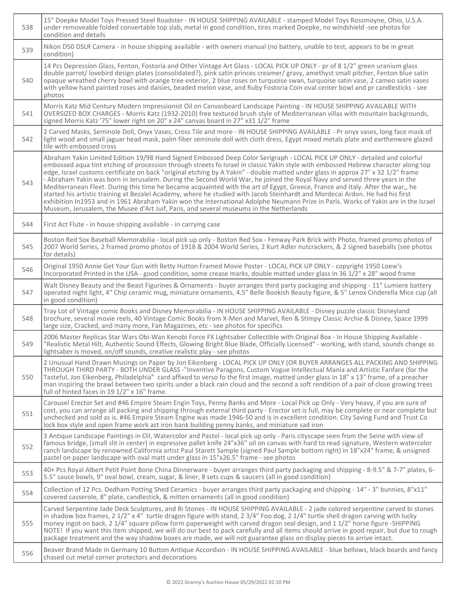| 538 | 15" Doepke Model Toys Pressed Steel Roadster - IN HOUSE SHIPPING AVAILABLE - stamped Model Toys Rossmoyne, Ohio, U.S.A.<br>under removeable folded convertable top slab, metal in good condition, tires marked Doepke, no windshield -see photos for<br>condition and details                                                                                                                                                                                                                                                                                                                                                                                                                                                                                                                                                                                                                                                                                                                                                         |
|-----|---------------------------------------------------------------------------------------------------------------------------------------------------------------------------------------------------------------------------------------------------------------------------------------------------------------------------------------------------------------------------------------------------------------------------------------------------------------------------------------------------------------------------------------------------------------------------------------------------------------------------------------------------------------------------------------------------------------------------------------------------------------------------------------------------------------------------------------------------------------------------------------------------------------------------------------------------------------------------------------------------------------------------------------|
| 539 | Nikon D50 DSLR Camera - in house shipping available - with owners manual (no battery, unable to test, appears to be in great<br>condition)                                                                                                                                                                                                                                                                                                                                                                                                                                                                                                                                                                                                                                                                                                                                                                                                                                                                                            |
| 540 | 14 Pcs Depression Glass, Fenton, Fostoria and Other Vintage Art Glass - LOCAL PICK UP ONLY - pr of 8 1/2" green uranium glass<br>double parrot/lovebird design plates (consolidated?), pink satin princes creamer/gravy, amethyst small pitcher, Fenton blue satin<br>opaque wreathed cherry bowl with orange tree exterior, 2 blue roses on turquoise swan, turquoise satin vase, 2 cameo satin vases<br>with yellow hand painted roses and daisies, beaded melon vase, and Ruby Fostoria Coin oval center bowl and pr candlesticks - see<br>photos                                                                                                                                                                                                                                                                                                                                                                                                                                                                                  |
| 541 | Morris Katz Mid Century Modern Impressionist Oil on Canvasboard Landscape Painting - IN HOUSE SHIPPING AVAILABLE WITH<br>OVERSIZED BOX CHARGES - Morris Katz (1932-2010) free textured brush style of Mediterranean villas with mountain backgrounds,<br>signed Morris Katz '75" lower right on 20" x 24" canvas board in 27" x31 1/2" frame                                                                                                                                                                                                                                                                                                                                                                                                                                                                                                                                                                                                                                                                                          |
| 542 | 2 Carved Masks, Seminole Doll, Onyx Vases, Cross Tile and more - IN HOUSE SHIPPING AVAILABLE - Pr onyx vases, long face mask of<br>light wood and small jaguar head mask, palm fiber seminole doll with cloth dress, Egypt mixed metals plate and earthenware glazed<br>tile with embossed cross                                                                                                                                                                                                                                                                                                                                                                                                                                                                                                                                                                                                                                                                                                                                      |
| 543 | Abraham Yakin Limited Edition 19/98 Hand Signed Embossed Deep Color Serigraph - LOCAL PICK UP ONLY - detailed and colorful<br>embossed aqua tint etching of procession through streets fo Israel in classic Yakin style with embossed Hebrew character along top<br>edge, Israel customs certificate on back "original etching by A Yakin" - double matted under glass in approx 27" x 32 1/2" frame<br>- Abraham Yakin was born in Jerusalem. During the Second World War, he joined the Royal Navy and served three years in the<br>Mediterranean Fleet. During this time he became acquainted with the art of Egypt, Greece, France and Italy. After the war,, he<br>started his artistic training at Bezalel Academy, where he studied with Jacob Steinhardt and Mordecai Ardon. He had his first<br>exhibition In1953 and in 1961 Abraham Yakin won the International Adolphe Neumann Prize in Paris. Works of Yakin are in the Israel<br>Museum, Jerusalem, the Musee d'Art Juif, Paris, and several museums in the Netherlands |
| 544 | First Act Flute - in house shipping available - in carrying case                                                                                                                                                                                                                                                                                                                                                                                                                                                                                                                                                                                                                                                                                                                                                                                                                                                                                                                                                                      |
| 545 | Boston Red Sox Baseball Memorabilia - local pick up only - Boston Red Sox - Fenway Park Brick with Photo, framed promo photos of<br>2007 World Series, 2 framed promo photos of 1918 & 2004 World Series, 2 Kurt Adler nutcrackers, & 2 signed baseballs (see photos<br>for details)                                                                                                                                                                                                                                                                                                                                                                                                                                                                                                                                                                                                                                                                                                                                                  |
| 546 | Original 1950 Annie Get Your Gun with Betty Hutton Framed Movie Poster - LOCAL PICK UP ONLY - copyright 1950 Loew's<br>Incorporated Printed in the USA - good condition, some crease marks, double matted under glass in 36 1/2" x 28" wood frame                                                                                                                                                                                                                                                                                                                                                                                                                                                                                                                                                                                                                                                                                                                                                                                     |
| 547 | Walt Disney Beauty and the Beast Figurines & Ornaments - buyer arranges third party packaging and shipping - 11" Lumiere battery<br>operated night light, 4" Chip ceramic mug, miniature ornaments, 4.5" Belle Bookish Beauty figure, & 5" Lenox Cinderella Mice cup (all<br>in good condition)                                                                                                                                                                                                                                                                                                                                                                                                                                                                                                                                                                                                                                                                                                                                       |
| 548 | Tray Lot of Vintage comic Books and Disney Memorabilia - IN HOUSE SHIPPING AVAILABLE - Disney puzzle classic Disneyland<br>brochure, several movie reels, 40 Vintage Comic Books from X-Men and Marvel, Ren & Stimpy Classic Archie & Disney, Space 1999<br>large size, Cracked, and many more, Fan Magazines, etc - see photos for specifics                                                                                                                                                                                                                                                                                                                                                                                                                                                                                                                                                                                                                                                                                         |
| 549 | 2006 Master Replicas Star Wars Obi-Wan Kenobi Force FX Lightsaber Collectible with Original Box - In House Shipping Available -<br>"Realistic Metal Hilt, Authentic Sound Effects, Glowing Bright Blue Blade, Officially Licensed" - working, with stand, sounds change as<br>lightsaber is moved, on/off sounds, creative realistic play - see photos                                                                                                                                                                                                                                                                                                                                                                                                                                                                                                                                                                                                                                                                                |
| 550 | 2 Unusual Hand Drawn Musings on Paper by Jon Eikenberg - LOCAL PICK UP ONLY (OR BUYER ARRANGES ALL PACKING AND SHIPPING<br>THROUGH THIRD PARTY - BOTH UNDER GLASS -"Inventive Paragons, Custom Vogue Intellectual Mania and Artistic Fanfare (for the<br>Tasteful, Jon Eikenberg, Philadelphia" card affixed to verso fo the first image, matted under glass in 18" x 13" frame, of a preacher<br>man inspiring the brawl between two spirits under a black rain cloud and the second a soft rendition of a pair of close growing trees<br>full of hinted faces in 19 1/2" x 16" frame.                                                                                                                                                                                                                                                                                                                                                                                                                                               |
| 551 | Carousel Erector Set and #46 Empire Steam Engin Toys, Penny Banks and More - Local Pick up Only - Very heavy, if you are sure of<br>cost, you can arrange all packing and shipping through external third party - Erector set is full, may be complete or near complete but<br>unchecked and sold as is. #46 Empire Steam Engine was made 1946-50 and is in excellent condition. City Saving Fund and Trust Co<br>lock box style and open frame work ast iron bank building penny banks, and miniature sad iron                                                                                                                                                                                                                                                                                                                                                                                                                                                                                                                       |
| 552 | 3 Antique Landscape Paintings in Oil, Watercolor and Pastel - local pick up only - Paris cityscape seen from the Seine with view of<br>famous bridge, (small slit in center) in expressive pallet knife 24"x36" oil on canvas with hard to read signature, Western watercolor<br>ranch landscape by renowned California artist Paul Starett Sample (signed Paul Sample bottom right) in 18"x24" frame, & unsigned<br>pastel on paper landscape with oval matt under glass in 15"x26.5" frame - see photos                                                                                                                                                                                                                                                                                                                                                                                                                                                                                                                             |
| 553 | 40+ Pcs Royal Albert Petit Point Bone China Dinnerware - buyer arranges third party packaging and shipping - 8-9.5" & 7-7" plates, 6-<br>5.5" sauce bowls, 9" oval bowl, cream, sugar, & liner, 8 sets cups & saucers (all in good condition)                                                                                                                                                                                                                                                                                                                                                                                                                                                                                                                                                                                                                                                                                                                                                                                         |
| 554 | Collection of 12 Pcs. Dedham Potting Shed Ceramics - buyer arranges third party packaging and shipping - 14" - 3" bunnies, 8"x11"<br>covered casserole, 8" plate, candlestick, & mitten ornaments (all in good condition)                                                                                                                                                                                                                                                                                                                                                                                                                                                                                                                                                                                                                                                                                                                                                                                                             |
| 555 | Carved Serpentine Jade Desk Sculptures, and Bi Stones - IN HOUSE SHIPPING AVAILABLE - 2 jade colored serpentine carved bi stones<br>in shadow box frames, $2 \frac{1}{2}$ " x 4" turtle dragon figure with stand, $2 \frac{3}{4}$ " Foo dog, $2 \frac{1}{4}$ " turtle shell dragon carving with lucky<br>money ingot on back, 2 1/4" square pillow form paperweight with carved dragon seal design, and 1 1/2" horse figure -SHIPPING<br>NOTE! If you want this item shipped, we will do our best to pack carefully and all items should arrive in good repair, but due to rough<br>package treatment and the way shadow boxes are made, we will not guarantee glass on display pieces to arrive intact.                                                                                                                                                                                                                                                                                                                              |
| 556 | Beaver Brand Made in Germany 10 Button Antique Accordion - IN HOUSE SHIPPING AVAILABLE - blue bellows, black boards and fancy<br>chased cut metal corner protectors and decorations                                                                                                                                                                                                                                                                                                                                                                                                                                                                                                                                                                                                                                                                                                                                                                                                                                                   |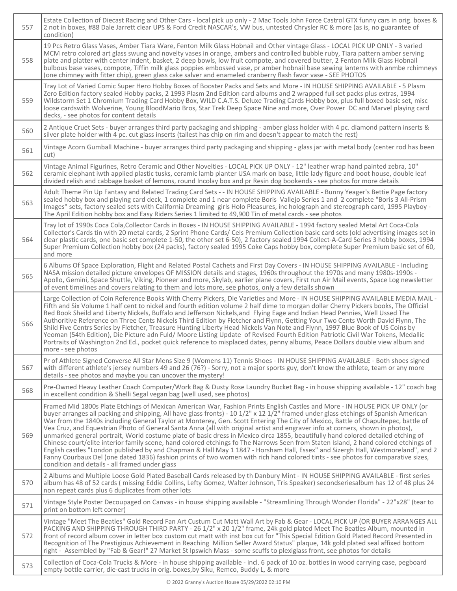| 557 | Estate Collection of Diecast Racing and Other Cars - local pick up only - 2 Mac Tools John Force Castrol GTX funny cars in orig. boxes &<br>2 not in boxes, #88 Dale Jarrett clear UPS & Ford Credit NASCAR's, VW bus, untested Chrysler RC & more (as is, no guarantee of<br>condition)                                                                                                                                                                                                                                                                                                                                                                                                                                                                                                                                                                                                                                                                                                                                                                                                                                                        |
|-----|-------------------------------------------------------------------------------------------------------------------------------------------------------------------------------------------------------------------------------------------------------------------------------------------------------------------------------------------------------------------------------------------------------------------------------------------------------------------------------------------------------------------------------------------------------------------------------------------------------------------------------------------------------------------------------------------------------------------------------------------------------------------------------------------------------------------------------------------------------------------------------------------------------------------------------------------------------------------------------------------------------------------------------------------------------------------------------------------------------------------------------------------------|
| 558 | 19 Pcs Retro Glass Vases, Amber Tiara Ware, Fenton Milk Glass Hobnail and Other vintage Glass - LOCAL PICK UP ONLY - 3 varied<br>MCM retro colored art glass swung and novelty vases in orange, ambers and controlled bubble ruby, Tiara pattern amber serving<br>plate and platter with center indent, basket, 2 deep bowls, low fruit compote, and covered butter, 2 Fenton Milk Glass Hobnail<br>bulbous base vases, compote, Tiffin milk glass poppies embossed vase, pr amber hobnail base sewing lanterns with anmbe rchimneys<br>(one chimney with fitter chip), green glass cake salver and enameled cranberry flash favor vase - SEE PHOTOS                                                                                                                                                                                                                                                                                                                                                                                                                                                                                            |
| 559 | Tray Lot of Varied Comic Super Hero Hobby Boxes of Booster Packs and Sets and More - IN HOUSE SHIPPING AVAILABLE - 5 Plasm<br>Zero Edition factory sealed Hobby packs, 2 1993 Plasm 2nd Edition card albums and 2 wrapped full set packs plus extras, 1994<br>Wildstorm Set 1 Chromium Trading Card Hobby Box, WILD C.A.T.S. Deluxe Trading Cards Hobby box, plus full boxed basic set, misc<br>loose cardswith Wolverine, Young BloodMario Bros, Star Trek Deep Space Nine and more, Over Power DC and Marvel playing card<br>decks, - see photos for content details                                                                                                                                                                                                                                                                                                                                                                                                                                                                                                                                                                          |
| 560 | 2 Antique Cruet Sets - buyer arranges third party packaging and shipping - amber glass holder with 4 pc. diamond pattern inserts &<br>silver plate holder with 4 pc. cut glass inserts (tallest has chip on rim and doesn't appear to match the rest)                                                                                                                                                                                                                                                                                                                                                                                                                                                                                                                                                                                                                                                                                                                                                                                                                                                                                           |
| 561 | Vintage Acorn Gumball Machine - buyer arranges third party packaging and shipping - glass jar with metal body (center rod has been<br>cut)                                                                                                                                                                                                                                                                                                                                                                                                                                                                                                                                                                                                                                                                                                                                                                                                                                                                                                                                                                                                      |
| 562 | Vintage Animal Figurines, Retro Ceramic and Other Novelties - LOCAL PICK UP ONLY - 12" leather wrap hand painted zebra, 10"<br>ceramic elephant iwth applied plastic tusks, ceramic lamb planter USA mark on base, little lady figure and boot house, double leaf<br>divided relish and cabbage basket of lemons, round Incolay box and pr Resin dog bookends - see photos for more details                                                                                                                                                                                                                                                                                                                                                                                                                                                                                                                                                                                                                                                                                                                                                     |
| 563 | Adult Theme Pin Up Fantasy and Related Trading Card Sets - - IN HOUSE SHIPPING AVAILABLE - Bunny Yeager's Bettie Page factory<br>sealed hobby box and playing card deck, 1 complete and 1 near complete Boris Vallejo Series 1 and 2 complete "Boris 3 All-Prism<br>Images" sets, factory sealed sets with California Dreaming girls Holo Pleasures, inc holograph and stereograph card, 1995 Playboy -<br>The April Edition hobby box and Easy Riders Series 1 limited to 49,900 Tin of metal cards - see photos                                                                                                                                                                                                                                                                                                                                                                                                                                                                                                                                                                                                                               |
| 564 | Tray lot of 1990s Coca Cola, Collector Cards in Boxes - IN HOUSE SHIPPING AVAILABLE - 1994 factory sealed Metal Art Coca-Cola<br>Collector's Cards tin with 20 metal cards, 2 Sprint Phone Cards/ Cels Premium Collection basic card sets (old advertising images set in<br>clear plastic cards, one basic set complete 1-50, the other set 6-50), 2 factory sealed 1994 Collect-A-Card Series 3 hobby boxes, 1994<br>Super Premium Collection hobby box (24 packs), factory sealed 1995 Coke Caps hobby box, complete Super Premium basic set of 60,<br>and more                                                                                                                                                                                                                                                                                                                                                                                                                                                                                                                                                                               |
| 565 | 6 Albums Of Space Exploration, Flight and Related Postal Cachets and First Day Covers - IN HOUSE SHIPPING AVAILABLE - Including<br>NASA mission detailed picture envelopes OF MISSION details and stages, 1960s throughout the 1970s and many 1980s-1990s -<br>Apollo, Gemini, Space Shuttle, Viking, Pioneer and more, Skylab, earlier plane covers, First run Air Mail events, Space Log newsletter<br>of event timelines and covers relating to them and lots more, see photos, only a few details shown                                                                                                                                                                                                                                                                                                                                                                                                                                                                                                                                                                                                                                     |
| 566 | Large Collection of Coin Reference Books With Cherry Pickers, Die Varieties and More - IN HOUSE SHIPPING AVAILABLE MEDIA MAIL -<br>Fifth and Six Volume 1 half cent to nickel and fourth edition volume 2 half dime to morgan dollar Cherry Pickers books, The Official<br>Red Book Sheild and Liberty Nickels, Buffalo and Jefferson Nickels, and Flying Eage and Indian Head Pennies, Well Ussed The<br>Authoritive Reference on Three Cents Nickels Third Edition by Fletcher and Flynn, Getting Your Two Cents Worth David Flynn, The<br>Shild Five Centrs Series by Fletcher, Treasure Hunting Liberty Head Nickels Van Note and Flynn, 1997 Blue Book of US Coins by<br>Yeoman (54th Edition), Die Picture adn Fuld/Moore Listing Update of Revised Fourth Edition Patriotic Civil War Tokens, Medallic<br>Portraits of Washington 2nd Ed., pocket quick reference to misplaced dates, penny albums, Peace Dollars double view album and<br>more - see photos                                                                                                                                                                             |
| 567 | Pr of Athlete Signed Converse All Star Mens Size 9 (Womens 11) Tennis Shoes - IN HOUSE SHIPPING AVAILABLE - Both shoes signed<br>with different athlete's jersey numbers 49 and 26 (76?) - Sorry, not a major sports guy, don't know the athlete, team or any more<br>details - see photos and maybe you can uncover the mystery!                                                                                                                                                                                                                                                                                                                                                                                                                                                                                                                                                                                                                                                                                                                                                                                                               |
| 568 | Pre-Owned Heavy Leather Coach Computer/Work Bag & Dusty Rose Laundry Bucket Bag - in house shipping available - 12" coach bag<br>in excellent condition & Shelli Segal vegan bag (well used, see photos)                                                                                                                                                                                                                                                                                                                                                                                                                                                                                                                                                                                                                                                                                                                                                                                                                                                                                                                                        |
| 569 | Framed Mid 1800s Plate Etchings of Mexican American War, Fashion Prints English Castles and More - IN HOUSE PICK UP ONLY (or<br>buyer arranges all packing and shipping, All have glass fronts) - 10 1/2" x 12 1/2" framed under glass etchings of Spanish American<br>War from the 1840s including General Taylor at Monterey, Gen. Scott Entering The City of Mexico, Battle of Chapultepec, battle of<br>Vea Cruz, and Equestrian Photo of General Santa Anna (all with original artist and engraver info at corners, shown in photos),<br>unmarked general portrait, World costume plate of basic dress in Mexico circa 1855, beautifully hand colored detailed etching of<br>Chinese court/elite interior family scene, hand colored etchings fo The Narrows Seen from Staten Island, 2 hand colored etchings of<br>English castles "London published by and Chapman & Hall May 1 1847 - Horsham Hall, Essex" and Sizergh Hall, Westmoreland", and 2<br>Fanny Courbaux Del (one dated 1836) fashion prints of two women with rich hand colored tints - see photos for comparative sizes,<br>condition and details - all framed under glass |
| 570 | 2 Albums and Multiple Loose Gold Plated Baseball Cards released by th Danbury Mint - IN HOUSE SHIPPING AVAILABLE - first series<br>album has 48 of 52 cards (missing Eddie Collins, Lefty Gomez, Walter Johnson, Tris Speaker) secondseriesalbum has 12 of 48 plus 24<br>non repeat cards plus 6 duplicates from other lots                                                                                                                                                                                                                                                                                                                                                                                                                                                                                                                                                                                                                                                                                                                                                                                                                     |
| 571 | Vintage Style Poster Decoupaged on Canvas - in house shipping available - "Streamlining Through Wonder Florida" - 22"x28" (tear to<br>print on bottom left corner)                                                                                                                                                                                                                                                                                                                                                                                                                                                                                                                                                                                                                                                                                                                                                                                                                                                                                                                                                                              |
| 572 | Vintage "Meet The Beatles" Gold Record Fan Art Custum Cut Matt Wall Art by Fab & Gear - LOCAL PICK UP (OR BUYER ARRANGES ALL<br>PACKING AND SHIPPING THROUGH THIRD PARTY - 26 1/2" x 20 1/2" frame, 24k gold plated Meet The Beatles Album, mounted in<br>front of record album cover in letter box custom cut matt with inst box cut for "This Special Edition Gold Plated Record Presented in<br>Recognition of The Prestigious Achievement in Reaching Million Seller Award Status" plaque, 14k gold plated seal affixed bottom<br>right - Assembled by "Fab & Gear!" 27 Market St Ipswich Mass - some scuffs to plexiglass front, see photos for details                                                                                                                                                                                                                                                                                                                                                                                                                                                                                    |
| 573 | Collection of Coca-Cola Trucks & More - in house shipping available - incl. 6 pack of 10 oz. bottles in wood carrying case, pegboard<br>empty bottle carrier, die-cast trucks in orig. boxes, by Siku, Remco, Buddy L, & more                                                                                                                                                                                                                                                                                                                                                                                                                                                                                                                                                                                                                                                                                                                                                                                                                                                                                                                   |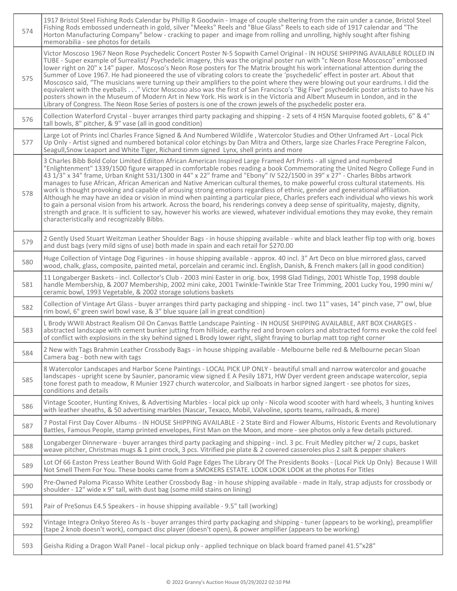| 574 | 1917 Bristol Steel Fishing Rods Calendar by Phillip R Goodwin - Image of couple sheltering from the rain under a canoe, Bristol Steel<br>Fishing Rods embossed underneath in gold, silver "Meeks" Reels and "Blue Glass" Reels to each side of 1917 calendar and "The<br>Horton Manufacturing Company" below - cracking to paper and image from rolling and unrolling, highly sought after fishing<br>memorabilia - see photos for details                                                                                                                                                                                                                                                                                                                                                                                                                                                                                                                                                                                                                                                                              |
|-----|-------------------------------------------------------------------------------------------------------------------------------------------------------------------------------------------------------------------------------------------------------------------------------------------------------------------------------------------------------------------------------------------------------------------------------------------------------------------------------------------------------------------------------------------------------------------------------------------------------------------------------------------------------------------------------------------------------------------------------------------------------------------------------------------------------------------------------------------------------------------------------------------------------------------------------------------------------------------------------------------------------------------------------------------------------------------------------------------------------------------------|
| 575 | Victor Moscoso 1967 Neon Rose Psychedelic Concert Poster N-5 Sopwith Camel Original - IN HOUSE SHIPPING AVAILABLE ROLLED IN<br>TUBE - Super example of Surrealist/Psychedelic imagery, this was the original poster run with "c Neon Rose Moscosco" embossed<br>lower right on 20" x 14" paper. Moscoso's Neon Rose posters for The Matrix brought his work international attention during the<br>Summer of Love 1967. He had pioneered the use of vibrating colors to create the 'psychedelic' effect in poster art. About that<br>Moscosco said, "The musicians were turning up their amplifiers to the point where they were blowing out your eardrums. I did the<br>equivalent with the eyeballs" Victor Moscoso also was the first of San Francisco's "Big Five" psychedelic poster artists to have his<br>posters shown in the Museum of Modern Art in New York. His work is in the Victoria and Albert Museum in London, and in the<br>Library of Congress. The Neon Rose Series of posters is one of the crown jewels of the psychedelic poster era.                                                            |
| 576 | Collection Waterford Crystal - buyer arranges third party packaging and shipping - 2 sets of 4 HSN Marquise footed goblets, 6" & 4"<br>tall bowls, 8" pitcher, & 9" vase (all in good condition)                                                                                                                                                                                                                                                                                                                                                                                                                                                                                                                                                                                                                                                                                                                                                                                                                                                                                                                        |
| 577 | Large Lot of Prints incl Charles France Signed & And Numbered Wildlife, Watercolor Studies and Other Unframed Art - Local Pick<br>Up Only - Artist signed and numbered botanical color etchings by Dan Mitra and Others, large size Charles Frace Peregrine Falcon,<br>Seagull, Snow Leaport and White Tiger, Richard timm signed Lynx, shell prints and more                                                                                                                                                                                                                                                                                                                                                                                                                                                                                                                                                                                                                                                                                                                                                           |
| 578 | 3 Charles Bibb Bold Color Limited Ediiton African American Inspired Large Framed Art Prints - all signed and numbered<br>"Enlightenment" 1339/1500 figure wrapped in comfortable robes reading a book Commemorating the United Negro College Fund in<br>43 1/3" x 34" frame, Urban Knight 531/1300 in 44" x 22" frame and "Ebony" IV 522/1500 in 39" x 27" - Charles Bibbs artwork<br>manages to fuse African, African American and Native American cultural themes, to make powerful cross cultural statements. His<br>work is thought provoking and capable of arousing strong emotions regardless of ethnic, gender and generational affiliation.<br>Although he may have an idea or vision in mind when painting a particular piece, Charles prefers each individual who views his work<br>to gain a personal vision from his artwork. Across the board, his renderings convey a deep sense of spirituality, majesty, dignity,<br>strength and grace. It is sufficient to say, however his works are viewed, whatever individual emotions they may evoke, they remain<br>characteristically and recognizably Bibbs. |
| 579 | 2 Gently Used Stuart Weitzman Leather Shoulder Bags - in house shipping available - white and black leather flip top with orig. boxes<br>and dust bags (very mild signs of use) both made in spain and each retail for \$270.00                                                                                                                                                                                                                                                                                                                                                                                                                                                                                                                                                                                                                                                                                                                                                                                                                                                                                         |
| 580 | Huge Collection of Vintage Dog Figurines - in house shipping available - approx. 40 incl. 3" Art Deco on blue mirrored glass, carved<br>wood, chalk, glass, composite, painted metal, porcelain and ceramic incl. English, Danish, & French makers (all in good condition)                                                                                                                                                                                                                                                                                                                                                                                                                                                                                                                                                                                                                                                                                                                                                                                                                                              |
| 581 | 11 Longaberger Baskets - incl. Collector's Club - 2003 mini Easter in orig. box, 1998 Glad Tidings, 2001 Whistle Top, 1998 double<br>handle Membership, & 2007 Membership, 2002 mini cake, 2001 Twinkle-Twinkle Star Tree Trimming, 2001 Lucky You, 1990 mini w/<br>ceramic bowl, 1993 Vegetable, & 2002 storage solutions baskets                                                                                                                                                                                                                                                                                                                                                                                                                                                                                                                                                                                                                                                                                                                                                                                      |
| 582 | Collection of Vintage Art Glass - buyer arranges third party packaging and shipping - incl. two 11" vases, 14" pinch vase, 7" owl, blue<br>rim bowl, 6" green swirl bowl vase, & 3" blue square (all in great condition)                                                                                                                                                                                                                                                                                                                                                                                                                                                                                                                                                                                                                                                                                                                                                                                                                                                                                                |
| 583 | L Brody WWII Abstract Realism Oil On Canvas Battle Landscape Painting - IN HOUSE SHIPPING AVAILABLE, ART BOX CHARGES -<br>abstracted landscape with cement bunker jutting from hillside, earthy red and brown colors and abstracted forms evoke the cold feel<br>of conflict with explosions in the sky behind signed L Brody lower right, slight fraying to burlap matt top right corner                                                                                                                                                                                                                                                                                                                                                                                                                                                                                                                                                                                                                                                                                                                               |
| 584 | 2 New with Tags Brahmin Leather Crossbody Bags - in house shipping available - Melbourne belle red & Melbourne pecan Sloan<br>Camera bag - both new with tags                                                                                                                                                                                                                                                                                                                                                                                                                                                                                                                                                                                                                                                                                                                                                                                                                                                                                                                                                           |
| 585 | 8 Watercolor Landscapes and Harbor Scene Paintings - LOCAL PICK UP ONLY - beautiful small and narrow watercolor and gouache<br>landscapes - upright scene by Saunier, panoramic view signed E A Pesily 1871, HW Dyer verdent green andscape watercolor, sepia<br>tone forest path to meadow, R Munier 1927 church watercolor, and Sialboats in harbor signed Jangert - see photos for sizes,<br>conditions and details                                                                                                                                                                                                                                                                                                                                                                                                                                                                                                                                                                                                                                                                                                  |
| 586 | Vintage Scooter, Hunting Knives, & Advertising Marbles - local pick up only - Nicola wood scooter with hard wheels, 3 hunting knives<br>with leather sheaths, & 50 advertising marbles (Nascar, Texaco, Mobil, Valvoline, sports teams, railroads, & more)                                                                                                                                                                                                                                                                                                                                                                                                                                                                                                                                                                                                                                                                                                                                                                                                                                                              |
| 587 | 7 Postal First Day Cover Albums - IN HOUSE SHIPPING AVAILABLE - 2 State Bird and Flower Albums, Historic Events and Revolutionary<br>Battles, Famous People, stamp printed envelopes, First Man on the Moon, and more - see photos only a few details pictured.                                                                                                                                                                                                                                                                                                                                                                                                                                                                                                                                                                                                                                                                                                                                                                                                                                                         |
| 588 | Longaberger Dinnerware - buyer arranges third party packaging and shipping - incl. 3 pc. Fruit Medley pitcher w/2 cups, basket<br>weave pitcher, Christmas mugs & 1 pint crock, 3 pcs. Vitrified pie plate & 2 covered casseroles plus 2 salt & pepper shakers                                                                                                                                                                                                                                                                                                                                                                                                                                                                                                                                                                                                                                                                                                                                                                                                                                                          |
| 589 | Lot Of 66 Easton Press Leather Bound With Gold Page Edges The Library Of The Presidents Books - {Local Pick Up Only} Because I Will<br>Not Smell Them For You. These books came from a SMOKERS ESTATE. LOOK LOOK LOOK at the photos For Titles                                                                                                                                                                                                                                                                                                                                                                                                                                                                                                                                                                                                                                                                                                                                                                                                                                                                          |
| 590 | Pre-Owned Paloma Picasso White Leather Crossbody Bag - in house shipping available - made in Italy, strap adjusts for crossbody or<br>shoulder - 12" wide x 9" tall, with dust bag (some mild stains on lining)                                                                                                                                                                                                                                                                                                                                                                                                                                                                                                                                                                                                                                                                                                                                                                                                                                                                                                         |
| 591 | Pair of PreSonus E4.5 Speakers - in house shipping available - 9.5" tall (working)                                                                                                                                                                                                                                                                                                                                                                                                                                                                                                                                                                                                                                                                                                                                                                                                                                                                                                                                                                                                                                      |
| 592 | Vintage Integra Onkyo Stereo As Is - buyer arranges third party packaging and shipping - tuner (appears to be working), preamplifier<br>(tape 2 knob doesn't work), compact disc player (doesn't open), & power amplifier (appears to be working)                                                                                                                                                                                                                                                                                                                                                                                                                                                                                                                                                                                                                                                                                                                                                                                                                                                                       |
| 593 | Geisha Riding a Dragon Wall Panel - local pickup only - applied technique on black board framed panel 41.5"x28"                                                                                                                                                                                                                                                                                                                                                                                                                                                                                                                                                                                                                                                                                                                                                                                                                                                                                                                                                                                                         |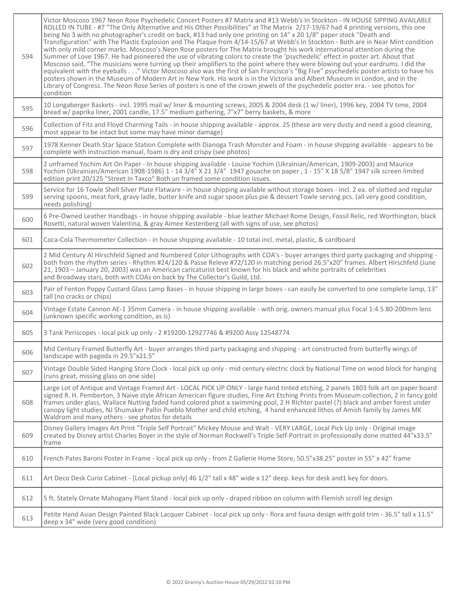| 594 | Victor Moscoso 1967 Neon Rose Psychedelic Concert Posters #7 Matrix and #13 Webb's In Stockton - IN HOUSE SIPPING AVAILABLE<br>ROLLED IN TUBE - #7 "The Only Alternative and His Other Possibilities" at The Matrix 2/17-19/67 had 4 printing versions, this one<br>being No 3 with no photographer's credit on back, #13 had only one printing on 14" x 20 1/8" paper stock "Death and<br>Transfiguration" with The Plastic Explosion and The Plaque from 4/14-15/67 at Webb's In Stockton - Both are in Near Mint condition<br>with only mild corner marks. Moscoso's Neon Rose posters for The Matrix brought his work international attention during the<br>Summer of Love 1967. He had pioneered the use of vibrating colors to create the 'psychedelic' effect in poster art. About that<br>Moscoso said, "The musicians were turning up their amplifiers to the point where they were blowing out your eardrums. I did the<br>equivalent with the eyeballs" Victor Moscoso also was the first of San Francisco's "Big Five" psychedelic poster artists to have his<br>posters shown in the Museum of Modern Art in New York. His work is in the Victoria and Albert Museum in London, and in the<br>Library of Congress. The Neon Rose Series of posters is one of the crown jewels of the psychedelic poster era. - see photos for<br>condition |
|-----|---------------------------------------------------------------------------------------------------------------------------------------------------------------------------------------------------------------------------------------------------------------------------------------------------------------------------------------------------------------------------------------------------------------------------------------------------------------------------------------------------------------------------------------------------------------------------------------------------------------------------------------------------------------------------------------------------------------------------------------------------------------------------------------------------------------------------------------------------------------------------------------------------------------------------------------------------------------------------------------------------------------------------------------------------------------------------------------------------------------------------------------------------------------------------------------------------------------------------------------------------------------------------------------------------------------------------------------------------------|
| 595 | 10 Longaberger Baskets - incl. 1995 mail w/ liner & mounting screws, 2005 & 2004 desk (1 w/ liner), 1996 key, 2004 TV time, 2004<br>bread w/ paprika liner, 2001 candle, 17.5" medium gathering, 7"x7" berry baskets, & more                                                                                                                                                                                                                                                                                                                                                                                                                                                                                                                                                                                                                                                                                                                                                                                                                                                                                                                                                                                                                                                                                                                            |
| 596 | Collection of Fitz and Floyd Charming Tails - in house shipping available - approx. 25 (these are very dusty and need a good cleaning,<br>most appear to be intact but some may have minor damage)                                                                                                                                                                                                                                                                                                                                                                                                                                                                                                                                                                                                                                                                                                                                                                                                                                                                                                                                                                                                                                                                                                                                                      |
| 597 | 1978 Kenner Death Star Space Station Complete with Dianoga Trash Monster and Foam - in house shipping available - appears to be<br>complete with instruction manual, foam is dry and crispy (see photos)                                                                                                                                                                                                                                                                                                                                                                                                                                                                                                                                                                                                                                                                                                                                                                                                                                                                                                                                                                                                                                                                                                                                                |
| 598 | 2 unframed Yochim Art On Paper - In house shipping available - Louise Yochim (Ukrainian/American, 1909-2003) and Maurice<br>Yochim (Ukrainian/American 1908-1986) 1 - 14 3/4" X 21 3/4" 1947 gouache on paper, 1 - 15" X 18 5/8" 1947 silk screen limited<br>edition print 20/125 "Street In Taxco" Both un framed some condition issues.                                                                                                                                                                                                                                                                                                                                                                                                                                                                                                                                                                                                                                                                                                                                                                                                                                                                                                                                                                                                               |
| 599 | Service for 16 Towle Shell Silver Plate Flatware - in house shipping available without storage boxes - incl. 2 ea. of slotted and regular<br>serving spoons, meat fork, gravy ladle, butter knife and sugar spoon plus pie & dessert Towle serving pcs. (all very good condition,<br>needs polishing)                                                                                                                                                                                                                                                                                                                                                                                                                                                                                                                                                                                                                                                                                                                                                                                                                                                                                                                                                                                                                                                   |
| 600 | 6 Pre-Owned Leather Handbags - in house shipping available - blue leather Michael Rome Design, Fossil Relic, red Worthington, black<br>Rosetti, natural woven Valentina, & gray Aimee Kestenberg (all with signs of use, see photos)                                                                                                                                                                                                                                                                                                                                                                                                                                                                                                                                                                                                                                                                                                                                                                                                                                                                                                                                                                                                                                                                                                                    |
| 601 | Coca-Cola Thermometer Collection - in house shipping available - 10 total incl. metal, plastic, & cardboard                                                                                                                                                                                                                                                                                                                                                                                                                                                                                                                                                                                                                                                                                                                                                                                                                                                                                                                                                                                                                                                                                                                                                                                                                                             |
| 602 | 2 Mid Century Al Hirschfeld Signed and Numbered Color Lithographs with COA's - buyer arranges third party packaging and shipping -<br>both from the rhythm series - Rhythm #24/120 & Passe Releve #72/120 in matching period 26.5"x20" frames. Albert Hirschfeld (June<br>21, 1903 - January 20, 2003) was an American caricaturist best known for his black and white portraits of celebrities<br>and Broadway stars, both with COAs on back by The Collector's Guild, Ltd.                                                                                                                                                                                                                                                                                                                                                                                                                                                                                                                                                                                                                                                                                                                                                                                                                                                                            |
| 603 | Pair of Fenton Poppy Custard Glass Lamp Bases - in house shipping in large boxes - can easily be converted to one complete lamp, 13"<br>tall (no cracks or chips)                                                                                                                                                                                                                                                                                                                                                                                                                                                                                                                                                                                                                                                                                                                                                                                                                                                                                                                                                                                                                                                                                                                                                                                       |
| 604 | Vintage Estate Cannon AE-1 35mm Camera - in house shipping available - with orig. owners manual plus Focal 1:4.5 80-200mm lens<br>(unknown specific working condition, as is)                                                                                                                                                                                                                                                                                                                                                                                                                                                                                                                                                                                                                                                                                                                                                                                                                                                                                                                                                                                                                                                                                                                                                                           |
| 605 | 3 Tank Periscopes - local pick up only - 2 #19200-12927746 & #9200 Assy 12548774                                                                                                                                                                                                                                                                                                                                                                                                                                                                                                                                                                                                                                                                                                                                                                                                                                                                                                                                                                                                                                                                                                                                                                                                                                                                        |
| 606 | Mid Century Framed Butterfly Art - buyer arranges third party packaging and shipping - art constructed from butterfly wings of<br>landscape with pagoda in 29.5"x21.5"                                                                                                                                                                                                                                                                                                                                                                                                                                                                                                                                                                                                                                                                                                                                                                                                                                                                                                                                                                                                                                                                                                                                                                                  |
| 607 | Vintage Double Sided Hanging Store Clock - local pick up only - mid century electric clock by National Time on wood block for hanging<br>(runs great, missing glass on one side)                                                                                                                                                                                                                                                                                                                                                                                                                                                                                                                                                                                                                                                                                                                                                                                                                                                                                                                                                                                                                                                                                                                                                                        |
| 608 | Large Lot of Antique and Vintage Framed Art - LOCAL PICK UP ONLY - large hand tinted etching, 2 panels 1803 folk art on paper board<br>signed R. H. Pemberton, 3 Naive style African American figure studies, Fine Art Etching Prints from Museum collection, 2 in fancy gold<br>frames under glass, Wallace Nutting faded hand colored phot a swimming pool, 2 H RIchter pastel (?) black and amber forest under<br>canopy light studies, NJ Shumaker Pallin Pueblo Mother and child etching, 4 hand enhanced lithos of Amish family by James MK<br>Waldrom and many others - see photos for details                                                                                                                                                                                                                                                                                                                                                                                                                                                                                                                                                                                                                                                                                                                                                   |
| 609 | Disney Gallery Images Art Print "Triple Self Portrait" Mickey Mouse and Walt - VERY LARGE, Local Pick Up only - Original image<br>created by Disney artist Charles Boyer in the style of Norman Rockwell's Triple Self-Portrait in professionally done matted 44"x33.5"<br>frame                                                                                                                                                                                                                                                                                                                                                                                                                                                                                                                                                                                                                                                                                                                                                                                                                                                                                                                                                                                                                                                                        |
| 610 | French Pates Baroni Poster in Frame - local pick up only - from Z Gallerie Home Store, 50.5"x38.25" poster in 55" x 42" frame                                                                                                                                                                                                                                                                                                                                                                                                                                                                                                                                                                                                                                                                                                                                                                                                                                                                                                                                                                                                                                                                                                                                                                                                                           |
| 611 | Art Deco Desk Curio Cabinet - [Local pickup only] 46 1/2" tall x 48" wide x 12" deep. keys for desk and1 key for doors.                                                                                                                                                                                                                                                                                                                                                                                                                                                                                                                                                                                                                                                                                                                                                                                                                                                                                                                                                                                                                                                                                                                                                                                                                                 |
| 612 | 5 ft. Stately Ornate Mahogany Plant Stand - local pick up only - draped ribbon on column with Flemish scroll leg design                                                                                                                                                                                                                                                                                                                                                                                                                                                                                                                                                                                                                                                                                                                                                                                                                                                                                                                                                                                                                                                                                                                                                                                                                                 |
| 613 | Petite Hand Asian Design Painted Black Lacquer Cabinet - local pick up only - flora and fauna design with gold trim - 36.5" tall x 11.5"<br>deep x 34" wide (very good condition)                                                                                                                                                                                                                                                                                                                                                                                                                                                                                                                                                                                                                                                                                                                                                                                                                                                                                                                                                                                                                                                                                                                                                                       |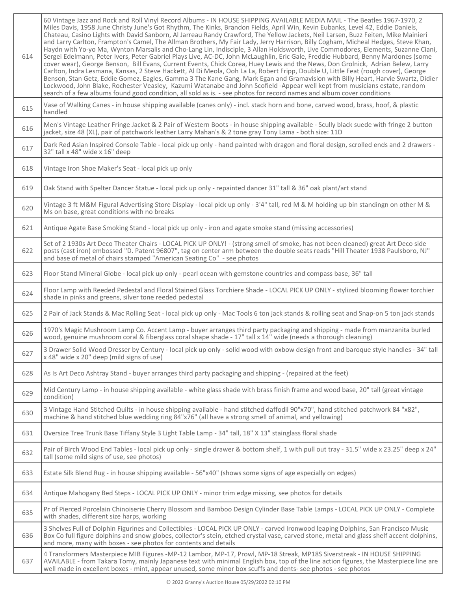| 614 | 60 Vintage Jazz and Rock and Roll Vinyl Record Albums - IN HOUSE SHIPPING AVAILABLE MEDIA MAIL - The Beatles 1967-1970, 2<br>Miles Davis, 1958 June Christy June's Got Rhythm, The Kinks, Brandon Fields, April Win, Kevin Eubanks, Level 42, Eddie Daniels,<br>Chateau, Casino Lights with David Sanborn, Al Jarreau Randy Crawford, The Yellow Jackets, Neil Larsen, Buzz Feiten, Mike Mainieri<br>and Larry Carlton, Frampton's Camel, The Allman Brothers, My Fair Lady, Jerry Harrison, Billy Cogham, Micheal Hedges, Steve Khan,<br>Haydn with Yo-yo Ma, Wynton Marsalis and Cho-Lang Lin, Indisciple, 3 Allan Holdsworth, Live Commodores, Elements, Suzanne Ciani,<br>Sergei Edelmann, Peter Ivers, Peter Gabriel Plays Live, AC-DC, John McLaughlin, Eric Gale, Freddie Hubbard, Benny Mardones (some<br>cover wear), George Benson, Bill Evans, Current Events, Chick Corea, Huey Lewis and the News, Don Grolnick, Adrian Belew, Larry<br>Carlton, Indra Lesmana, Kansas, 2 Steve Hackett, Al Di Meola, Ooh La La, Robert Fripp, Double U, Little Feat (rough cover), George<br>Benson, Stan Getz, Eddie Gomez, Eagles, Gamma 3 The Kane Gang, Mark Egan and Gramavision with Billy Heart, Harvie Swartz, Didier<br>Lockwood, John Blake, Rochester Veasley, Kazumi Watanabe and John Scofield -Appear well kept from musicians estate, random<br>search of a few albums found good condition, all sold as is. - see photos for record names and album cover conditions |
|-----|------------------------------------------------------------------------------------------------------------------------------------------------------------------------------------------------------------------------------------------------------------------------------------------------------------------------------------------------------------------------------------------------------------------------------------------------------------------------------------------------------------------------------------------------------------------------------------------------------------------------------------------------------------------------------------------------------------------------------------------------------------------------------------------------------------------------------------------------------------------------------------------------------------------------------------------------------------------------------------------------------------------------------------------------------------------------------------------------------------------------------------------------------------------------------------------------------------------------------------------------------------------------------------------------------------------------------------------------------------------------------------------------------------------------------------------------------------------------------------|
| 615 | Vase of Walking Canes - in house shipping available (canes only) - incl. stack horn and bone, carved wood, brass, hoof, & plastic<br>handled                                                                                                                                                                                                                                                                                                                                                                                                                                                                                                                                                                                                                                                                                                                                                                                                                                                                                                                                                                                                                                                                                                                                                                                                                                                                                                                                       |
| 616 | Men's Vintage Leather Fringe Jacket & 2 Pair of Western Boots - in house shipping available - Scully black suede with fringe 2 button<br>jacket, size 48 (XL), pair of patchwork leather Larry Mahan's & 2 tone gray Tony Lama - both size: 11D                                                                                                                                                                                                                                                                                                                                                                                                                                                                                                                                                                                                                                                                                                                                                                                                                                                                                                                                                                                                                                                                                                                                                                                                                                    |
| 617 | Dark Red Asian Inspired Console Table - local pick up only - hand painted with dragon and floral design, scrolled ends and 2 drawers -<br>32" tall x 48" wide x 16" deep                                                                                                                                                                                                                                                                                                                                                                                                                                                                                                                                                                                                                                                                                                                                                                                                                                                                                                                                                                                                                                                                                                                                                                                                                                                                                                           |
| 618 | Vintage Iron Shoe Maker's Seat - local pick up only                                                                                                                                                                                                                                                                                                                                                                                                                                                                                                                                                                                                                                                                                                                                                                                                                                                                                                                                                                                                                                                                                                                                                                                                                                                                                                                                                                                                                                |
| 619 | Oak Stand with Spelter Dancer Statue - local pick up only - repainted dancer 31" tall & 36" oak plant/art stand                                                                                                                                                                                                                                                                                                                                                                                                                                                                                                                                                                                                                                                                                                                                                                                                                                                                                                                                                                                                                                                                                                                                                                                                                                                                                                                                                                    |
| 620 | Vintage 3 ft M&M Figural Advertising Store Display - local pick up only - 3'4" tall, red M & M holding up bin standingn on other M &<br>Ms on base, great conditions with no breaks                                                                                                                                                                                                                                                                                                                                                                                                                                                                                                                                                                                                                                                                                                                                                                                                                                                                                                                                                                                                                                                                                                                                                                                                                                                                                                |
| 621 | Antique Agate Base Smoking Stand - local pick up only - iron and agate smoke stand (missing accessories)                                                                                                                                                                                                                                                                                                                                                                                                                                                                                                                                                                                                                                                                                                                                                                                                                                                                                                                                                                                                                                                                                                                                                                                                                                                                                                                                                                           |
| 622 | Set of 2 1930s Art Deco Theater Chairs - LOCAL PICK UP ONLY! - (strong smell of smoke, has not been cleaned) great Art Deco side<br>posts (cast iron) embossed "D. Patent 96807", tag on center arm between the double seats reads "Hill Theater 1938 Paulsboro, NJ"<br>and base of metal of chairs stamped "American Seating Co" - see photos                                                                                                                                                                                                                                                                                                                                                                                                                                                                                                                                                                                                                                                                                                                                                                                                                                                                                                                                                                                                                                                                                                                                     |
| 623 | Floor Stand Mineral Globe - local pick up only - pearl ocean with gemstone countries and compass base, 36" tall                                                                                                                                                                                                                                                                                                                                                                                                                                                                                                                                                                                                                                                                                                                                                                                                                                                                                                                                                                                                                                                                                                                                                                                                                                                                                                                                                                    |
| 624 | Floor Lamp with Reeded Pedestal and Floral Stained Glass Torchiere Shade - LOCAL PICK UP ONLY - stylized blooming flower torchier<br>shade in pinks and greens, silver tone reeded pedestal                                                                                                                                                                                                                                                                                                                                                                                                                                                                                                                                                                                                                                                                                                                                                                                                                                                                                                                                                                                                                                                                                                                                                                                                                                                                                        |
| 625 | 2 Pair of Jack Stands & Mac Rolling Seat - local pick up only - Mac Tools 6 ton jack stands & rolling seat and Snap-on 5 ton jack stands                                                                                                                                                                                                                                                                                                                                                                                                                                                                                                                                                                                                                                                                                                                                                                                                                                                                                                                                                                                                                                                                                                                                                                                                                                                                                                                                           |
| 626 | 1970's Magic Mushroom Lamp Co. Accent Lamp - buyer arranges third party packaging and shipping - made from manzanita burled<br>wood, genuine mushroom coral & fiberglass coral shape shade - 17" tall x 14" wide (needs a thorough cleaning)                                                                                                                                                                                                                                                                                                                                                                                                                                                                                                                                                                                                                                                                                                                                                                                                                                                                                                                                                                                                                                                                                                                                                                                                                                       |
| 627 | 3 Drawer Solid Wood Dresser by Century - local pick up only - solid wood with oxbow design front and baroque style handles - 34" tall<br>x 48" wide x 20" deep (mild signs of use)                                                                                                                                                                                                                                                                                                                                                                                                                                                                                                                                                                                                                                                                                                                                                                                                                                                                                                                                                                                                                                                                                                                                                                                                                                                                                                 |
| 628 | As Is Art Deco Ashtray Stand - buyer arranges third party packaging and shipping - (repaired at the feet)                                                                                                                                                                                                                                                                                                                                                                                                                                                                                                                                                                                                                                                                                                                                                                                                                                                                                                                                                                                                                                                                                                                                                                                                                                                                                                                                                                          |
| 629 | Mid Century Lamp - in house shipping available - white glass shade with brass finish frame and wood base, 20" tall (great vintage<br>condition)                                                                                                                                                                                                                                                                                                                                                                                                                                                                                                                                                                                                                                                                                                                                                                                                                                                                                                                                                                                                                                                                                                                                                                                                                                                                                                                                    |
| 630 | 3 Vintage Hand Stitched Quilts - in house shipping available - hand stitched daffodil 90"x70", hand stitched patchwork 84 "x82",<br>machine & hand stitched blue wedding ring 84"x76" (all have a strong smell of animal, and yellowing)                                                                                                                                                                                                                                                                                                                                                                                                                                                                                                                                                                                                                                                                                                                                                                                                                                                                                                                                                                                                                                                                                                                                                                                                                                           |
| 631 | Oversize Tree Trunk Base Tiffany Style 3 Light Table Lamp - 34" tall, 18" X 13" stainglass floral shade                                                                                                                                                                                                                                                                                                                                                                                                                                                                                                                                                                                                                                                                                                                                                                                                                                                                                                                                                                                                                                                                                                                                                                                                                                                                                                                                                                            |
| 632 | Pair of Birch Wood End Tables - local pick up only - single drawer & bottom shelf, 1 with pull out tray - 31.5" wide x 23.25" deep x 24"<br>tall (some mild signs of use, see photos)                                                                                                                                                                                                                                                                                                                                                                                                                                                                                                                                                                                                                                                                                                                                                                                                                                                                                                                                                                                                                                                                                                                                                                                                                                                                                              |
| 633 | Estate Silk Blend Rug - in house shipping available - 56"x40" (shows some signs of age especially on edges)                                                                                                                                                                                                                                                                                                                                                                                                                                                                                                                                                                                                                                                                                                                                                                                                                                                                                                                                                                                                                                                                                                                                                                                                                                                                                                                                                                        |
| 634 | Antique Mahogany Bed Steps - LOCAL PICK UP ONLY - minor trim edge missing, see photos for details                                                                                                                                                                                                                                                                                                                                                                                                                                                                                                                                                                                                                                                                                                                                                                                                                                                                                                                                                                                                                                                                                                                                                                                                                                                                                                                                                                                  |
| 635 | Pr of Pierced Porcelain Chinoiserie Cherry Blossom and Bamboo Design Cylinder Base Table Lamps - LOCAL PICK UP ONLY - Complete<br>with shades, different size harps, working                                                                                                                                                                                                                                                                                                                                                                                                                                                                                                                                                                                                                                                                                                                                                                                                                                                                                                                                                                                                                                                                                                                                                                                                                                                                                                       |
| 636 | 3 Shelves Full of Dolphin Figurines and Collectibles - LOCAL PICK UP ONLY - carved Ironwood leaping Dolphins, San Francisco Music<br>Box Co full figure dolphins and snow globes, collector's stein, etched crystal vase, carved stone, metal and glass shelf accent dolphins,<br>and more, many with boxes - see photos for contents and details                                                                                                                                                                                                                                                                                                                                                                                                                                                                                                                                                                                                                                                                                                                                                                                                                                                                                                                                                                                                                                                                                                                                  |
| 637 | 4 Transformers Masterpiece MIB Figures -MP-12 Lambor, MP-17, Prowl, MP-18 Streak, MP18S Siverstreak - IN HOUSE SHIPPING<br>AVAILABLE - from Takara Tomy, mainly Japanese text with minimal English box, top of the line action figures, the Masterpiece line are<br>well made in excellent boxes - mint, appear unused, some minor box scuffs and dents- see photos - see photos                                                                                                                                                                                                                                                                                                                                                                                                                                                                                                                                                                                                                                                                                                                                                                                                                                                                                                                                                                                                                                                                                                   |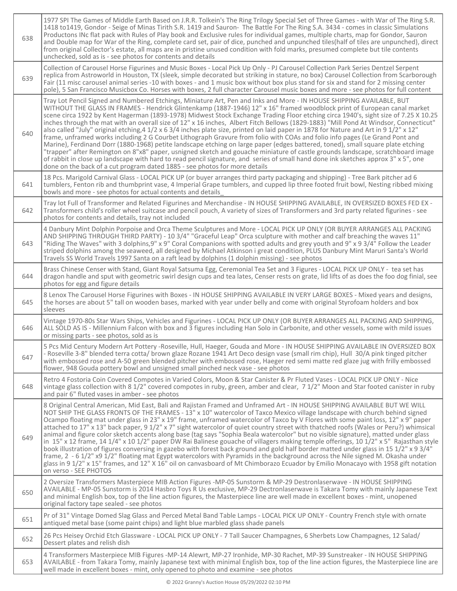| 638 | 1977 SPI The Games of Middle Earth Based on J.R.R. Tolkein's The Ring Trilogy Special Set of Three Games - with War of The Ring S.R.<br>1418 to1419, Gondor - Seige of Minas Tirith S.R. 1419 and Sauron- The Battle For The Ring S.A. 3434 - comes in classic Simulations<br>Productons INc flat pack with Rules of Play book and Exclusive rules for individual games, multiple charts, map for Gondor, Sauron<br>and Double map for War of the Ring, complete card set, pair of dice, punched and unpunched tiles(half of tiles are unpunched), direct<br>from original Collector's estate, all maps are in pristine unused condition with fold marks, presumed complete but tile contents<br>unchecked, sold as is - see photos for contents and details                                                                                                                                                                                                                                                                                                                                                                                                                                                                                                                                        |
|-----|-----------------------------------------------------------------------------------------------------------------------------------------------------------------------------------------------------------------------------------------------------------------------------------------------------------------------------------------------------------------------------------------------------------------------------------------------------------------------------------------------------------------------------------------------------------------------------------------------------------------------------------------------------------------------------------------------------------------------------------------------------------------------------------------------------------------------------------------------------------------------------------------------------------------------------------------------------------------------------------------------------------------------------------------------------------------------------------------------------------------------------------------------------------------------------------------------------------------------------------------------------------------------------------------------------|
| 639 | Collection of Carousel Horse Figurines and Music Boxes - Local Pick Up Only - PJ Carousel Collection Park Series Dentzel Serpent<br>replica from Astroworld in Houston, TX (sleek, simple decorated but striking in stature, no box) Carousel Collection from Scarborough<br>Fair (11 misc carousel animal series -10 with boxes - and 1 music box without box plus stand for six and stand for 2 missing center<br>pole), 5 San Francisco Musicbox Co. Horses with boxes, 2 full character Carousel music boxes and more - see photos for full content                                                                                                                                                                                                                                                                                                                                                                                                                                                                                                                                                                                                                                                                                                                                             |
| 640 | Tray Lot Pencil Signed and Numbered Etchings, Miniature Art, Pen and Inks and More - IN HOUSE SHIPPING AVAILABLE, BUT<br>WITHOUT THE GLASS IN FRAMES - Hendrick Glintenkamp (1887-1946) 12" x 16" framed woodblock print of European canal market<br>scene circa 1922 by Kent Hagerman (1893-1978) Midwest Stock Exchange Trading Floor etching circa 1940's, sight size of 7.25 X 10.25<br>inches through the mat with an overall size of 12" x 16 inches, Albert Fitch Bellows (1829-1883) "Mill Pond At Windsor, Connecticut"<br>also called "July" original etching, 4 1/2 x 6 3/4 inches plate size, printed on laid paper in 1878 for Nature and Art in 9 1/2" x 12"<br>frame, unframed works including 2 G Courbet Lithograph Gravure from folio with COAs and folio info pages (Le Grand Pont and<br>Marine), Ferdinand Dorr (1880-1968) petite landscape etching on large paper (edges battered, toned), small square plate etching<br>"trapper" after Remington on 8"x8" paper, usnigned sketch and gouache miniature of castle grounds landscape, scratchboard image<br>of rabbit in close up landscape with hard to read pencil signature, and series of small hand done ink sketches approx 3" x 5", one<br>done on the back of a cut program dated 1885 - see photos for more details |
| 641 | 18 Pcs. Marigold Carnival Glass - LOCAL PICK UP (or buyer arranges third party packaging and shipping) - Tree Bark pitcher ad 6<br>tumblers, Fenton rib and thumbprint vase, 4 Imperial Grape tumblers, and cupped lip three footed fruit bowl, Nesting ribbed mixing<br>bowls and more - see photos for actual contents and details                                                                                                                                                                                                                                                                                                                                                                                                                                                                                                                                                                                                                                                                                                                                                                                                                                                                                                                                                                |
| 642 | Tray lot Full of Transformer and Related Figurines and Merchandise - IN HOUSE SHIPPING AVAILABLE, IN OVERSIZED BOXES FED EX -<br>Transformers child's roller wheel suitcase and pencil pouch, A variety of sizes of Transformers and 3rd party related figurines - see<br>photos for contents and details, tray not included                                                                                                                                                                                                                                                                                                                                                                                                                                                                                                                                                                                                                                                                                                                                                                                                                                                                                                                                                                        |
| 643 | 4 Danbury Mint Dolphin Porpoise and Orca Theme Sculptures and More - LOCAL PICK UP ONLY (OR BUYER ARRANGES ALL PACKING<br>AND SHIPPING THROUGH THIRD PARTY) - 10 3/4" "Graceful Leap" Orca sculpture with mother and calf breaching the waves 11"<br>"Riding The Waves" with 3 dolphins, 9" x 9" Coral Companions with spotted adults and grey youth and 9" x 9 3/4" Follow the Leader<br>striped dolphins among the seaweed, all designed by Michael Atkinson i great condition, PLUS Danbury Mint Maruri Santa's World<br>Travels SS World Travels 1997 Santa on a raft lead by dolphins (1 dolphin missing) - see photos                                                                                                                                                                                                                                                                                                                                                                                                                                                                                                                                                                                                                                                                         |
| 644 | Brass Chinese Censer with Stand, Giant Royal Satsuma Egg, Ceremonial Tea Set and 3 Figures - LOCAL PICK UP ONLY - tea set has<br>dragon handle and sput with geometric swirl design cups and tea lates, Censer rests on grate, lid lifts of as does the foo dog finial, see<br>photos for egg and figure details                                                                                                                                                                                                                                                                                                                                                                                                                                                                                                                                                                                                                                                                                                                                                                                                                                                                                                                                                                                    |
| 645 | 8 Lenox The Carousel Horse Figurines with Boxes - IN HOUSE SHIPPING AVAILABLE IN VERY LARGE BOXES - Mixed years and designs,<br>the horses are about 5" tall on wooden bases, marked with year under belly and come with original Styrofoam holders and box<br>sleeves                                                                                                                                                                                                                                                                                                                                                                                                                                                                                                                                                                                                                                                                                                                                                                                                                                                                                                                                                                                                                              |
| 646 | Vintage 1970-80s Star Wars Ships, Vehicles and Figurines - LOCAL PICK UP ONLY (OR BUYER ARRANGES ALL PACKING AND SHIPPING,<br>ALL SOLD AS IS - Millennium Falcon with box and 3 figures including Han Solo in Carbonite, and other vessels, some with mild issues<br>or missing parts - see photos, sold as is                                                                                                                                                                                                                                                                                                                                                                                                                                                                                                                                                                                                                                                                                                                                                                                                                                                                                                                                                                                      |
| 647 | 5 Pcs Mid Century Modern Art Pottery -Roseville, Hull, Haeger, Gouda and More - IN HOUSE SHIPPING AVAILABLE IN OVERSIZED BOX<br>- Roseville 3-8" blended terra cotta/ brown glaze Rozane 1941 Art Deco design vase (small rim chip), Hull 30/A pink tinged pitcher<br>with embossed rose and A-50 green blended pitcher with embossed rose, Haeger red semi matte red glaze jug with frilly embossed<br>flower, 948 Gouda pottery bowl and unsigned small pinched neck vase - see photos                                                                                                                                                                                                                                                                                                                                                                                                                                                                                                                                                                                                                                                                                                                                                                                                            |
| 648 | Retro 4 Fostoria Coin Covered Compotes in Varied Colors, Moon & Star Canister & Pr Fluted Vases - LOCAL PICK UP ONLY - Nice<br>vintage glass collection with 8 1/2" covered compotes in ruby, green, amber and clear, 7 1/2" Moon and Star footed canister in ruby<br>and pair 6" fluted vases in amber - see photos                                                                                                                                                                                                                                                                                                                                                                                                                                                                                                                                                                                                                                                                                                                                                                                                                                                                                                                                                                                |
| 649 | 8 Original Central American, Mid East, Bali and Rajistan Framed and Unframed Art - IN HOUSE SHIPPING AVAILABLE BUT WE WILL<br>NOT SHIP THE GLASS FRONTS OF THE FRAMES - 13" x 10" watercolor of Taxco Mexico village landscape with church behind signed<br>Ocampo floating mat under glass in 23" x 19" frame, unframed watercolor of Taxco by V Flores with some paint loss, 12" x 9" paper<br>attached to 17" x 13" back paper, 9 1/2" x 7" sight watercolor of quiet country street with thatched roofs (Wales or Peru?) whimsical<br>animal and figure color sketch accents along base (tag says "Sophia Beala watercolor" but no visible signature), matted under glass<br>in 15" x 12 frame, 14 1/4" x 10 1/2" paper DW Rai Balinese gouache of villagers making temple offerings, 10 1/2" x 5" Rajasthan style<br>book illustration of figures conversing in gazebo with forest back ground and gold half border matted under glass in 15 1/2" x 9 3/4"<br>frame, 2 - 6 1/2" x9 1/2" floating mat Egypt watercolors with Pyramids in the background across the Nile signed M. Okasha under<br>glass in 9 1/2" x 15" frames, and 12" X 16" oil on canvasboard of Mt Chimborazo Ecuador by Emilio Monacayo with 1958 gift notation<br>on verso - SEE PHOTOS                                   |
| 650 | 2 Oversize Transformers Masterpiece MIB Action Figures -MP-05 Sunstorm & MP-29 Destronlaserwave - IN HOUSE SHIPPING<br>AVAILABLE - MP-05 Sunstorm is 2014 Hasbro Toys R Us exclusive, MP-29 Dectronlaserwave is Takara Tomy with mainly Japanese Text<br>and minimal English box, top of the line action figures, the Masterpiece line are well made in excellent boxes - mint, unopened<br>original factory tape sealed - see photos                                                                                                                                                                                                                                                                                                                                                                                                                                                                                                                                                                                                                                                                                                                                                                                                                                                               |
| 651 | Pr of 31" Vintage Domed Slag Glass and Perced Metal Band Table Lamps - LOCAL PICK UP ONLY - Country French style with ornate<br>antiqued metal base (some paint chips) and light blue marbled glass shade panels                                                                                                                                                                                                                                                                                                                                                                                                                                                                                                                                                                                                                                                                                                                                                                                                                                                                                                                                                                                                                                                                                    |
| 652 | 26 Pcs Heisey Orchid Etch Glassware - LOCAL PICK UP ONLY - 7 Tall Saucer Champagnes, 6 Sherbets Low Champagnes, 12 Salad/<br>Dessert plates and relish dish                                                                                                                                                                                                                                                                                                                                                                                                                                                                                                                                                                                                                                                                                                                                                                                                                                                                                                                                                                                                                                                                                                                                         |
| 653 | 4 Transformers Masterpiece MIB Figures -MP-14 Alewrt, MP-27 Ironhide, MP-30 Rachet, MP-39 Sunstreaker - IN HOUSE SHIPPING<br>AVAILABLE - from Takara Tomy, mainly Japanese text with minimal English box, top of the line action figures, the Masterpiece line are<br>well made in excellent boxes - mint, only opened to photo and examine - see photos                                                                                                                                                                                                                                                                                                                                                                                                                                                                                                                                                                                                                                                                                                                                                                                                                                                                                                                                            |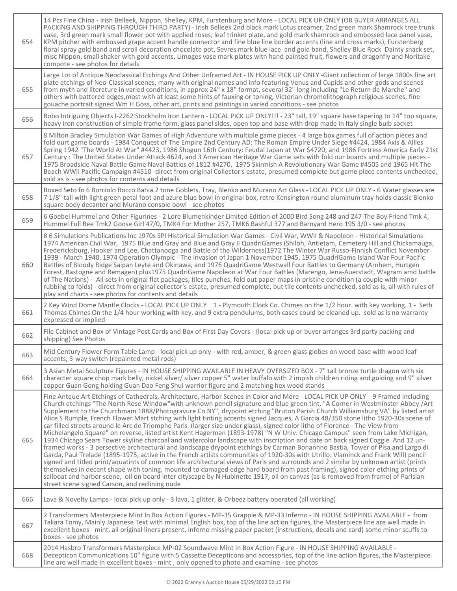| 654 | 14 Pcs Fine China - Irish Belleek, Nippon, Shelley, KPM, Furstenburg and More - LOCAL PICK UP ONLY (OR BUYER ARRANGES ALL<br>PACKING AND SHIPPING THROUGH THIRD PARTY) - Irish Belleek 2nd black mark Lotus creamer, 2nd green mark Shamrock tree trunk<br>vase, 3rd green mark small flower pot with applied roses, leaf trinket plate, and gold mark shamrock and embossed lace panel vase,<br>KPM pitcher with embossed grape accent handle connector and fine blue line border accents (line and cross marks), Furstenberg<br>floral spray gold band and scroll decoration chocolate pot, Sevres mark blue lace and gold band, Shelley Blue Rock Dainty snack set,<br>misc Nippon, small shaker with gold accents, Limoges vase mark plates with hand painted fruit, flowers and dragonfly and Noritake<br>compote - see photos for details                                                                                                                                                                                                                                                                                                                                                                                                                                                                                                                                                                                                                                                                                                                                                                                                                                  |
|-----|----------------------------------------------------------------------------------------------------------------------------------------------------------------------------------------------------------------------------------------------------------------------------------------------------------------------------------------------------------------------------------------------------------------------------------------------------------------------------------------------------------------------------------------------------------------------------------------------------------------------------------------------------------------------------------------------------------------------------------------------------------------------------------------------------------------------------------------------------------------------------------------------------------------------------------------------------------------------------------------------------------------------------------------------------------------------------------------------------------------------------------------------------------------------------------------------------------------------------------------------------------------------------------------------------------------------------------------------------------------------------------------------------------------------------------------------------------------------------------------------------------------------------------------------------------------------------------------------------------------------------------------------------------------------------------|
| 655 | Large Lot of Antique Neoclassical Etchings And Other Unframed Art - IN HOUSE PICK UP ONLY -Giant collection of large 1800s fine art<br>plate etchings of Neo-Classical scenes, many with original names and info featuring Venus and Cupids and other gods and scenes<br>from myth and literature in varied conditions, in approx 24" x 18" format, several 32" long including "Le Return de Marche" and<br>others with battered edges, most with at least some hints of fauxing or toning, Victorian chromolithograph religious scenes, fine<br>gouache portrait signed Wm H Goss, other art, prints and paintings in varied conditions - see photos                                                                                                                                                                                                                                                                                                                                                                                                                                                                                                                                                                                                                                                                                                                                                                                                                                                                                                                                                                                                                            |
| 656 | Bobo Intriguing Objects I-2262 Stockholm Iron Lantern - LOCAL PICK UP ONLY!!! - 23" tall, 19" square base tapering to 14" top square,<br>heavy iron construction of simple frame form, glass panel sides, open top and base with drop made in Italy single bulb socket                                                                                                                                                                                                                                                                                                                                                                                                                                                                                                                                                                                                                                                                                                                                                                                                                                                                                                                                                                                                                                                                                                                                                                                                                                                                                                                                                                                                           |
| 657 | 8 Milton Bradley Simulation War Games of High Adventure with multiple game pieces - 4 large box games full of action pieces and<br>fold ourt game boards - 1984 Conquest of The Empire 2nd Century AD: The Roman Empire Under Siege #4424, 1984 Axis & Allies<br>Spring 1942 "The World At War" #4423, 1986 Shogun 16th Century: Feudal Japan at War \$4720, and 1986 Fortress America Early 21st<br>Century: The United States Under Attack 4624, and 3 American Heritage War Game sets with fold our boards and multiple pieces -<br>1975 Broadside Naval Battle Game Naval Battles of 1812 #4270, 1975 Skirmish A Revolutionary War Game #4505 and 1965 Hit The<br>Beach WWII Pacific Campaign #4510- direct from original Collector's estate, presumed complete but game piece contents unchecked,<br>sold as is - see photos for contents and details                                                                                                                                                                                                                                                                                                                                                                                                                                                                                                                                                                                                                                                                                                                                                                                                                       |
| 658 | Boxed Seto fo 6 Borciolo Rocco Bahia 2 tone Goblets, Tray, Blenko and Murano Art Glass - LOCAL PICK UP ONLY - 6 Water glasses are<br>7 1/8" tall with light green petal foot and azure blue bowl in original box, retro Kensington round aluminum tray holds classic Blenko<br>square body decanter and Murano console bowl - see photos                                                                                                                                                                                                                                                                                                                                                                                                                                                                                                                                                                                                                                                                                                                                                                                                                                                                                                                                                                                                                                                                                                                                                                                                                                                                                                                                         |
| 659 | 6 Goebel Hummel and Other Figurines - 2 Lore Blumenkinder Limited Edition of 2000 Bird Song 248 and 247 The Boy Friend Tmk 4,<br>Hummel Full Bee Tmk2 Goose Girl 47/0, TMK4 For Mother 257, TMK6 Bashful 377 and Barnyard Hero 195 3/0 - see photos                                                                                                                                                                                                                                                                                                                                                                                                                                                                                                                                                                                                                                                                                                                                                                                                                                                                                                                                                                                                                                                                                                                                                                                                                                                                                                                                                                                                                              |
| 660 | 86 Simulations Publications Inc 1970s SPI Historical Simulation War Games - Civil War, WWII & Napoleon - Historical Simulations<br>1974 American Civil War, 1975 Blue and Gray and Blue and Gray II QuadriGames (Shiloh, Antietam, Cemetery Hill and Chickamauga,<br>Fredericksburg, Hooker and Lee, Chattanooga and Battle of the Wilderness)1972 The Winter War Russo-Finnish Conflict November<br>1939 - March 1940, 1974 Operation Olympic - The Invasion of Japan 1 November 1945, 1975 QuadriGame Island War Four Pacific<br>Battles of Bloody Ridge Saipan Leyte and Okinawa, and 1976 QuadriGame Westwall Four Battles to Germany (Arnhem, Hurtgen<br>Forest, Bastogne and Remagen) plus1975 QuadriGame Napoleon at War Four Battles (Marengo, Jena-Auerstadt, Wagram amd battle<br>of The Nations) - All sets in original flat packages, tiles punches, fold out paper maps in pristine condition (a couple with minor<br>rubbing to folds) - direct from original collector's estate, presumed complete, but tile contents unchecked, sold as is, all with rules of<br>play and charts - see photos for contents and details                                                                                                                                                                                                                                                                                                                                                                                                                                                                                                                                           |
| 661 | 2 Key Wind Dome Mantle Clocks - LOCAL PICK UP ONLY 1 - Plymouth Clock Co. Chimes on the 1/2 hour. with key working. 1 - Seth<br>Thomas Chimes On the 1/4 hour working with key, and 9 extra pendulums, both cases could be cleaned up. sold as is no warranty<br>expressed or implied                                                                                                                                                                                                                                                                                                                                                                                                                                                                                                                                                                                                                                                                                                                                                                                                                                                                                                                                                                                                                                                                                                                                                                                                                                                                                                                                                                                            |
| 662 | File Cabinet and Box of Vintage Post Cards and Box of First Day Covers - {local pick up or buyer arranges 3rd party packing and<br>shipping} See Photos                                                                                                                                                                                                                                                                                                                                                                                                                                                                                                                                                                                                                                                                                                                                                                                                                                                                                                                                                                                                                                                                                                                                                                                                                                                                                                                                                                                                                                                                                                                          |
| 663 | Mid Century Flower Form Table Lamp - local pick up only - with red, amber, & green glass globes on wood base with wood leaf<br>accents, 3-way switch (repainted metal rods)                                                                                                                                                                                                                                                                                                                                                                                                                                                                                                                                                                                                                                                                                                                                                                                                                                                                                                                                                                                                                                                                                                                                                                                                                                                                                                                                                                                                                                                                                                      |
| 664 | 3 Asian Metal Sculpture Figures - IN HOUSE SHIPPING AVAILABLE IN HEAVY OVERSIZED BOX - 7" tall bronze turtle dragon with six<br>character square chop mark belly, nickel silver/ silver copper 5" water buffalo with 2 impish children riding and guiding and 9" silver<br>copper Guan Gong holding Guan Dao Feng Shui warrior figure and 2 matching hex wood stands                                                                                                                                                                                                                                                                                                                                                                                                                                                                                                                                                                                                                                                                                                                                                                                                                                                                                                                                                                                                                                                                                                                                                                                                                                                                                                             |
| 665 | Fine Antque Art Etchings of Cathedrals, Architecture, Harbor Scenes in Color and More - LOCAL PICK UP ONLY 9 Framed including<br>Church etchings "The North Rose Window"with unknown pencil signature and blue green tint, "A Corner in Westminster Abbey /Art<br>Supplement to the Churchmam 1888/Photogravure Co NY", drypoint etching "Bruton Parish Church Williamsburg VA" by listed artist<br>Alice S Rumple, French Flower Mart stching with light tinting accents signed Jacques, A Garcia 48/350 stone litho 1920-30s scene of<br>car filled streets around le Arc de Triomphe Paris (larger size under glass), signed color litho of Florence - The View from<br>Michelangelo Square" on reverse, listed artist Kent Hagerman (1893-1978) "N W Univ. Chicago Campus" seen from Lake Michigan,<br>1934 Chicago Sears Tower skyline charcoal and watercolor landscape with inscription and date on back signed Coggie And 12 un-<br>framed works - 3 persective architectural and landscape drypoint etchings by Carman Bonannno Bastia, Tower of Pisa and Largo di<br>Garda, Paul Trelade (1895-1975, active in the French artists communities of 1920-30s with Utrillo. Vlaminck and Frank Will) pencil<br>signed and titled print/aquatints of common life architectural views of Paris and surrounds and 2 similar by unknown artist (prints<br>themselves in decent shape with toning, mounted to damaged edge hard board from past framing), signed color etching prints of<br>sailboat and harbor scene, oil on board inter cityscape by N Hubinette 1917, oil on canvas (as is removed from frame) of Parisian<br>street scene signed Carson, and reclining nude |
| 666 | Lava & Novelty Lamps - local pick up only - 3 lava, 1 glitter, & Orbeez battery operated (all working)                                                                                                                                                                                                                                                                                                                                                                                                                                                                                                                                                                                                                                                                                                                                                                                                                                                                                                                                                                                                                                                                                                                                                                                                                                                                                                                                                                                                                                                                                                                                                                           |
| 667 | 2 Transformers Masterpiece Mint In Box Action Figures - MP-35 Grapple & MP-33 Inferno - IN HOUSE SHIPPING AVAILABLE - from<br>Takara Tomy, Mainly Japanese Text with minimal English box, top of the line action figures, the Masterpiece line are well made in<br>excellent boxes - mint, all original liners present, Inferno missing paper packet (instructions, decals and card) some minor scuffs to<br>boxes - see photos                                                                                                                                                                                                                                                                                                                                                                                                                                                                                                                                                                                                                                                                                                                                                                                                                                                                                                                                                                                                                                                                                                                                                                                                                                                  |
| 668 | 2014 Hasbro Transformers Masterpiece MP-02 Soundwave Mint In Box Action Figure - IN HOUSE SHIPPING AVAILABLE -<br>Decepticon Communications 10" figure with 5 Cassette Decepticons and accessories, top of the line action figures, the Masterpiece<br>line are well made in excellent boxes - mint, only opened to photo and examine - see photos                                                                                                                                                                                                                                                                                                                                                                                                                                                                                                                                                                                                                                                                                                                                                                                                                                                                                                                                                                                                                                                                                                                                                                                                                                                                                                                               |